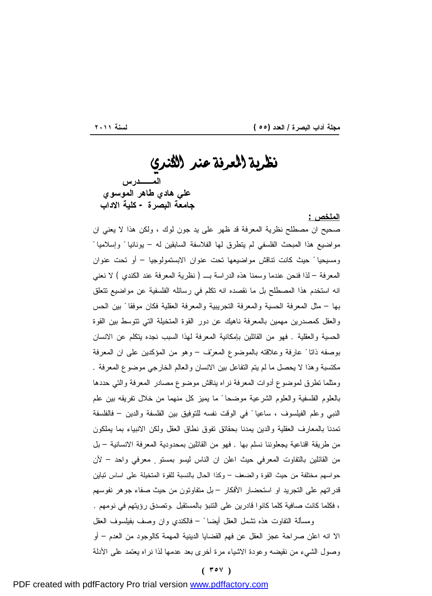<u> 1989 - Johann Stoff, deutscher Stoffen und der Stoffen und der Stoffen und der Stoffen und der Stoffen und der</u>

# نظرية العرفة *عنر* الثنري  **المــدرس علي هادي طاهر الموسوي جامعة البصرة - كلية الاداب**

#### **الملخص :**

صحيح ان مصطلح نظرية المعرفة قد ظهر على يد جون لوك ، ولكن هذا لا يعني ان مواضيع هذا المبحث الفلسفي لم يتطرق لها الفلاسفة السابقين له – يونانيا ً وإسلاميا ً ومسيحيا ً حيث كانت تناقش مواضيعها تحت عنوان الابستمولوجيا – أو تحت عنوان المعرفة – لذا فنحن عندما وسمنا هذه الدراسة بـ ( نظرية المعرفة عند الكندي ) لا نعني انه استخدم هذا المصطلح بل ما نقصده انه تكلم في رسائله الفلسفية عن مواضيع تتعلق بها – مثل المعرفة الحسية والمعرفة التجريبية والمعرفة العقلية فكان موفقا ً بين الحس والعقل كمصدرين مهمين بالمعرفة ناهيك عن دور القوة المتخيلة التي تتوسط بين القوة الحسية والعقلية . فهو من القائلين بإمكانية المعرفة لهذا السبب نجده يتكلم عن الانسان بوصفه ذاتا ً عارفة وعلاقته بالموضوع المعرف – وهو من المؤكدين على ان المعرفة مكتسبة وهذا لا يحصل ما لم يتم التفاعل بين الانسان والعالم الخارجي موضوع المعرفة . ومثلما تطرق لموضوع أدوات المعرفة نراه يناقش موضوع مصادر المعرفة والتي حددها بالعلوم الفلسفية والعلوم الشرعية موضحا ً ما يميز كل منهما من خلال تفريقه بين علم النبي وعلم الفيلسوف ، ساعيا ً في الوقت نفسه للتوفيق بين الفلسفة والدين – فالفلسفة تمدنا بالمعارف العقلية والدين يمدنا بحقائق تفوق نطاق العقل ولكن الانبياء بما يملكون من طريقة اقناعية يجعلوننا نسلم بها . فهو من القائلين بمحدودية المعرفة الانسانية – بل من القائلين بالتفاوت المعرفي حيث اعلن ان الناس ليسو بمستو ٍ معرفي واحد – لأن حواسهم مختلفة من حيث القوة والضعف – وكذا الحال بالنسبة للقوة المتخيلة على اساس تباين قدراتهم على التجريد او استحضار الأفكار – بل متفاوتون من حيث صفاء جوهر نفوسهم ، فكلما كانت صافية كلما كانوا قادرين على التنبؤ بالمستقبل .وتصدق رؤيتهم في نومهم . ومسألة التفاوت هذه تشمل العقل أيضا ً – فالكندي وان وصف بفيلسوف العقل الا انه اعلن صراحة عجز العقل عن فهم القضايا الدينية المهمة كالوجود من العدم – أو

**( ٣٥٧ )**

وصول الشيء من نقيضه وعودة الاشياء مرة أخرى بعد عدمها لذا نراه يعتمد على الأدلة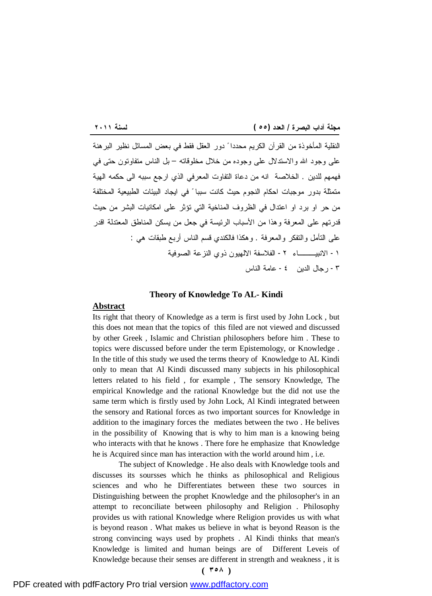<u> 1989 - Johann Barnett, fransk politik (</u> النقلية المأخوذة من القرآن الكريم محددا ً دور العقل فقط في بعض المسائل نظير البرهنة على وجود االله والاستدلال على وجوده من خلال مخلوقاته – بل الناس متفاوتون حتى في فهمهم للدين . الخلاصة انه من دعاة التفاوت المعرفي الذي ارجع سببه الى حكمه الهية متمثلة بدور موجبات احكام النجوم حيث كانت سببا ً في ايجاد البيئات الطبيعية المختلفة من حر او برد او اعتدال في الظروف المناخية التي تؤثر على امكانيات البشر من حيث قدرتهم على المعرفة وهذا من الأسباب الرئيسة في جعل من يسكن المناطق المعتدلة اقدر على التأمل والتفكر والمعرفة . وهكذا فالكندي قسم الناس أربع طبقات هي : -١ الانبيـــاء -٢ الفلاسفة الالهيون ذوي النزعة الصوفية -٣ رجال الدين -٤ عامة الناس

#### **Theory of Knowledge To AL- Kindi**

### **Abstract**

Its right that theory of Knowledge as a term is first used by John Lock , but this does not mean that the topics of this filed are not viewed and discussed by other Greek , Islamic and Christian philosophers before him . These to topics were discussed before under the term Epistemology, or Knowledge . In the title of this study we used the terms theory of Knowledge to AL Kindi only to mean that Al Kindi discussed many subjects in his philosophical letters related to his field , for example , The sensory Knowledge, The empirical Knowledge and the rational Knowledge but the did not use the same term which is firstly used by John Lock, Al Kindi integrated between the sensory and Rational forces as two important sources for Knowledge in addition to the imaginary forces the mediates between the two . He belives in the possibility of Knowing that is why to him man is a knowing being who interacts with that he knows . There fore he emphasize that Knowledge he is Acquired since man has interaction with the world around him , i.e.

The subject of Knowledge . He also deals with Knowledge tools and discusses its soursses which he thinks as philosophical and Religious sciences and who he Differentiates between these two sources in Distinguishing between the prophet Knowledge and the philosopher's in an attempt to reconciliate between philosophy and Religion . Philosophy provides us with rational Knowledge where Religion provides us with what is beyond reason . What makes us believe in what is beyond Reason is the strong convincing ways used by prophets . Al Kindi thinks that mean's Knowledge is limited and human beings are of Different Leveis of Knowledge because their senses are different in strength and weakness , it is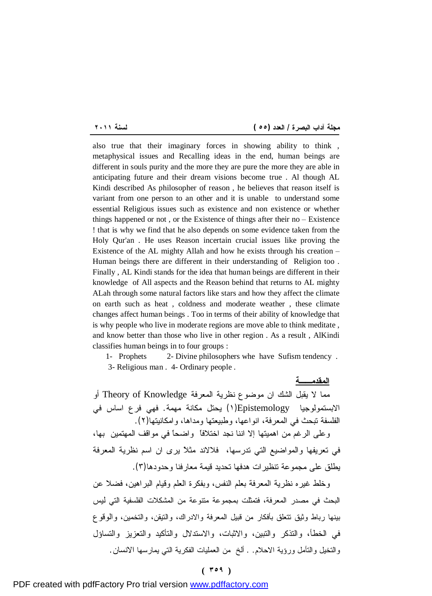**المقدمــة**

<u> 1989 - Johann Stoff, deutscher Stoffen und der Stoffen und der Stoffen und der Stoffen und der Stoffen und der</u>

also true that their imaginary forces in showing ability to think , metaphysical issues and Recalling ideas in the end, human beings are different in souls purity and the more they are pure the more they are able in anticipating future and their dream visions become true . Al though AL Kindi described As philosopher of reason , he believes that reason itself is variant from one person to an other and it is unable to understand some essential Religious issues such as existence and non existence or whether things happened or not , or the Existence of things after their no – Existence ! that is why we find that he also depends on some evidence taken from the Holy Qur'an . He uses Reason incertain crucial issues like proving the Existence of the AL mighty Allah and how he exists through his creation – Human beings there are different in their understanding of Religion too . Finally , AL Kindi stands for the idea that human beings are different in their knowledge of All aspects and the Reason behind that returns to AL mighty ALah through some natural factors like stars and how they affect the climate on earth such as heat , coldness and moderate weather , these climate changes affect human beings . Too in terms of their ability of knowledge that is why people who live in moderate regions are move able to think meditate , and know better than those who live in other region . As a result , AlKindi classifies human beings in to four groups :

1- Prophets 2- Divine philosophers whe have Sufism tendency . 3- Religious man . 4- Ordinary people .

مما لا يقبل الشك ان موضوع نظرية المعرفة Knowledge of Theory أو الابستمولوجيا Epistemology)١ (يحتل مكانة مهمة. فهي فرع اساس في الفلسفة تبحث في المعرفة، انواعها، وطبيعتها ومداها، وامكانيتها(٢). وعلى الرغم من اهميتها إلا اننا نجد اختلافاً واضحاً في مواقف المهتمين بها، في تعريفها والمواضيع التي تدرسها، فلالاند مثلاً يرى ان اسم نظرية المعرفة يطلق على مجموعة تنظيرات هدفها تحديد قيمة معارفنا وحدودها(٣).

وخلط غيره نظرية المعرفة بعلم النفس، وبفكرة العلم وقيام البراهين، فضلا عن البحث في مصدر المعرفة، فتمثلت بمجموعة متنوعة من المشكلات الفلسفية التي ليس بينها رباط وثيق تتعلق بأفكار من قبيل المعرفة والادراك، والتيقن، والتخمين، والوقوع في الخطأ، والتذكر والتبين، والاثبات، والاستدلال والتأكيد والتعزيز والتساؤل والتخيل والتأمل ورؤية الاحلام. . ألخ من العمليات الفكرية التي يمارسها الانسان.

## **( ٣٥٩ )**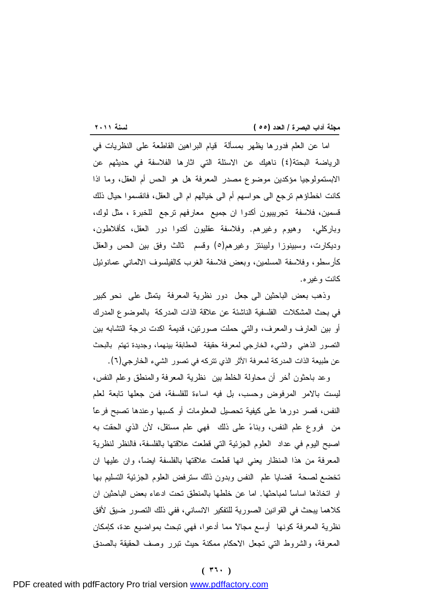<u> 1989 - Johann Stoff, deutscher Stoffen und der Stoffen und der Stoffen und der Stoffen und der Stoffen und der</u> اما عن العلم فدورها يظهر بمسألة قيام البراهين القاطعة على النظريات في الرياضة البحتة(٤) ناهيك عن الاسئلة التي اثارها الفلاسفة في حديثهم عن الابستمولوجيا مؤكدين موضوع مصدر المعرفة هل هو الحس أم العقل، وما اذا كانت اخطاؤهم ترجع الى حواسهم أم الى خيالهم ام الى العقل، فانقسموا حيال ذلك قسمين، فلاسفة تجريبيون أكدوا ان جميع معارفهم ترجع للخبرة ، مثل لوك، وباركلي، وهيوم وغيرهم. وفلاسفة عقليون أكدوا دور العقل، كأفلاطون، وديكارت، وسبينوزا وليبنتز وغيرهم(٥) وقسم ثالث وفق بين الحس والعقل كأرسطو، وفلاسفة المسلمين، وبعض فلاسفة الغرب كالفيلسوف الالماني عمانوئيل كانت وغيره.

وذهب بعض الباحثين الى جعل دور نظرية المعرفة يتمثل على نحوٍ كبيرٍ في بحث المشكلات الفلسفية الناشئة عن علاقة الذات المدركة بالموضوع المدرك أو بين العارف والمعرف، والتي حملت صورتين، قديمة اكدت درجة التشابه بين التصور الذهني والشيء الخارجي لمعرفة حقيقة المطابقة بينهما، وجديدة تهتم بالبحث عن طبيعة الذات المدركة لمعرفة الأثر الذي تتركه في تصور الشيء الخارجي(٦).

وعد باحثون أُخر أن محاولة الخلط بين نظرية المعرفة والمنطق وعلم النفس، ليست بالامر المرفوض وحسب، بل فيه اساءة للفلسفة، فمن جعلها تابعة لعلم النفس، قصر دورها على كيفية تحصيل المعلومات أو كسبها وعندها تصبح فرعاً من فروع علم النفس، وبناء على ذلك فهي علم مستقل، لأن الذي الحقت به اصبح اليوم في عداد العلوم الجزئية التي قطعت علاقتها بالفلسفة، فالنظر لنظرية المعرفة من هذا المنظار يعني انها قطعت علاقتها بالفلسفة ايضاً، وان عليها ان تخضع لصحة قضايا علم النفس وبدون ذلك سترفض العلوم الجزئية التسليم بها او اتخاذها اساساً لمباحثها. اما عن خلطها بالمنطق تحت ادعاء بعض الباحثين ان كلاهما يبحث في القوانين الصورية للتفكير الانساني، ففي ذلك التصور ضيق لأفق نظرية المعرفة كونها أوسع مجالاً مما أدعوا، فهي تبحث بمواضيع عدة، كإمكان المعرفة، والشروط التي تجعل الاحكام ممكنة حيث تبرر وصف الحقيقة بالصدق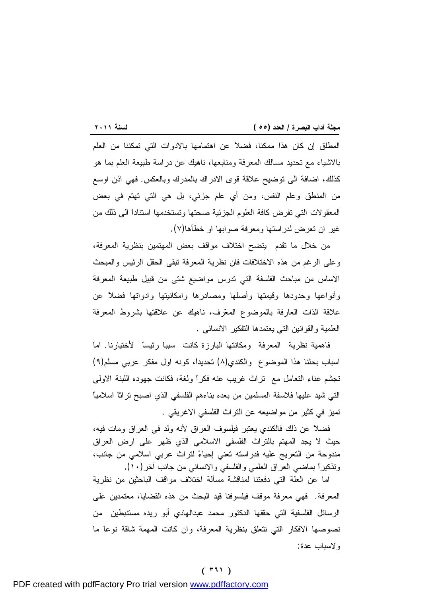<u> 1989 - Johann Stoff, deutscher Stoffen und der Stoffen und der Stoffen und der Stoffen und der Stoffen und der</u> المطلق إن كان هذا ممكنا، فضلاً عن اهتمامها بالادوات التي تمكننا من العلم بالاشياء مع تحديد مسالك المعرفة ومنابعها، ناهيك عن دراسة طبيعة العلم بما هو كذلك، اضافة الى توضيح علاقة قوى الادراك بالمدرك وبالعكس. فهي اذن اوسع من المنطق وعلم النفس، ومن أي علم جزئي، بل هي التي تهتم في بعض المعقولات التي تفرض كافة العلوم الجزئية صحتها وتستخدمها استناداً الى ذلك من غير ان تعرض لدراستها ومعرفة صوابها او خطأها(٧).

من خلال ما تقدم يتضح اختلاف مواقف بعض المهتمين بنظرية المعرفة، وعلى الرغم من هذه الاختلافات فان نظرية المعرفة تبقى الحقل الرئيس والمبحث الاساس من مباحث الفلسفة التي تدرس مواضيع شتى من قبيل طبيعة المعرفة وأنواعها وحدودها وقيمتها وأصلها ومصادرها وامكانيتها وادواتها فضلاً عن علاقة الذات العارفة بالموضوع المعرف، ناهيك عن علاقتها بشروط المعرفة العلمية والقوانين التي يعتمدها التفكير الانساني .

فاهمية نظرية المعرفة ومكانتها البارزة كانت سبباً رئيساً لأختيارنا. اما اسباب بحثنا هذا الموضوع والكندي(٨) تحديداً، كونه اول مفكر عربي مسلم(٩) تجشم عناء التعامل مع تراث غريب عنه فكراً ولغة، فكانت جهوده اللبنة الاولى التي شيد عليها فلاسفة المسلمين من بعده بناءهم الفلسفي الذي اصبح تراثاً اسلامياً تميز في كثير من مواضيعه عن التراث الفلسفي الاغريقي .

فضلاً عن ذلك فالكندي يعتبر فيلسوف العراق لأنه ولد في العراق ومات فيه، حيث لا يجد المهتم بالتراث الفلسفي الاسلامي الذي ظهر على ارض العراق مندوحة من التعريج عليه فدراسته تعني إحياء لتراث عربي اسلامي من جانب، وتذكيراً بماضي العراق العلمي والفلسفي والانساني من جانب آخر(١٠).

اما عن العلة التي دفعتنا لمناقشة مسألة اختلاف مواقف الباحثين من نظرية المعرفة. فهي معرفة موقف فيلسوفنا قيد البحث من هذه القضايا، معتمدين على الرسائل الفلسفية التي حققها الدكتور محمد عبدالهادي أبو ريده مستنبطين من نصوصها الافكار التي تتعلق بنظرية المعرفة، وان كانت المهمة شاقة نوعاً ما ولاسباب عدة:

#### **( ٣٦١ )**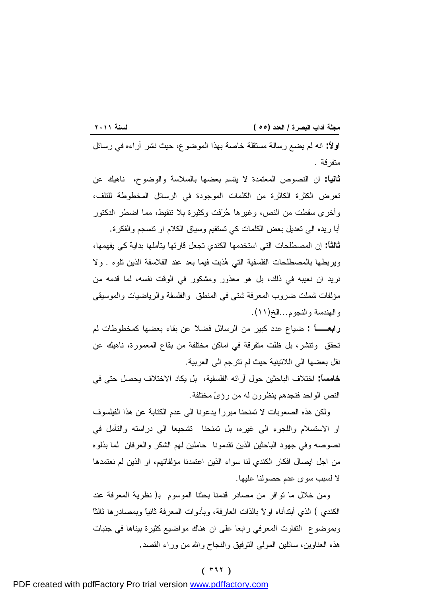<u> 1989 - Johann Stoff, deutscher Stoffen und der Stoffen und der Stoffen und der Stoffen und der Stoffen und der</u> **اولاً:** انه لم يضع رسالة مستقلة خاصة بهذا الموضوع، حيث نشر آراءه في رسائل متفرقة .

**ثانياً:** ان النصوص المعتمدة لا يتسم بعضها بالسلاسة والوضوح، ناهيك عن تعرض الكثرة الكاثرة من الكلمات الموجودة في الرسائل المخطوطة للتلف، وأخرى سقطت من النص، وغيرها حرفت وكثيرة بلا تنقيط، مما اضطر الدكتور

أبا ريده الى تعديل بعض الكلمات كي تستقيم وسياق الكلام او تنسجم والفكرة. **ثالثاً:** إن المصطلحات التي استخدمها الكندي تجعل قارئها يتأملها بدايةً كي يفهمها، ويربطها بالمصطلحات الفلسفية التي هذبت فيما بعد عند الفلاسفة الذين تلوه . ولا نريد ان نعيبه في ذلك، بل هو معذور ومشكور في الوقت نفسه، لما قدمه من مؤلفات شملت ضروب المعرفة شتى في المنطق والفلسفة والرياضيات والموسيقى والهندسة والنجوم...الخ(١١).

**رابعــاً :** ضياع عدد كبير من الرسائل فضلاً عن بقاء بعضها كمخطوطات لم تحقق وتنشر، بل ظلت متفرقة في اماكن مختلفة من بقاع المعمورة، ناهيك عن نقل بعضها الى اللاتينية حيث لم تترجم الى العربية.

**خامساً:** اختلاف الباحثين حول آرائه الفلسفية، بل يكاد الاختلاف يحصل حتى في النص الواحد فنجدهم ينظرون له من رؤى مختلفة.

ولكن هذه الصعوبات لا تمنحنا مبرراً يدعونا الى عدم الكتابة عن هذا الفيلسوف او الاستسلام واللجوء الى غيره، بل تمنحنا تشجيعا الى دراسته والتأمل في نصوصه وفي جهود الباحثين الذين تقدمونا حاملين لهم الشكر والعرفان لما بذلوه من اجل ايصال افكار الكندي لنا سواء الذين اعتمدنا مؤلفاتهم، او الذين لم نعتمدها لا لسبب سوى عدم حصولنا عليها.

ومن خلال ما توافر من مصادر قدمنا بحثنا الموسوم ب( نظرية المعرفة عند الكندي ) الذي أبتدأناه اولاً بالذات العارفة، وبأدوات المعرفة ثانياً وبمصادرها ثالثاً وبموضوع التفاوت المعرفي رابعا على ان هناك مواضيع كثيرة بيناها في جنبات هذه العناوين، سائلين المولى التوفيق والنجاح واالله من وراء القصد.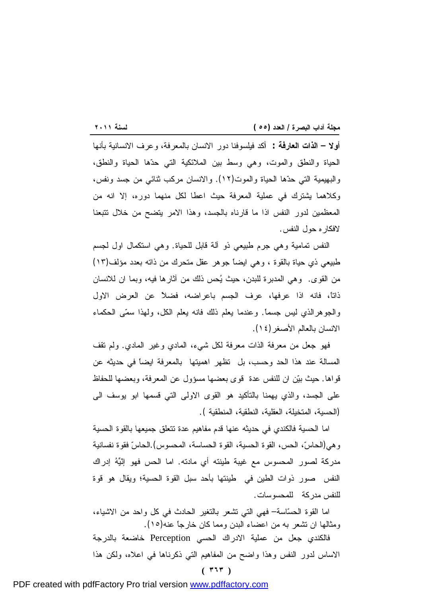**أولا – الذات العارفة : أ**كد فيلسوفنا دور الانسان بالمعرفة، وعرف الانسانية بأنها الحياة والنطق والموت، وهي وسط بين الملائكية التي حدها الحياة والنطق، والبهيمية التي حدها الحياة والموت(١٢). والانسان مركب ثنائي من جسد ونفس، وكلاهما يشترك في عملية المعرفة حيث اعطا لكل منهما دوره، إلا انه من المعظمين لدور النفس اذا ما قارناه بالجسد، وهذا الامر يتضح من خلال تتبعنا لافكاره حول النفس.

النفس تمامية وهي جرم طبيعي ذو آلة قابل للحياة. وهي استكمال اول لجسم طبيعي ذي حياة بالقوة ، وهي ايضاً جوهر عقل متحرك من ذاته بعدد مؤلف(١٣) من القوى. وهي المدبرة للبدن، حيث يحس ذلك من آثارها فيه، وبما ان للانسان ذاتاً، فانه اذا عرفها، عرف الجسم باعراضه، فضلاً عن العرض الاول والجوهرالذي ليس جسماً. وعندما يعلم ذلك فانه يعلم الكل، ولهذا سمى الحكماء الانسان بالعالم الأصغر(١٤).

فهو جعل من معرفة الذات معرفة لكل شيء، المادي وغير المادي. ولم تقف المسالة عند هذا الحد وحسب، بل تظهر اهميتها بالمعرفة ايضاً في حديثه عن قواها. حيث بين ان للنفس عدة قوى بعضها مسؤول عن المعرفة، وبعضها للحفاظ على الجسد، والذي يهمنا بالتأكيد هو القوى الاولى التي قسمها ابو يوسف الى (الحسية، المتخيلة، العقلية، النطقية، المنطقية ).

اما الحسية فالكندي في حديثه عنها قدم مفاهيم عدة تتعلق جميعها بالقوة الحسية وهي(الحاس، الحس، القوة الحسية، القوة الحساسة، المحسوس).الحاس فقوة نفسانية مدركة لصور المحسوس مع غيبة طينته أي مادته. اما الحس فهو إنّيه إدراك النفس صور ذوات الطين في طينتها بأحد سبل القوة الحسية؛ ويقال هو قوة للنفس مدركة للمحسوسات.

اما القوة الحساسة– فهي التي تشعر بالتغير الحادث في كل واحد من الاشياء، ومثالها ان تشعر به من اعضاء البدن ومما كان خارجاً عنه(١٥).

فالكندي جعل من عملية الادراك الحسي Perception خاضعة بالدرجة الاساس لدور النفس وهذا واضح من المفاهيم التي ذكرناها في اعلاه، ولكن هذا

**( ٣٦٣ )**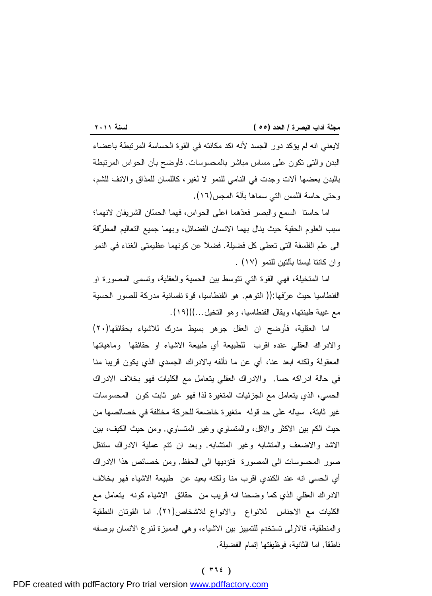لايعني انه لم يؤكد دور الجسد لأنه اكد مكانته في القوة الحساسة المرتبطة باعضاء البدن والتي تكون على مساس مباشر بالمحسوسات. فأوضح بأن الحواس المرتبطة بالبدن بعضها آلات وجدت في النامي للنمو لا لغير، كاللسان للمذاق والانف للشم، وحتى حاسة اللمس التي سماها بآلة المجس(١٦).

اما حاستا السمع والبصر فعدهما اعلى الحواس، فهما الحسان الشريفان لانهما؛ سبب العلوم الحقية حيث ينال بهما الانسان الفضائل، وبهما جميع التعاليم المطرقة الى علم الفلسفة التي تعطي كل فضيلة. فضلاً عن كونهما عظيمتي الغناء في النمو وان كانتا ليستا بآلتين للنمو (١٧) .

اما المتخيلة، فهي القوة التي تتوسط بين الحسية والعقلية، وتسمى المصورة او الفنطاسيا حيث عرفها:(( التوهم. هو الفنطاسيا، قوة نفسانية مدركة للصور الحسية مع غيبة طينتها، ويقال الفنطاسيا، وهو التخيل...))(١٩).

اما العقلية، فأوضح ان العقل جوهر بسيط مدرك للاشياء بحقائقها(٢٠) والادراك العقلي عنده اقرب للطبيعة أي طبيعة الاشياء او حقائقها وماهياتها المعقولة ولكنه ابعد عنا، أي عن ما نألفه بالادراك الجسدي الذي يكون قريبا منا في حالة ادراكه حساً. والادراك العقلي يتعامل مع الكليات فهو بخلاف الادراك الحسي، الذي يتعامل مع الجزئيات المتغيرة لذا فهو غير ثابت كون المحسوسات غير ثابتة، سياله على حد قوله متغيرة خاضعة للحركة مختلفة في خصائصها من حيث الكم بين الاكثر والاقل، والمتساوي وغير المتساوي. ومن حيث الكيف، بين الاشد والاضعف والمتشابه وغير المتشابه. وبعد ان تتم عملية الادراك ستنقل صور المحسوسات الى المصورة فتؤديها الى الحفظ. ومن خصائص هذا الادراك أي الحسي انه عند الكندي اقرب منا ولكنه بعيد عن طبيعة الاشياء فهو بخلاف الادراك العقلي الذي كما وضحنا انه قريب من حقائق الاشياء كونه يتعامل مع الكليات مع الاجناس للانواع والانواع للاشخاص(٢١). اما القوتان النطقية والمنطقية، فالاولى تستخدم للتمييز بين الاشياء، وهي المميزة لنوع الانسان بوصفه ناطقاً. اما الثانية، فوظيفتها إتمام الفضيلة.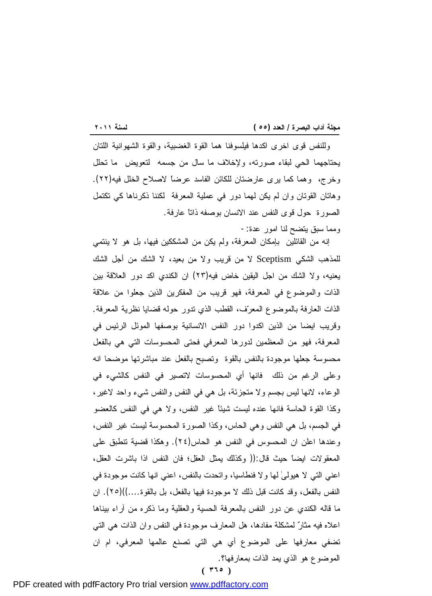<u> 1989 - Johann Stoff, deutscher Stoffen und der Stoffen und der Stoffen und der Stoffen und der Stoffen und der</u> وللنفس قوى اخرى اكدها فيلسوفنا هما القوة الغضبية، والقوة الشهوانية اللتان يحتاجهما الحي لبقاء صورته، ولإخلاف ما سال من جسمه لتعويض ما تحلل وخرج، وهما كما يرى عارضتان للكائن الفاسد عرضاً لاصلاح الخلل فيه(٢٢). وهاتان القوتان وان لم يكن لهما دور في عملية المعرفة لكننا ذكرناها كي تكتمل الصورة حول قوى النفس عند الانسان بوصفه ذاتاً عارفة.

ومما سبق يتضح لنا امور عدة-:

**( ٣٦٥ )** إنه من القائلين بإمكان المعرفة، ولم يكن من المشككين فيها، بل هو لا ينتمي للمذهب الشكي Sceptism لا من قريب ولا من بعيد، لا الشك من أجل الشك يعنيه، ولا الشك من اجل اليقين خاض فيه(٢٣) ان الكندي اكد دور العلاقة بين الذات والموضوع في المعرفة، فهو قريب من المفكرين الذين جعلوا من علاقة الذات العارفة بالموضوع المعرف، القطب الذي تدور حوله قضايا نظرية المعرفة. وقريب ايضا من الذين اكدوا دور النفس الانسانية بوصفها الموئل الرئيس في المعرفة، فهو من المعظمين لدورها المعرفي فحتى المحسوسات التي هي بالفعل محسوسة جعلها موجودة بالنفس بالقوة وتصبح بالفعل عند مباشرتها موضحا انه وعلى الرغم من ذلك فانها أي المحسوسات لاتصير في النفس كالشيء في الوعاء، لانها ليس بجسم ولا متجزئة، بل هي في النفس والنفس شيء واحد لاغير، وكذا القوة الحاسة فانها عنده ليست شيئاً غير النفس، ولا هي في النفس كالعضو في الجسم، بل هي النفس وهي الحاس، وكذا الصورة المحسوسة ليست غير النفس، وعندها اعلن ان المحسوس في النفس هو الحاس(٢٤). وهكذا قضية تنطبق على المعقولات ايضاً حيث قال:(( وكذلك يمثل العقل؛ فان النفس اذا باشرت العقل، اعني التي لا هيولىٰ لها ولا فنطاسيا، واتحدت بالنفس، اعني انها كانت موجودة في النفس بالفعل، وقد كانت قبل ذلك لا موجودة فيها بالفعل، بل بالقوة....))(٢٥). ان ما قاله الكندي عن دور النفس بالمعرفة الحسية والعقلية وما ذكره من آراء بيناها اعلاه فيه مثار لمشكلة مفادها، هل المعارف موجودة في النفس وان الذات هي التي تضفي معارفها على الموضوع أي هي التي تصنع عالمها المعرفي، ام ان الموضوع هو الذي يمد الذات بمعارفها؟.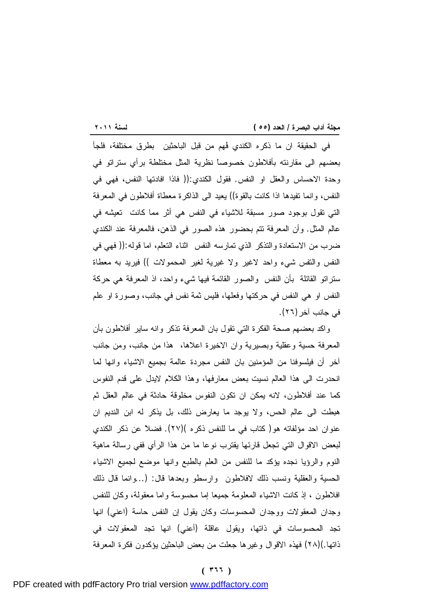<u> 1989 - Johann Stoff, deutscher Stoffen und der Stoffen und der Stoffen und der Stoffen und der Stoffen und der</u> في الحقيقة ان ما ذكره الكندي فُهم من قبل الباحثين بطرق مختلفة، فلجأ بعضهم الى مقارنته بأفلاطون خصوصاً نظرية المثل مختلطة برأي ستراتو في وحدة الاحساس والعقل او النفس. فقول الكندي:(( فاذا افادتها النفس، فهي في النفس، وانما تفيدها اذا كانت بالقوة)) يعيد الى الذاكرة معطاة أفلاطون في المعرفة التي تقول بوجود صور مسبقة للاشياء في النفس هي أثر مما كانت تعيشه في عالم المثل. وأن المعرفة تتم بحضور هذه الصور في الذهن، فالمعرفة عند الكندي ضرب من الاستعادة والتذكر الذي تمارسه النفس اثناء التعلم، اما قوله:(( فهي في النفس والتفس شيء واحد لاغير ولا غيرية لغير المحمولات )) فيريد به معطاة ستراتو القائلة بأن النفس والصور القائمة فيها شيء واحد، اذ المعرفة هي حركة النفس او هي النفس في حركتها وفعلها، فليس ثمة نفس في جانب، وصورة او علم في جانب آخر(٢٦).

واكد بعضهم صحة الفكرة التي تقول بان المعرفة تذكر وانه ساير أفلاطون بأن المعرفة حسية وعقلية وبصيرية وان الاخيرة اعلاها، هذا من جانب، ومن جانب آخر أن فيلسوفنا من المؤمنين بان النفس مجردة عالمة بجميع الاشياء وانها لما انحدرت الى هذا العالم نسيت بعض معارفها، وهذا الكلام لايدل على قدم النفوس كما عند أفلاطون، لانه يمكن ان تكون النفوس مخلوقة حادثة في عالم العقل ثم هبطت الى عالم الحس، ولا يوجد ما يعارض ذلك، بل يذكر له ابن النديم ان عنوان احد مؤلفاته هو( كتاب في ما للنفس ذكره )(٢٧). فضلاً عن ذكر الكندي لبعض الاقوال التي تجعل قارئها يقترب نوعا ما من هذا الرأي ففي رسالة ماهية النوم والرؤيا نجده يؤكد ما للنفس من العلم بالطبع وانها موضع لجميع الاشياء الحسية والعقلية ونسب ذلك لافلاطون وارسطو وبعدها قال: (...وانما قال ذلك افلاطون ، إذ كانت الاشياء المعلومة جميعا إما محسوسة واما معقولة، وكان للنفس وجدان المعقولات ووجدان المحسوسات وكان يقول إن النفس حاسة (اعني) انها تجد المحسوسات في ذاتها، ويقول عاقلة (أعني) انها تجد المعقولات في ذاتها.)(٢٨) فهذه الاقوال وغيرها جعلت من بعض الباحثين يؤكدون فكرة المعرفة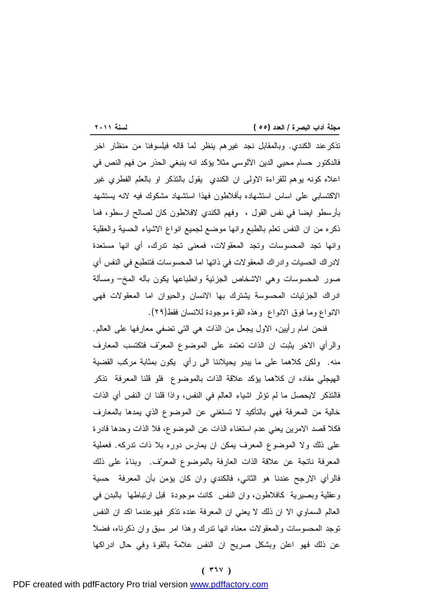<u> 1989 - Johann Stoff, deutscher Stoffen und der Stoffen und der Stoffen und der Stoffen und der Stoffen und der</u> تذكرعند الكندي. وبالمقابل نجد غيرهم ينظر لما قاله فيلسوفنا من منظار اخر فالدكتور حسام محيي الدين الآلوسي مثلاً يؤكد انه ينبغي الحذر من فهم النص في اعلاه كونه يوهم للقراءة الاولى ان الكندي يقول بالتذكر او بالعلم الفطري غير الاكتسابي على اساس استشهاده بأفلاطون فهذا استشهاد مشكوك فيه لانه يستشهد بأرسطو ايضا في نفس القول ، وفهم الكندي لافلاطون كان لصالح ارسطو، فما ذكره من ان النفس تعلم بالطبع وانها موضع لجميع انواع الاشياء الحسية والعقلية وانها تجد المحسوسات وتجد المعقولات، فمعنى تجد تدرك، أي انها مستعدة لادراك الحسيات وادراك المعقولات في ذاتها اما المحسوسات فتنطبع في النفس أي صور المحسوسات وهي الاشخاص الجزئية وانطباعها يكون بآله المخ– ومسألة ادراك الجزئيات المحسوسة يشترك بها الانسان والحيوان اما المعقولات فهي الانواع وما فوق الانواع وهذه القوة موجودة للانسان فقط(٢٩).

فنحن امام رأيين، الاول يجعل من الذات هي التي تضفي معارفها على العالم. والرأي الاخر يثبت ان الذات تعتمد على الموضوع المعرف فتكتسب المعارف منه. ولكن كلاهما على ما يبدو يحيلاننا الى رأي يكون بمثابة مركب القضية الهيجلي مفاده ان كلاهما يؤكد علاقة الذات بالموضوع فلو قلنا المعرفة تذكر فالتذكر لايحصل ما لم تؤثر اشياء العالم في النفس، واذا قلنا ان النفس أي الذات خالية من المعرفة فهي بالتأكيد لا تستغني عن الموضوع الذي يمدها بالمعارف فكلا قصد الامرين يعني عدم استغناء الذات عن الموضوع، فلا الذات وحدها قادرة على ذلك ولا الموضوع المعرف يمكن ان يمارس دوره بلا ذات تدركه. فعملية المعرفة ناتجة عن علاقة الذات العارفة بالموضوع المعرف. وبناء على ذلك فالرأي الارجح عندنا هو الثاني، فالكندي وان كان يؤمن بأن المعرفة حسية وعقلية وبصيرية كافلاطون، وان النفس كانت موجودة قبل ارتباطها بالبدن في العالم السماوي الا ان ذلك لا يعني ان المعرفة عنده تذكر فهوعندما اكد ان النفس توجد المحسوسات والمعقولات معناه انها تدرك وهذا امر سبق وان ذكرناه، فضلاً عن ذلك فهو اعلن وبشكل صريح ان النفس علامة بالقوة وفي حال ادراكها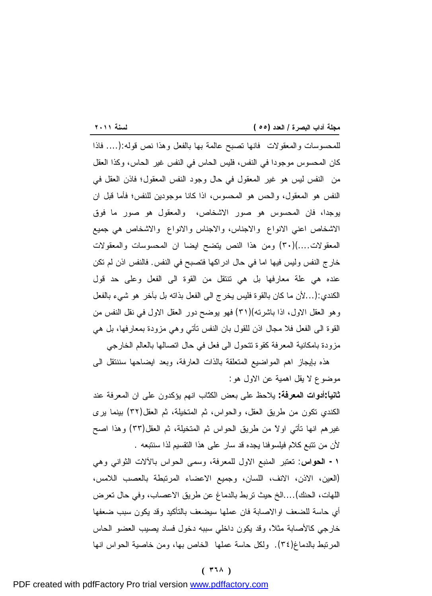PDF created with pdfFactory Pro trial version [www.pdffactory.com](http://www.pdffactory.com)

**-١ الحواس**: تعتبر المنبع الاول للمعرفة، وسمى الحواس بالآلات الثواني وهي (العين، الاذن، الانف، اللسان، وجميع الاعضاء المرتبطة بالعصب اللامس، اللهات، الحنك)....الخ حيث تربط بالدماغ عن طريق الاعصاب، وفي حال تعرض أي حاسة للضعف اوالاصابة فان عملها سيضعف بالتأكيد وقد يكون سبب ضعفها خارجي كالأصابة مثلاً، وقد يكون داخلي سببه دخول فساد يصيب العضو الحاس المرتبط بالدماغ(٣٤). ولكل حاسة عملها الخاص بها، ومن خاصية الحواس انها

موضوع لا يقل اهمية عن الاول هو: **ثانياً:أدوات المعرفة:** يلاحظ على بعض الكتّاب انهم يؤكدون على ان المعرفة عند الكندي تكون من طريق العقل، والحواس، ثم المتخيلة، ثم العقل(٣٢) بينما يرى غيرهم انها تأتي اولاً من طريق الحواس ثم المتخيلة، ثم العقل(٣٣) وهذا اصح لأن من تتبع كلام فيلسوفنا يجده قد سار على هذا التقسيم لذا سنتبعه .

هذه بإيجاز اهم المواضيع المتعلقة بالذات العارفة، وبعد ايضاحها سننتقل الى

<u> 1989 - Johann Stoff, deutscher Stoffen und der Stoffen und der Stoffen und der Stoffen und der Stoffen und der</u> للمحسوسات والمعقولات فانها تصبح عالمة بها بالفعل وهذا نص قوله:(.... فاذا كان المحسوس موجودا في النفس، فليس الحاس في النفس غير الحاس، وكذا العقل من النفس ليس هو غير المعقول في حال وجود النفس المعقول؛ فاذن العقل في النفس هو المعقول، والحس هو المحسوس، اذا كانا موجودين للنفس؛ فأما قبل ان يوجدا، فان المحسوس هو صور الاشخاص، والمعقول هو صور ما فوق الاشخاص اعني الانواع والاجناس، والاجناس والانواع والاشخاص هي جميع المعقولات....)(٣٠) ومن هذا النص يتضح ايضا ان المحسوسات والمعقولات خارج النفس وليس فيها اما في حال ادراكها فتصبح في النفس. فالنفس اذن لم تكن عنده هي علة معارفها بل هي تنتقل من القوة الى الفعل وعلى حد قول الكندي:(...لأن ما كان بالقوة فليس يخرج الى الفعل بذاته بل بآخر هو شيء بالفعل وهو العقل الاول، اذا باشرته)(٣١) فهو يوضح دور العقل الاول في نقل النفس من القوة الى الفعل فلا مجال اذن للقول بان النفس تأتي وهي مزودة بمعارفها، بل هي مزودة بامكانية المعرفة كقوة تتحول الى فعل في حال اتصالها بالعالم الخارجي

**مجلة آداب البصرة / العدد (٥٥ ) لسنة ٢٠١١**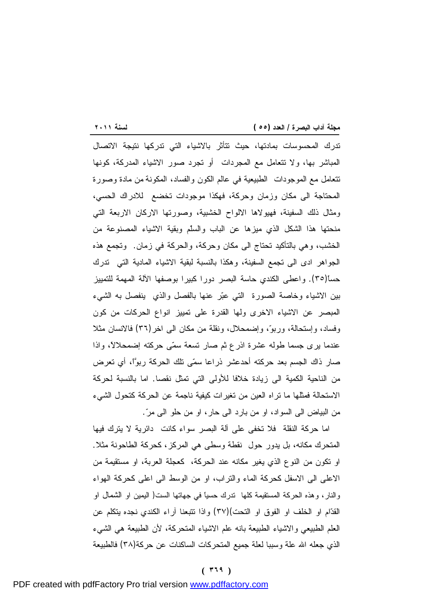<u> 1989 - Johann Stoff, deutscher Stoffen und der Stoffen und der Stoffen und der Stoffen und der Stoffen und der</u> تدرك المحسوسات بمادتها، حيث تتأثر بالاشياء التي تدركها نتيجة الاتصال المباشر بها، ولا تتعامل مع المجردات أو تجرد صور الاشياء المدركة، كونها تتعامل مع الموجودات الطبيعية في عالم الكون والفساد، المكونة من مادة وصورة المحتاجة الى مكان وزمان وحركة، فهكذا موجودات تخضع للادراك الحسي، ومثال ذلك السفينة، فهيولاها الالواح الخشبية، وصورتها الاركان الاربعة التي منحتها هذا الشكل الذي ميزها عن الباب والسلّم وبقية الاشياء المصنوعة من الخشب، وهي بالتأكيد تحتاج الى مكان وحركة، والحركة في زمان. وتجمع هذه الجواهر ادى الى تجمع السفينة، وهكذا بالنسبة لبقية الاشياء المادية التي تدرك حساً(٣٥). واعطى الكندي حاسة البصر دورا كبيرا بوصفها الآلة المهمة للتمييز بين الاشياء وخاصة الصورة التي عبر عنها بالفصل والذي ينفصل به الشيء المبصر عن الاشياء الاخرى ولها القدرة على تمييز انواع الحركات من كون وفساد، وإستحالة، وربو، وإضمحلال، ونقلة من مكان الى اخر(٣٦) فالانسان مثلا عندما يرى جسما طوله عشرة اذرع ثم صار تسعة سمى حركته إضمحلالاً، واذا صار ذاك الجسم بعد حركته أحدعشر ذراعا سمى تلك الحركة ربواً، أي تعرض من الناحية الكمية الى زيادة خلافا للأولى التي تمثل نقصا. اما بالنسبة لحركة الاستحالة فمثلها ما تراه العين من تغيرات كيفية ناجمة عن الحركة كتحول الشيء من البياض الى السواد، او من بارد الى حار، او من حلو الى مر.

اما حركة النقلة فلا تخفى على آلة البصر سواء كانت دائرية لا يترك فيها المتحرك مكانه، بل يدور حول نقطة وسطى هي المركز، كحركة الطاحونة مثلا. او تكون من النوع الذي يغير مكانه عند الحركة، كعجلة العربة، او مستقيمة من الاعلى الى الاسفل كحركة الماء والتراب، او من الوسط الى اعلى كحركة الهواء والنار، وهذه الحركة المستقيمة كلها تدرك حسياً في جهاتها الست( اليمين او الشمال او القدام او الخلف او الفوق او التحت)(٣٧) واذا تتبعنا آراء الكندي نجده يتكلم عن العلم الطبيعي والاشياء الطبيعة بانه علم الاشياء المتحركة، لأن الطبيعة هي الشيء الذي جعله االله علة وسببا لعلة جميع المتحركات الساكنات عن حركة(٣٨) فالطبيعة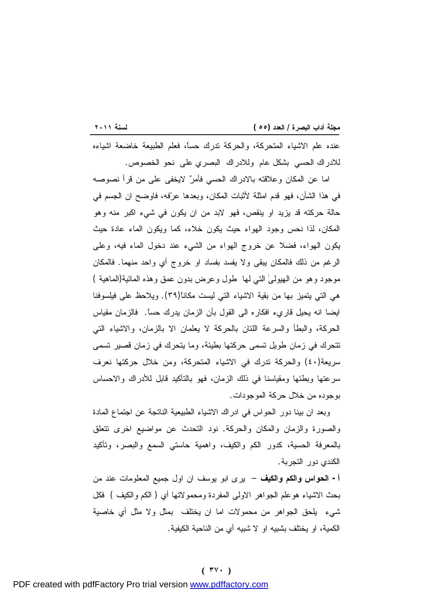<u> 1989 - Johann Stoff, deutscher Stoffen und der Stoffen und der Stoffen und der Stoffen und der Stoffen und der</u> عنده علم الاشياء المتحركة، والحركة تدرك حساً، فعلم الطبيعة خاضعة اشياءه للادراك الحسي بشكل عام وللادراك البصري على نحو الخصوص.

اما عن المكان وعلاقته بالادراك الحسي فأمر لايخفى على من قرأ نصوصه في هذا الشأن، فهو قدم امثلة لأثبات المكان، وبعدها عرفه، فاوضح ان الجسم في حالة حركته قد يزيد او ينقص، فهو لابد من ان يكون في شيء اكبر منه وهو المكان، لذا نحس وجود الهواء حيث يكون خلاء، كما ويكون الماء عادة حيث يكون الهواء، فضلا عن خروج الهواء من الشيء عند دخول الماء فيه، وعلى الرغم من ذلك فالمكان يبقى ولا يفسد بفساد او خروج أي واحد منهما. فالمكان موجود وهو من الهيولىٰ التي لها طول وعرض بدون عمق وهذه المائية(الماهية ) هي التي يتميز بها من بقية الاشياء التي ليست مكاناً(٣٩). ويلاحظ على فيلسوفنا ايضا انه يحيل قاريء افكاره الى القول بأن الزمان يدرك حساً. فالزمان مقياس الحركة، والبطأ والسرعة اللتان بالحركة لا يعلمان الا بالزمان، والاشياء التي تتحرك في زمان طويل تسمى حركتها بطيئة، وما يتحرك في زمان قصير تسمى سريعة(٤٠) والحركة تدرك في الاشياء المتحركة، ومن خلال حركتها نعرف سرعتها وبطئها ومقياسنا في ذلك الزمان، فهو بالتأكيد قابل للأدراك والاحساس بوجوده من خلال حركة الموجودات.

وبعد ان بينا دور الحواس في ادراك الاشياء الطبيعية الناتجة عن اجتماع المادة والصورة والزمان والمكان والحركة. نود التحدث عن مواضيع اخرى تتعلق بالمعرفة الحسية، كدور الكم والكيف، واهمية حاستي السمع والبصر، وتأكيد الكندي دور التجربة.

**أ- الحواس والكم والكيف** – يرى ابو يوسف ان اول جميع المعلومات عند من بحث الاشياء هوعلم الجواهر الاولى المفردة ومحمولاتها أي ( الكم والكيف ) فكل شيء يلحق الجواهر من محمولات اما ان يختلف بمثل ولا مثل أي خاصية الكمية، او يختلف بشبيه او لا شبيه أي من الناحية الكيفية.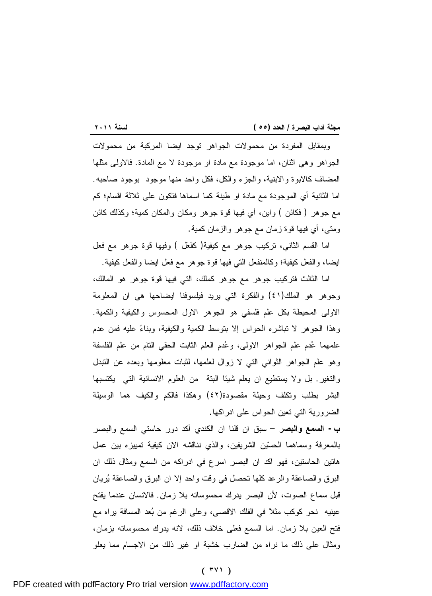<u> 1989 - Johann Stoff, deutscher Stoffen und der Stoffen und der Stoffen und der Stoffen und der Stoffen und der</u> وبمقابل المفردة من محمولات الجواهر توجد ايضا المركبة من محمولات الجواهر وهي اثنان، اما موجودة مع مادة او موجودة لا مع المادة. فالاولى مثلها المضاف كالابوة والابنية، والجزء والكل، فكل واحد منها موجود بوجود صاحبه. اما الثانية أي الموجودة مع مادة او طينة كما اسماها فتكون على ثلاثة اقسام؛ كم مع جوهر ( فكائن ) واين، أي فيها قوة جوهر ومكان والمكان كمية؛ وكذلك كائن ومتى، أي فيها قوة زمان مع جوهر والزمان كمية.

اما القسم الثاني، تركيب جوهر مع كيفية( كفَعل ) وفيها قوة جوهر مع فعل ايضا، والفعل كيفية؛ وكالمنفعل التي فيها قوة جوهر مع فعل ايضا والفعل كيفية.

اما الثالث فتركيب جوهر مع جوهر كملك، التي فيها قوة جوهر هو المالك، وجوهر هو الملك(٤١) والفكرة التي يريد فيلسوفنا ايضاحها هي ان المعلومة الاولى المحيطة بكل علم فلسفي هو الجوهر الاول المحسوس والكيفية والكمية. وهذا الجوهر لا تباشره الحواس إلا بتوسط الكمية والكيفية، وبناء عليه فمن عدم علمهما عُدم علم الجواهر الاولى، وعُدم العلم الثابت الحقي التام من علم الفلسفة وهو علم الجواهر الثواني التي لا زوال لعلمها، لثبات معلومها وبعده عن التبدل والتغير. بل ولا يستطيع ان يعلم شيئا البتة من العلوم الانسانية التي يكتسبها البشر بطلب وتكلف وحيلة مقصودة(٤٢) وهكذا فالكم والكيف هما الوسيلة الضرورية التي تعين الحواس على ادراكها.

**ب- السمع والبصر** – سبق ان قلنا ان الكندي أكد دور حاستي السمع والبصر بالمعرفة وسماهما الحسين الشريفين، والذي نناقشه الان كيفية تمييزه بين عمل هاتين الحاستين، فهو اكد ان البصر اسرع في ادراكه من السمع ومثال ذلك ان البرق والصاعقة والرعد كلها تحصل في وقت واحد إلا ان البرق والصاعقة يريان قبل سماع الصوت، لأن البصر يدرك محسوساته بلا زمان. فالانسان عندما يفتح عينيه نحو كوكب مثلاً في الفلك الاقصى، وعلى الرغم من بعد المسافة يراه مع فتح العين بلا زمان. اما السمع فعلى خلاف ذلك، لانه يدرك محسوساته بزمان، ومثال على ذلك ما نراه من الضارب خشبة او غير ذلك من الاجسام مما يعلو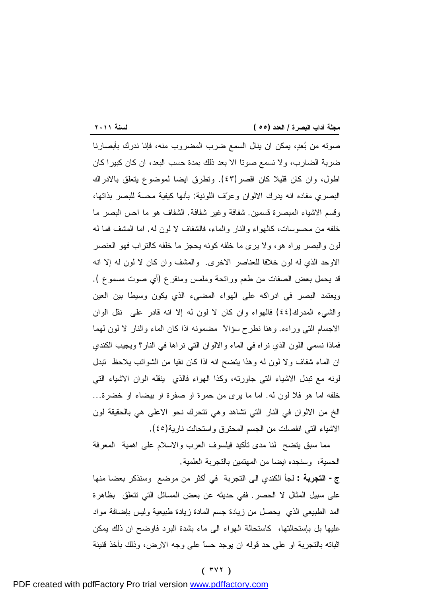<u> 1989 - Johann Stoff, deutscher Stoffen und der Stoffen und der Stoffen und der Stoffen und der Stoffen und der</u> صوته من بعد، يمكن ان ينال السمع ضرب المضروب منه، فإنا ندرك بأبصارنا ضربة الضارب، ولا نسمع صوتا الا بعد ذلك بمدة حسب البعد، ان كان كبيرا كان اطول، وان كان قليلا كان اقصر(٤٣). وتطرق ايضا لموضوع يتعلق بالادراك البصري مفاده انه يدرك الالوان وعرف اللونية: بأنها كيفية محسة للبصر بذاتها، وقسم الاشياء المبصرة قسمين. شفافة وغير شفافة. الشفاف هو ما احس البصر ما خلفه من محسوسات، كالهواء والنار والماء، فالشفاف لا لون له. اما المشف فما له لون والبصر يراه هو، ولا يرى ما خلفه كونه يحجز ما خلفه كالتراب فهو العنصر الاوحد الذي له لون خلافا للعناصر الاخرى. والمشف وان كان لا لون له إلا انه قد يحمل بعض الصفات من طعم ورائحة وملمس ومنقرع (أي صوت مسموع ). ويعتمد البصر في ادراكه على الهواء المضيء الذي يكون وسيطا بين العين والشيء المدرك(٤٤) فالهواء وان كان لا لون له إلا انه قادر على نقل الوان الاجسام التي وراءه. وهنا نطرح سؤالاً مضمونه اذا كان الماء والنار لا لون لهما فماذا نسمي اللون الذي نراه في الماء والالوان التي نراها في النار؟ ويجيب الكندي ان الماء شفاف ولا لون له وهذا يتضح انه اذا كان نقيا من الشوائب يلاحظ تبدل لونه مع تبدل الاشياء التي جاورته، وكذا الهواء فالذي ينقله الوان الاشياء التي خلفه اما هو فلا لون له. اما ما يرى من حمرة او صفرة او بيضاء او خضرة... الخ من الالوان في النار التي تشاهد وهي تتحرك نحو الاعلى هي بالحقيقة لون الاشياء التي انفصلت من الجسم المحترق واستحالت نارية(٤٥).

مما سبق يتضح لنا مدى تأكيد فيلسوف العرب والاسلام على اهمية المعرفة الحسية، وسنجده ايضا من المهتمين بالتجربة العلمية.

**ج- التجربة :** لجأ الكندي الى التجربة في أكثر من موضع وسنذكر بعضا منها على سبيل المثال لا الحصر. ففي حديثه عن بعض المسائل التي تتعلق بظاهرة المد الطبيعي الذي يحصل من زيادة جسم المادة زيادة طبيعية وليس بإضافة مواد عليها بل بإستحالتها، كاستحالة الهواء الى ماء بشدة البرد فاوضح ان ذلك يمكن اثباته بالتجربة او على حد قوله ان يوجد حساً على وجه الارض، وذلك بأخذ قنينة

#### **( ٣٧٢ )**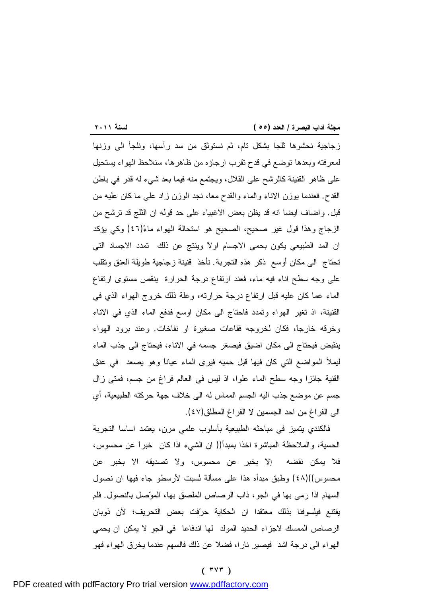<u> 1989 - Johann Stoff, deutscher Stoffen und der Stoffen und der Stoffen und der Stoffen und der Stoffen und der</u> زجاجية نحشوها ثلجا بشكل تام، ثم نستوثق من سد رأسها، ونلجأ الى وزنها لمعرفته وبعدها توضع في قدح تقرب ارجاؤه من ظاهرها، سنلاحظ الهواء يستحيل على ظاهر القنينة كالرشح على القلال، ويجتمع منه فيما بعد شيء له قدر في باطن القدح. فعندما يوزن الاناء والماء والقدح معا، نجد الوزن زاد على ما كان عليه من قبل. واضاف ايضا انه قد يظن بعض الاغبياء على حد قوله ان الثلج قد ترشح من الزجاج وهذا قول غير صحيح، الصحيح هو استحالة الهواء ماء)٤٦ (وكي يؤكد ان المد الطبيعي يكون بحمي الاجسام اولاً وينتج عن ذلك تمدد الاجساد التي تحتاج الى مكان أوسع ذكر هذه التجربة. نأخذ قنينة زجاجية طويلة العنق وتقلب على وجه سطح اناء فيه ماء، فعند ارتفاع درجة الحرارة ينقص مستوى ارتفاع الماء عما كان عليه قبل ارتفاع درجة حرارته، وعلة ذلك خروج الهواء الذي في القنينة، اذ تغير الهواء وتمدد فاحتاج الى مكان اوسع فدفع الماء الذي في الاناء وخرقه خارجاً، فكان لخروجه فقاعات صغيرة او نفاخات. وعند برود الهواء ينقبض فيحتاج الى مكان اضيق فيصغر جسمه في الاناء، فيحتاج الى جذب الماء ليملأ المواضع التي كان فيها قبل حميه فيرى الماء عياناً وهو يصعد في عنق القنية جائزا وجه سطح الماء علوا، اذ ليس في العالم فراغ من جسم، فمتى زال جسم عن موضع جذب اليه الجسم المماس له الى خلاف جهة حركته الطبيعية، أي الى الفراغ من احد الجسمين لا الفراغ المطلق(٤٧).

فالكندي يتميز في مباحثه الطبيعية بأسلوب علمي مرن، يعتمد اساسا التجربة الحسية، والملاحظة المباشرة اخذا بمبدأ(( ان الشيء اذا كان خبراً عن محسوس، فلا يمكن نقضه إلا بخبر عن محسوس، ولا تصديقه الا بخبر عن محسوس))(٤٨) وطبق مبدأه هذا على مسألة نُسبت لأرسطو جاء فيها ان نصول السهام اذا رمى بها في الجو، ذاب الرصاص الملصق بها، الموصل بالنصول. فلم يقتنع فيلسوفنا بذلك معتقدا ان الحكاية حرفت بعض التحريف؛ لأن ذوبان الرصاص الممسك لاجزاء الحديد المولد لها اندفاعا في الجو لا يمكن ان يحمي الهواء الى درجة اشد فيصير نارا، فضلا عن ذلك فالسهم عندما يخرق الهواء فهو

#### **( ٣٧٣ )**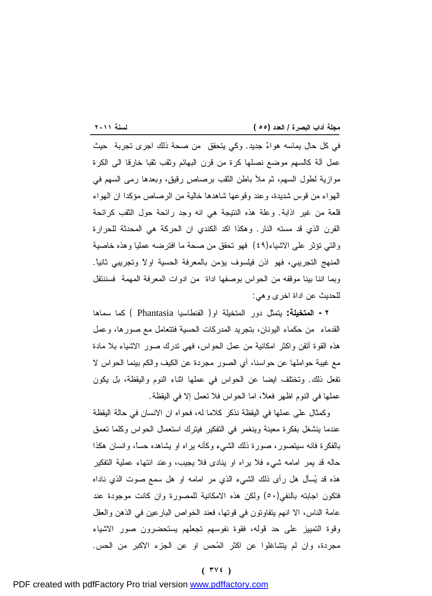<u> 1989 - Johann Barnett, mars eta industrial eta industrial eta industrial eta industrial eta industrial eta i</u> في كل حال يماسه هواء جديد. وكي يتحقق من صحة ذلك اجرى تجربة حيث عمل آلة كالسهم موضع نصلها كرة من قرن البهائم وثقب ثقبا خارقا الى الكرة موازية لطول السهم، ثم ملأ باطن الثقب برصاصٍ رقيق، وبعدها رمى السهم في الهواء من قوس شديدة، وعند وقوعها شاهدها خالية من الرصاص مؤكدا ان الهواء قلعة من غير اذابة. وعلة هذه النتيجة هي انه وجد رائحة حول الثقب كرائحة القرن الذي قد مسته النار. وهكذا اكد الكندي ان الحركة هي المحدثة للحرارة والتي تؤثر على الاشياء(٤٩) فهو تحقق من صحة ما افترضه عمليا وهذه خاصية المنهج التجريبي، فهو اذن فيلسوف يؤمن بالمعرفة الحسية اولاً وتجريبي ثانياً. وبما اننا بينا موقفه من الحواس بوصفها اداة من ادوات المعرفة المهمة فسننتقل للحديث عن اداة اخرى وهي:

**-٢ المتخيلة:** يتمثل دور المتخيلة او( الفنطاسيا Phantasia ( كما سماها القدماء من حكماء اليونان، بتجريد المدركات الحسية فتتعامل مع صورها، وعمل هذه القوة أتقن واكثر امكانية من عمل الحواس، فهي تدرك صور الاشياء بلا مادة مع غيبة حواملها عن حواسنا، أي الصور مجردة عن الكيف والكم بينما الحواس لا تفعل ذلك. وتختلف ايضا عن الحواس في عملها اثناء النوم واليقظة، بل يكون عملها في النوم اظهر فعلاً، اما الحواس فلا تعمل إلا في اليقظة.

وكمثال على عملها في اليقظة نذكر كلاما له، فحواه ان الانسان في حالة اليقظة عندما ينشغل بفكرة معينة وينغمر في التفكير فيترك استعمال الحواس وكلما تعمق بالفكرة فانه سيتصور، صورة ذلك الشيء وكأنه يراه او يشاهده حساً، وانسان هكذا حاله قد يمر امامه شيء فلا يراه او ينادى فلا يجيب، وعند انتهاء عملية التفكير هذه قد يسأل هل رأى ذلك الشيء الذي مر امامه او هل سمع صوت الذي ناداه فتكون اجابته بالنفي(٥٠) ولكن هذه الامكانية للمصورة وان كانت موجودة عند عامة الناس، الا انهم يتفاوتون في قوتها، فعند الخواص البارعين في الذهن والعقل وقوة التمييز على حد قوله، فقوة نفوسهم تجعلهم يستحضرون صور الاشياء مجردة، وان لم يتشاغلوا عن اكثر المحس او عن الجزء الاكبر من الحس.

#### **( ٣٧٤ )**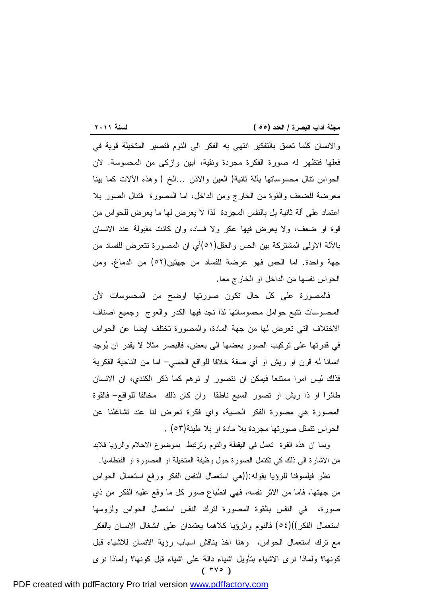<u> 1989 - Johann Barnett, mars eta industrial eta industrial eta industrial eta industrial eta industrial eta i</u> والانسان كلما تعمق بالتفكير انتهى به الفكر الى النوم فتصير المتخيلة قوية في فعلها فتظهر له صورة الفكرة مجردة ونقية، أبين وازكى من المحسوسة. لان الحواس تنال محسوساتها بآلة ثانية( العين والاذن ...الخ ) وهذه الآلات كما بينا معرضة للضعف والقوة من الخارج ومن الداخل، اما المصورة فتنال الصور بلا اعتماد على آلة ثانية بل بالنفس المجردة لذا لا يعرض لها ما يعرض للحواس من قوة او ضعف، ولا يعرض فيها عكر ولا فساد، وان كانت مقبولة عند الانسان بالآلة الاولى المشتركة بين الحس والعقل(٥١)أي ان المصورة تتعرض للفساد من جهة واحدة. اما الحس فهو عرضة للفساد من جهتين(٥٢) من الدماغ، ومن الحواس نفسها من الداخل او الخارج معا.

فالمصورة على كل حال تكون صورتها اوضح من المحسوسات لأن المحسوسات تتبع حوامل محسوساتها لذا نجد فيها الكدر والعوج وجميع اصناف الاختلاف التي تعرض لها من جهة المادة، والمصورة تختلف ايضا عن الحواس في قدرتها على تركيب الصور بعضها الى بعض، فالبصر مثلا لا يقدر ان يوجِد انسانا له قرن او ريش او أي صفة خلافا للواقع الحسي– اما من الناحية الفكرية فذلك ليس امرا ممتنعا فيمكن ان نتصور او نوهم كما ذكر الكندي، ان الانسان طائراً او ذا ريش او تصور السبع ناطقا وان كان ذلك مخالفا للواقع– فالقوة المصورة هي مصورة الفكر الحسية، واي فكرة تعرض لنا عند تشاغلنا عن الحواس تتمثل صورتها مجردة بلا مادة او بلا طينة(٥٣) .

وبما ان هذه القوة تعمل في اليقظة والنوم وترتبط بموضوع الاحلام والرؤيا فلابد من الاشارة الى ذلك كي تكتمل الصورة حول وظيفة المتخيلة او المصورة او الفنطاسيا.

**( ٣٧٥ )** نظر فيلسوفنا للرؤيا بقوله:((هي استعمال النفس الفكر ورفع استعمال الحواس من جهتها، فاما من الاثر نفسه، فهي انطباع صور كل ما وقع عليه الفكر من ذي صورة، في النفس بالقوة المصورة لترك النفس استعمال الحواس ولزومها استعمال الفكر))(٥٤) فالنوم والرؤيا كلاهما يعتمدان على انشغال الانسان بالفكر مع ترك استعمال الحواس، وهنا اخذ يناقش اسباب رؤية الانسان للاشياء قبل كونها؟ ولماذا نرى الاشياء بتأويل اشياء دالة على اشياء قبل كونها؟ ولماذا نرى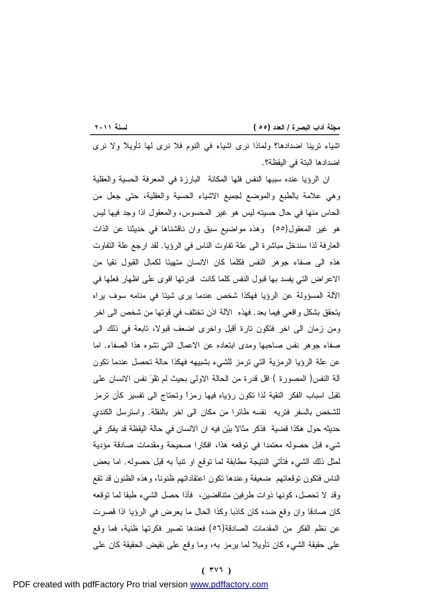<u> 1989 - Johann Barnett, mars eta industrial eta industrial eta industrial eta industrial eta industrial eta i</u> اشياء ترينا اضدادها؟ ولماذا نرى اشياء في النوم فلا نرى لها تأويلاً ولا نرى اضدادها البتة في اليقظة؟.

ان الرؤيا عنده سببها النفس فلها المكانة البارزة في المعرفة الحسية والعقلية وهي علامة بالطبع والموضع لجميع الاشياء الحسية والعقلية، حتى جعل من الحاس منها في حال حسيته ليس هو غير المحسوس، والمعقول اذا وجد فيها ليس هو غير المعقول(٥٥) وهذه مواضيع سبق وان ناقشناها في حديثنا عن الذات العارفة لذا سندخل مباشرة الى علة تفاوت الناس في الرؤيا. لقد ارجع علة التفاوت هذه الى صفاء جوهر النفس فكلما كان الانسان متهيئا لكمال القبول نقيا من الاعراض التي يفسد بها قبول النفس كلما كانت قدرتها اقوى على اظهار فعلها في الآلة المسؤولة عن الرؤيا فهكذا شخص عندما يرى شيئا في منامه سوف يراه يتحقق بشكل واقعي فيما بعد. فهذه الآلة اذن تختلف في قوتها من شخص الى اخر ومن زمان الى اخر فتكون تارة أقبل واخرى اضعف قبولا، تابعة في ذلك الى صفاء جوهر نفس صاحبها ومدى ابتعاده عن الاعمال التي تشوه هذا الصفاء. اما عن علة الرؤيا الرمزية التي ترمز للشيء بشبيهه فهكذا حالة تحصل عندما تكون آلة النفس( المصورة ) اقل قدرة من الحالة الاولى بحيث لم تقْو نفس الانسان على تقبل اسباب الفكر النقية لذا تكون رؤياه فيها رمزاً وتحتاج الى تفسير كأن ترمز للشخص بالسفر فتريه نفسه طائرا من مكان الى اخر بالنقلة. واسترسل الكندي حديثه حول هكذا قضية فذكر مثالا بين فيه ان الانسان في حالة اليقظة قد يفكر في شيء قبل حصوله معتمدا في توقعه هذا، افكارا صحيحة ومقدمات صادقة مؤدية لمثل ذلك الشيء فتأتي النتيجة مطابقة لما توقع او تنبأ به قبل حصوله. اما بعض الناس فتكون توقعاتهم ضعيفة وعندها تكون اعتقاداتهم ظنوناً، وهذه الظنون قد تقع وقد لا تحصل، كونها ذوات طرفين متناقضين، فأذا حصل الشيء طبقا لما توقعه كان صادقا وان وقع ضده كان كاذبا وكذا الحال ما يعرض في الرؤيا اذا قصرت عن نظم الفكر من المقدمات الصادقة(٥٦) فعندها تصير فكرتها ظنية، فما وقع على حقيقة الشيء كان تأويلا لما يرمز به، وما وقع على نقيض الحقيقة كان على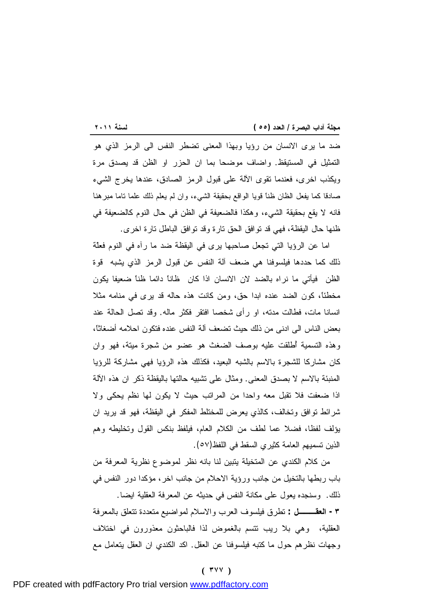<u> 1989 - Johann Barnett, mars eta industrial eta industrial eta industrial eta industrial eta industrial eta i</u> ضد ما يرى الانسان من رؤيا وبهذا المعنى تضطر النفس الى الرمز الذي هو التمثيل في المستيقظ. واضاف موضحا بما ان الحزر او الظن قد يصدق مرة ويكذب اخرى، فعندما تقوى الآلة على قبول الرمز الصادق، عندها يخرج الشيء صادقا كما يفعل الظان ظناً قويا الواقع بحقيقة الشيء، وان لم يعلم ذلك علما تاما مبرهنا فانه لا يقع بحقيقة الشيء، وهكذا فالضعيفة في الظن في حال النوم كالضعيفة في ظنها حال اليقظة، فهي قد توافق الحق تارة وقد توافق الباطل تارة اخرى.

اما عن الرؤيا التي تجعل صاحبها يرى في اليقظة ضد ما رآه في النوم فعلّة ذلك كما حددها فيلسوفنا هي ضعف آلة النفس عن قبول الرمز الذي يشبه قوة الظن فيأتي ما نراه بالضد لان الانسان اذا كان ظاناً دائما ظناً ضعيفا يكون مخطئاً، كون الضد عنده ابدا حق، ومن كانت هذه حاله قد يرى في منامه مثلا انسانا مات، فطالت مدته، او رأى شخصا افتقر فكثر ماله. وقد تصل الحالة عند بعض الناس الى ادنى من ذلك حيث تضعف آلة النفس عنده فتكون احلامه أضغاثاً، وهذه التسمية أُطلقت عليه بوصف الضغث هو عضو من شجرة ميتة، فهو وان كان مشاركا للشجرة بالاسم بالشبه البعيد، فكذلك هذه الرؤيا فهي مشاركة للرؤيا المنبئة بالاسم لا بصدق المعنى. ومثال على تشبيه حالتها باليقظة ذكر ان هذه الآلة اذا ضعفت فلا تقبل معه واحدا من المراتب حيث لا يكون لها نظم يحكى ولا شرائط توافق وتخالف، كالذي يعرض للمختلط المفكر في اليقظة، فهو قد يريد ان يؤلف لفظا، فضلا عما لطف من الكلام العام، فيلفظ بنكس القول وتخليطه وهم الذين تسميهم العامة كثيري السقط في اللفظ(٥٧).

من كلام الكندي عن المتخيلة يتبين لنا بانه نظر لموضوع نظرية المعرفة من باب ربطها بالتخيل من جانب ورؤية الاحلام من جانب اخر، مؤكدا دور النفس في ذلك. وسنجده يعول على مكانة النفس في حديثه عن المعرفة العقلية ايضا. **-٣ العقـــل :** تطرق فيلسوف العرب والاسلام لمواضيع متعددة تتعلق بالمعرفة العقلية، وهي بلا ريب تتسم بالغموض لذا فالباحثون معذورون في اختلاف وجهات نظرهم حول ما كتبه فيلسوفنا عن العقل. اكد الكندي ان العقل يتعامل مع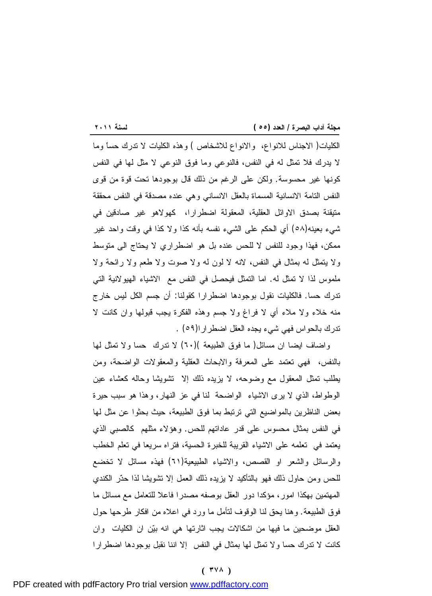<u> 1989 - Johann Stein, marwolaethau a bh</u> الكليات( الاجناس للانواع، والانواع للاشخاص ) وهذه الكليات لا تدرك حساً وما لا يدرك فلا تمثل له في النفس، فالنوعي وما فوق النوعي لا مثل لها في النفس كونها غير محسوسة. ولكن على الرغم من ذلك قال بوجودها تحت قوة من قوى النفس التامة الانسانية المسماة بالعقل الانساني وهي عنده مصدقة في النفس محققة متيقنة بصدق الاوائل العقلية، المعقولة اضطرارا، كهولاهو غير صادقين في شيء بعينه(٥٨) أي الحكم على الشيء نفسه بأنه كذا ولا كذا في وقت واحد غير ممكن، فهذا وجود للنفس لا للحس عنده بل هو اضطراري لا يحتاج الى متوسط ولا يتمثل له بمثال في النفس، لانه لا لون له ولا صوت ولا طعم ولا رائحة ولا ملموس لذا لا تمثل له. اما التمثل فيحصل في النفس مع الاشياء الهيولانية التي تدرك حسا. فالكليات نقول بوجودها اضطرارا كقولنا: أن جسم الكل ليس خارج منه خلاء ولا ملاء أي لا فراغ ولا جسم وهذه الفكرة يجب قبولها وان كانت لا تدرك بالحواس فهي شيء يجده العقل اضطرارا(٥٩) .

واضاف ايضا ان مسائل( ما فوق الطبيعة )(٦٠) لا تدرك حسا ولا تمثل لها بالنفس، فهي تعتمد على المعرفة والابحاث العقلية والمعقولات الواضحة، ومن يطلب تمثل المعقول مع وضوحه، لا يزيده ذلك إلا تشويشا وحاله كعشاء عين الوطواط، الذي لا يرى الاشياء الواضحة لنا في عز النهار، وهذا هو سبب حيرة بعض الناظرين بالمواضيع التي ترتبط بما فوق الطبيعة، حيث بحثوا عن مثل لها في النفس بمثال محسوس على قدر عاداتهم للحس. وهؤلاء مثلهم كالصبي الذي يعتمد في تعلمه على الاشياء القريبة للخبرة الحسية، فتراه سريعا في تعلم الخطب والرسائل والشعر او القصص، والاشياء الطبيعية(٦١) فهذه مسائل لا تخضع للحس ومن حاول ذلك فهو بالتأكيد لا يزيده ذلك العمل إلا تشويشا لذا حذّر الكندي المهتمين بهكذا امور، مؤكدا دور العقل بوصفه مصدرا فاعلا للتعامل مع مسائل ما فوق الطبيعة. وهنا يحق لنا الوقوف لتأمل ما ورد في اعلاه من افكار طرحها حول العقل موضحين ما فيها من اشكالات يجب اثارتها هي انه بين ان الكليات وان كانت لا تدرك حسا ولا تمثل لها بمثال في النفس إلا اننا نقبل بوجودها اضطرارا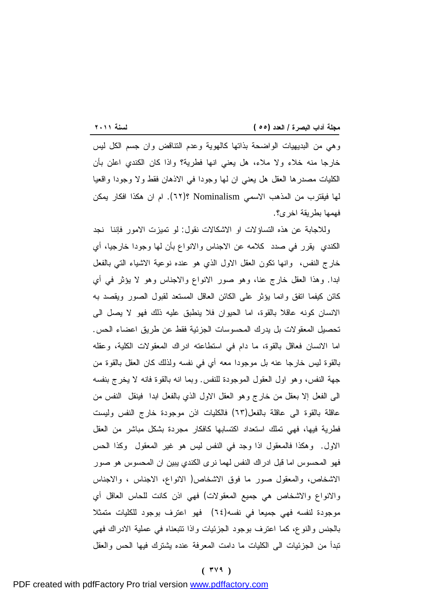<u> 1989 - Johann Barnett, mars eta industrial eta industrial eta industrial eta industrial eta industrial eta i</u> وهي من البديهيات الواضحة بذاتها كالهوية وعدم التناقض وان جسم الكل ليس خارجا منه خلاء ولا ملاء، هل يعني انها فطرية؟ واذا كان الكندي اعلن بأن الكليات مصدرها العقل هل يعني ان لها وجودا في الاذهان فقط ولا وجودا واقعيا لها فيقترب من المذهب الاسمي Nominalism ؟(٦٢). ام ان هكذا افكار يمكن فهمها بطريقة اخرى؟.

وللاجابة عن هذه التساؤلات او الاشكالات نقول: لو تميزت الامور فإننا نجد الكندي يقرر في صدد كلامه عن الاجناس والانواع بأن لها وجودا خارجيا، أي خارج النفس، وانها تكون العقل الاول الذي هو عنده نوعية الاشياء التي بالفعل ابدا. وهذا العقل خارج عنا، وهو صور الانواع والاجناس وهو لا يؤثر في أي كائن كيفما اتفق وانما يؤثر على الكائن العاقل المستعد لقبول الصور ويقصد به الانسان كونه عاقلا بالقوة، اما الحيوان فلا ينطبق عليه ذلك فهو لا يصل الى تحصيل المعقولات بل يدرك المحسوسات الجزئية فقط عن طريق اعضاء الحس. اما الانسان فعاقل بالقوة، ما دام في استطاعته ادراك المعقولات الكلية، وعقله بالقوة ليس خارجا عنه بل موجودا معه أي في نفسه ولذلك كان العقل بالقوة من جهة النفس، وهو اول العقول الموجودة للنفس. وبما انه بالقوة فانه لا يخرج بنفسه الى الفعل إلا بعقل من خارج وهو العقل الاول الذي بالفعل ابدا فينقل النفس من عاقلة بالقوة الى عاقلة بالفعل(٦٣) فالكليات اذن موجودة خارج النفس وليست فطرية فيها، فهي تملك استعداد اكتسابها كافكار مجردة بشكل مباشر من العقل الاول. وهكذا فالمعقول اذا وجد في النفس ليس هو غير المعقول وكذا الحس فهو المحسوس اما قبل ادراك النفس لهما نرى الكندي يبين ان المحسوس هو صور الاشخاص، والمعقول صور ما فوق الاشخاص( الانواع، الاجناس ، والاجناس والانواع والاشخاص هي جميع المعقولات) فهي اذن كانت للحاس العاقل أي موجودة لنفسه فهي جميعا في نفسه(٦٤) فهو اعترف بوجود للكليات متمثلا بالجنس والنوع، كما اعترف بوجود الجزئيات واذا تتبعناه في عملية الادراك فهي تبدأ من الجزئيات الى الكليات ما دامت المعرفة عنده يشترك فيها الحس والعقل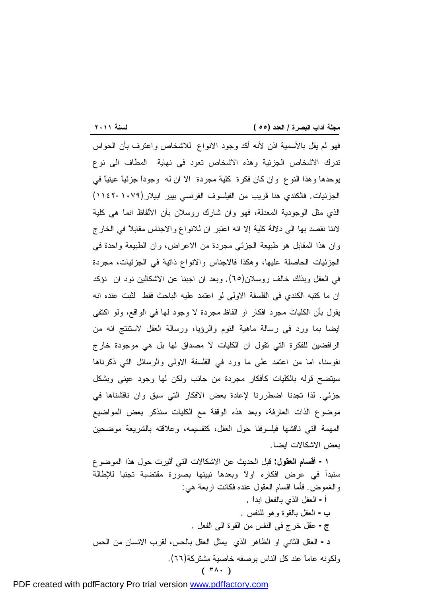$\frac{1}{2}$  and  $\frac{1}{2}$  and  $\frac{1}{2}$  and  $\frac{1}{2}$  and  $\frac{1}{2}$  and  $\frac{1}{2}$  and  $\frac{1}{2}$  and  $\frac{1}{2}$  and  $\frac{1}{2}$  and  $\frac{1}{2}$  and  $\frac{1}{2}$  and  $\frac{1}{2}$  and  $\frac{1}{2}$  and  $\frac{1}{2}$  and  $\frac{1}{2}$  and  $\frac{1}{2}$  a فهو لم يقل بالأسمية اذن لأنه أكد وجود الانواع للاشخاص واعترف بأن الحواس تدرك الاشخاص الجزئية وهذه الاشخاص تعود في نهاية المطاف الى نوع يوحدها وهذا النوع وان كان فكرة كلية مجردة الا ان له وجوداً جزئياً عينياً في الجزئيات. فالكندي هنا قريب من الفيلسوف الفرنسي بيير ابيلار(-١٠٧٩ ١١٤٢) الذي مثل الوجودية المعدلة، فهو وان شارك روسلان بأن الألفاظ انما هي كلية لاننا نقصد بها الى دلالة كلية إلا انه اعتبر ان للانواع والاجناس مقابلاً في الخارج وان هذا المقابل هو طبيعة الجزئي مجردة من الاعراض، وان الطبيعة واحدة في الجزئيات الحاصلة عليها، وهكذا فالاجناس والانواع ذاتية في الجزئيات، مجردة في العقل وبذلك خالف روسلان(٦٥). وبعد ان اجبنا عن الاشكالين نود ان نؤكد ان ما كتبه الكندي في الفلسفة الاولى لو اعتمد عليه الباحث فقط لثبت عنده انه يقول بأن الكليات مجرد افكار او الفاظ مجردة لا وجود لها في الواقع، ولو اكتفى ايضا بما ورد في رسالة ماهية النوم والرؤيا، ورسالة العقل لاستنتج انه من الرافضين للفكرة التي تقول ان الكليات لا مصداق لها بل هي موجودة خارج نفوسنا، اما من اعتمد على ما ورد في الفلسفة الاولى والرسائل التي ذكرناها سيتضح قوله بالكليات كأفكار مجردة من جانب ولكن لها وجود عيني وبشكل جزئي. لذا تجدنا اضطررنا لإعادة بعض الافكار التي سبق وان ناقشناها في موضوع الذات العارفة، وبعد هذه الوقفة مع الكليات سنذكر بعض المواضيع المهمة التي ناقشها فيلسوفنا حول العقل، كتقسيمه، وعلاقته بالشريعة موضحين بعض الاشكالات ايضا.

**-١ أقسام العقول:** قبل الحديث عن الاشكالات التي أُثيرت حول هذا الموضوع سنبدأ في عرض افكاره اولاً وبعدها نبينها بصورة مقتضبة تجنبا للإطالة والغموض. فأما اقسام العقول عنده فكانت اربعة هي:

**( ٣٨٠ ) أ-** العقل الذي بالفعل ابداً . **ب-** العقل بالقوة وهو للنفس . **ج-** عقل خرج في النفس من القوة الى الفعل . **د-** العقل الثاني او الظاهر الذي يمثل العقل بالحس، لقرب الانسان من الحس ولكونه عاماً عند كل الناس بوصفه خاصية مشتركة(٦٦).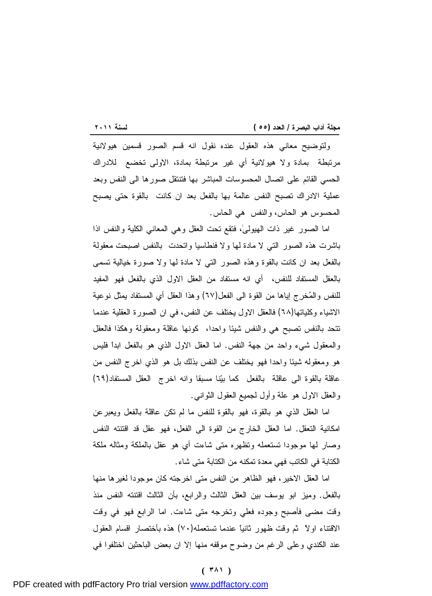<u> 1989 - Johann Barnett, mars eta industrial eta industrial eta industrial eta industrial eta industrial eta i</u> ولتوضيح معاني هذه العقول عنده نقول انه قسم الصور قسمين هيولانية مرتبطة بمادة ولا هيولانية أي غير مرتبطة بمادة، الاولى تخضع للادراك الحسي القائم على اتصال المحسوسات المباشر بها فتنتقل صورها الى النفس وبعد عملية الادراك تصبح النفس عالمة بها بالفعل بعد ان كانت بالقوة حتى يصبح المحسوس هو الحاس، والنفس هي الحاس.

اما الصور غير ذات الهيولى،ٰ فتقع تحت العقل وهي المعاني الكلية والنفس اذا باشرت هذه الصور التي لا مادة لها ولا فنطاسيا واتحدت بالنفس اصبحت معقولة بالفعل بعد ان كانت بالقوة وهذه الصور التي لا مادة لها ولا صورة خيالية تسمى بالعقل المستفاد للنفس، أي انه مستفاد من العقل الاول الذي بالفعل فهو المفيد للنفس والمخرِج إياها من القوة الى الفعل(٦٧) وهذا العقل أي المستفاد يمثل نوعية الاشياء وكلياتها(٦٨) فالعقل الاول يختلف عن النفس، في ان الصورة العقلية عندما تتحد بالنفس تصبح هي والنفس شيئا واحدا، كونها عاقلة ومعقولة وهكذا فالعقل والمعقول شيء واحد من جهة النفس. اما العقل الاول الذي هو بالفعل ابداً فليس هو ومعقوله شيئا واحدا فهو يختلف عن النفس بذلك بل هو الذي اخرج النفس من عاقلة بالقوة الى عاقلة بالفعل كما بينا مسبقا وانه اخرج العقل المستفاد(٦٩) والعقل الاول هو علة وأول لجميع العقول الثواني.

اما العقل الذي هو بالقوة، فهو بالقوة للنفس ما لم تكن عاقلة بالفعل ويعبرعن امكانية التعقل. اما العقل الخارج من القوة الى الفعل، فهو عقل قد اقتنته النفس وصار لها موجودا تستعمله وتظهره متى شاءت أي هو عقل بالملكة ومثاله ملكة الكتابة في الكاتب فهي معدة تمكنه من الكتابة متى شاء.

اما العقل الاخير، فهو الظاهر من النفس متى اخرجته كان موجودا لغيرها منها بالفعل. وميز ابو يوسف بين العقل الثالث والرابع، بأن الثالث اقتنته النفس منذ وقت مضى فأصبح وجوده فعلي وتخرجه متى شاءت. اما الرابع فهو في وقت الاقتناء اولاً ثم وقت ظهور ثانياً عندما تستعمله(٧٠) هذه بأختصار اقسام العقول عند الكندي وعلى الرغم من وضوح موقفه منها إلا ان بعض الباحثين اختلفوا في

#### **( ٣٨١ )**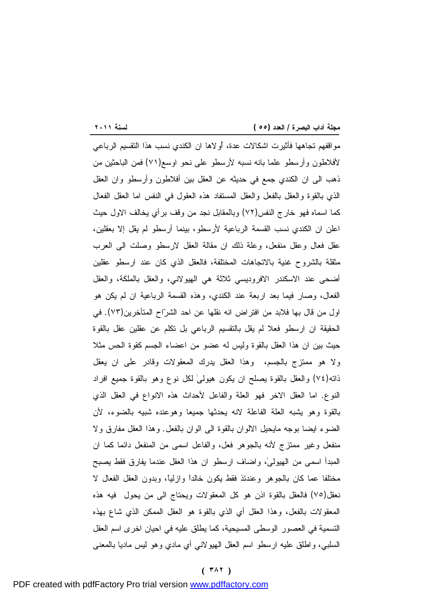مواقفهم تجاهها فأثيرت اشكالات عدة، أُولاها ان الكندي نسب هذا التقسيم الرباعي لأفلاطون وأرسطو علما بانه نسبه لأرسطو على نحو اوسع(٧١) فمن الباحثين من ذهب الى ان الكندي جمع في حديثه عن العقل بين أفلاطون وأرسطو وان العقل الذي بالقوة والعقل بالفعل والعقل المستفاد هذه العقول في النفس اما العقل الفعال كما اسماه فهو خارج النفس(٧٢) وبالمقابل نجد من وقف برأي يخالف الاول حيث اعلن ان الكندي نسب القسمة الرباعية لأرسطو، بينما أرسطو لم يقل إلا بعقلين، عقل فعال وعقل منفعل، وعلة ذلك ان مقالة العقل لارسطو وصلت الى العرب مثقلة بالشروح غنية بالاتجاهات المختلفة، فالعقل الذي كان عند ارسطو عقلين أضحى عند الاسكندر الافروديسي ثلاثة هي الهيولاني، والعقل بالملكة، والعقل الفعال، وصار فيما بعد اربعة عند الكندي، وهذه القسمة الرباعية ان لم يكن هو اول من قال بها فلابد من افتراض انه نقلها عن احد الشراح المتأخرين(٧٣). في الحقيقة ان ارسطو فعلا لم يقل بالتقسيم الرباعي بل تكلم عن عقلين عقل بالقوة حيث بين ان هذا العقل بالقوة وليس له عضو من اعضاء الجسم كقوة الحس مثلا ولا هو ممتزج بالجسم، وهذا العقل يدرك المعقولات وقادر على ان يعقل ذاته(٧٤) والعقل بالقوة يصلح ان يكون هيولىٰ لكل نوع وهو بالقوة جميع افراد النوع. اما العقل الاخر فهو العلة والفاعل لأحداث هذه الانواع في العقل الذي بالقوة وهو يشبه العلة الفاعلة لانه يحدثها جميعا وهوعنده شبيه بالضوء، لأن الضوء ايضا بوجه مايحيل الالوان بالقوة الى الوان بالفعل. وهذا العقل مفارق ولا منفعل وغير ممتزج لأنه بالجوهر فعل، والفاعل اسمى من المنفعل دائما كما ان المبدأ اسمى من الهيولى،ٰ واضاف ارسطو ان هذا العقل عندما يفارق فقط يصبح مختلفا عما كان بالجوهر وعندئذ فقط يكون خالداً وازلياً، وبدون العقل الفعال لا نعقل(٧٥) فالعقل بالقوة اذن هو كل المعقولات ويحتاج الى من يحول فيه هذه المعقولات بالفعل، وهذا العقل أي الذي بالقوة هو العقل الممكن الذي شاع بهذه التسمية في العصور الوسطى المسيحية، كما يطلق عليه في احيان اخرى اسم العقل السلبي، واطلق عليه ارسطو اسم العقل الهيولاني أي مادي وهو ليس ماديا بالمعنى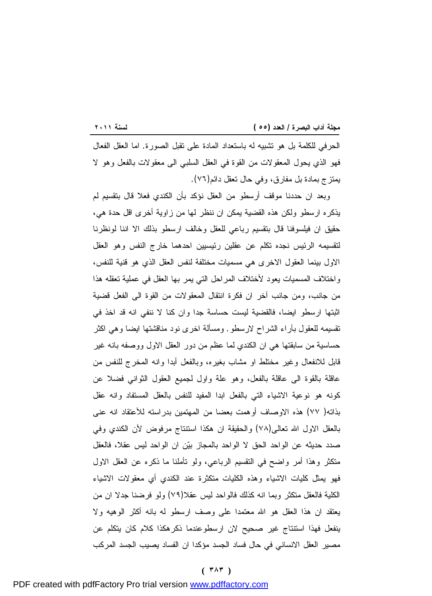<u> 1989 - Johann Barnett, mars eta industrial eta industrial eta industrial eta industrial eta industrial eta i</u> الحرفي للكلمة بل هو تشبيه له باستعداد المادة على تقبل الصورة. اما العقل الفعال فهو الذي يحول المعقولات من القوة في العقل السلبي الى معقولات بالفعل وهو لا يمتزج بمادة بل مفارق، وفي حال تعقل دائم(٧٦).

وبعد ان حددنا موقف أرسطو من العقل نؤكد بأن الكندي فعلا قال بتقسيم لم يذكره ارسطو ولكن هذه القضية يمكن ان ننظر لها من زاوية أخرى اقل حدة هي، حقيق ان فيلسوفنا قال بتقسيم رباعي للعقل وخالف ارسطو بذلك الا اننا لونظرنا لتقسيمه الرئيس نجده تكلم عن عقلين رئيسيين احدهما خارج النفس وهو العقل الاول بينما العقول الاخرى هي مسميات مختلفة لنفس العقل الذي هو قنية للنفس، واختلاف المسميات يعود لأختلاف المراحل التي يمر بها العقل في عملية تعقله هذا من جانب، ومن جانب آخر ان فكرة انتقال المعقولات من القوة الى الفعل قضية اثبتها ارسطو ايضا، فالقضية ليست حساسة جدا وان كنا لا ننفي انه قد اخذ في تقسيمه للعقول بآراء الشراح لارسطو. ومسألة اخرى نود مناقشتها ايضا وهي اكثر حساسية من سابقتها هي ان الكندي لما عظم من دور العقل الاول ووصفه بانه غير قابل للانفعال وغير مختلط او مشاب بغيره، وبالفعل أبدا وانه المخرج للنفس من عاقلة بالقوة الى عاقلة بالفعل، وهو علة واول لجميع العقول الثواني فضلا عن كونه هو نوعية الاشياء التي بالفعل ابدا المفيد للنفس بالعقل المستفاد وانه عقل بذاته( ٧٧) هذه الاوصاف أوهمت بعضا من المهتمين بدراسته للأعتقاد انه عنى بالعقل الاول االله تعالى(٧٨) والحقيقة ان هكذا استنتاج مرفوض لأن الكندي وفي صدد حديثه عن الواحد الحق لا الواحد بالمجاز بين ان الواحد ليس عقلا، فالعقل متكثر وهذا أمر واضح في التقسيم الرباعي، ولو تأملنا ما ذكره عن العقل الاول فهو يمثل كليات الاشياء وهذه الكليات متكثرة عند الكندي أي معقولات الاشياء الكلية فالعقل متكثر وبما انه كذلك فالواحد ليس عقلا(٧٩) ولو فرضنا جدلا ان من يعتقد ان هذا العقل هو االله معتمدا على وصف ارسطو له بانه أكثر الوهيه ولا ينفعل فهذا استنتاج غير صحيح لان ارسطوعندما ذكرهكذا كلام كان يتكلم عن مصير العقل الانساني في حال فساد الجسد مؤكدا ان الفساد يصيب الجسد المركب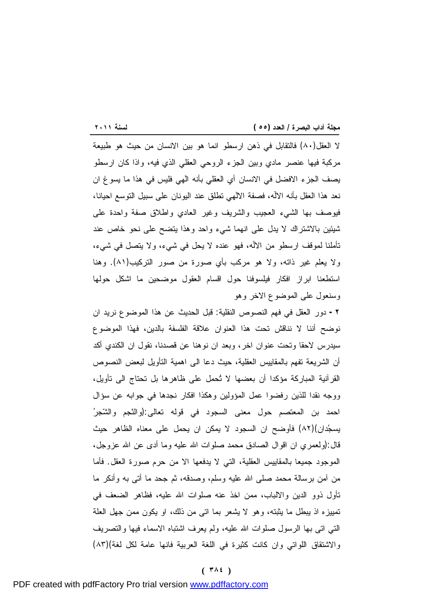<u> 1989 - Johann Barnett, fransk politik (</u> لا العقل(٨٠) فالتقابل في ذهن ارسطو انما هو بين الانسان من حيث هو طبيعة مركبة فيها عنصر مادي وبين الجزء الروحي العقلي الذي فيه، واذا كان ارسطو يصف الجزء الافضل في الانسان أي العقلي بأنه الٰهي فليس في هذا ما يسوغ ان نعد هذا العقل بأنه الالۤه، فصفة الالٰهي تطلق عند اليونان على سبيل التوسع احيانا، فيوصف بها الشيء العجيب والشريف وغير العادي واطلاق صفة واحدة على شيئين بالاشتراك لا يدل على انهما شيء واحد وهذا يتضح على نحو خاص عند تأملنا لموقف ارسطو من الالۤه، فهو عنده لا يحل في شيء، ولا يتصل في شيء، ولا يعلم غير ذاته، ولا هو مركب بأي صورة من صور التركيب(٨١). وهنا استطعنا ابراز افكار فيلسوفنا حول اقسام العقول موضحين ما اشكل حولها وسنعول على الموضوع الاخر وهو

**-٢** دور العقل في فهم النصوص النقلية: قبل الحديث عن هذا الموضوع نريد ان نوضح أننا لا نناقش تحت هذا العنوان علاقة الفلسفة بالدين، فهذا الموضوع سيدرس لاحقا وتحت عنوان اخر، وبعد ان نوهنا عن قصدنا، نقول ان الكندي أكد أن الشريعة تفهم بالمقاييس العقلية، حيث دعا الى اهمية التأويل لبعض النصوص القرآنية المباركة مؤكدا أن بعضها لا تُحمل على ظاهرها بل تحتاج الى تأويل، ووجه نقدا للذين رفضوا عمل المؤولين وهكذا افكار نجدها في جوابه عن سؤال احمد بن المعتصم حول معنى السجود في قوله تعالى:(والنّجم والشّجر يسجدان)(٨٢) فأوضح ان السجود لا يمكن ان يحمل على معناه الظاهر حيث قال:(ولعمري ان اقوال الصادق محمد صلوات االله عليه وما أدى عن االله عزوجل، الموجود جميعا بالمقاييس العقلية، التي لا يدفعها الا من حرم صورة العقل. فأما من آمن برسالة محمد صلى االله عليه وسلم، وصدقه، ثم جحد ما أتى به وأنكر ما تأول ذوو الدين والالباب، ممن اخذ عنه صلوات االله عليه، فظاهر الضعف في تمييزه اذ يبطل ما يثبته، وهو لا يشعر بما اتى من ذلك، او يكون ممن جهل العلة التي اتى بها الرسول صلوات االله عليه، ولم يعرف اشتباه الاسماء فيها والتصريف والاشتقاق اللواتي وان كانت كثيرة في اللغة العربية فانها عامة لكل لغة)(٨٣)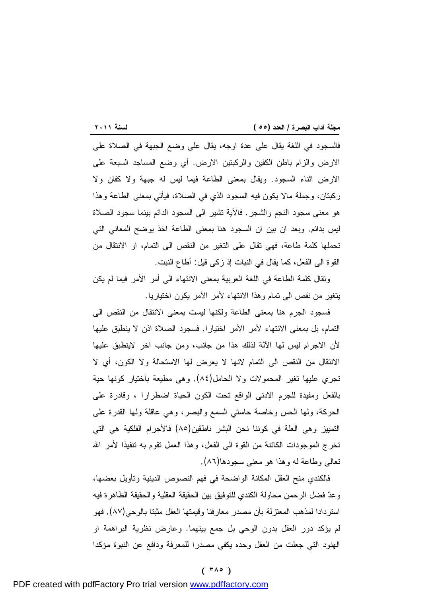<u> 1989 - Johann Barnett, mars eta industrial eta industrial eta industrial eta industrial eta industrial eta i</u> فالسجود في اللغة يقال على عدة اوجه، يقال على وضع الجبهة في الصلاة على الارض والزام باطن الكفين والركبتين الارض. أي وضع المساجد السبعة على الارض اثناء السجود. ويقال بمعنى الطاعة فيما ليس له جبهة ولا كفان ولا ركبتان، وجملة مالا يكون فيه السجود الذي في الصلاة، فيأتي بمعنى الطاعة وهذا هو معنى سجود النجم والشجر. فالآية تشير الى السجود الدائم بينما سجود الصلاة ليس بدائم. وبعد ان بين ان السجود هنا بمعنى الطاعة اخذ يوضح المعاني التي تحملها كلمة طاعة، فهي تقال على التغير من النقص الى التمام، او الانتقال من القوة الى الفعل، كما يقال في النبات إذ زكى قيل: أطاع النبت.

وتقال كلمة الطاعة في اللغة العربية بمعنى الانتهاء الى أمر الأمر فيما لم يكن يتغير من نقص الى تمام وهذا الانتهاء لأمر الأمر يكون اختياريا.

فسجود الجرم هنا بمعنى الطاعة ولكنها ليست بمعنى الانتقال من النقص الى التمام، بل بمعنى الانتهاء لأمر الأمر اختيارا. فسجود الصلاة اذن لا ينطبق عليها لأن الاجرام ليس لها الآلة لذلك هذا من جانب، ومن جانب اخر لاينطبق عليها الانتقال من النقص الى التمام لانها لا يعرض لها الاستحالة ولا الكون، أي لا تجري عليها تغير المحمولات ولا الحامل(٨٤). وهي مطيعة بأختيار كونها حية بالفعل ومفيدة للجرم الادنى الواقع تحت الكون الحياة اضطرارا ، وقادرة على الحركة، ولها الحس وخاصة حاستي السمع والبصر، وهي عاقلة ولها القدرة على التمييز وهي العلة في كوننا نحن البشر ناطقين(٨٥) فالأجرام الفلكية هي التي تخرج الموجودات الكائنة من القوة الى الفعل، وهذا العمل تقوم به تنفيذا لأمر االله تعالى وطاعة له وهذا هو معنى سجودها(٨٦).

فالكندي منح العقل المكانة الواضحة في فهم النصوص الدينية وتأويل بعضها، وعد فضل الرحمن محاولة الكندي للتوفيق بين الحقيقة العقلية والحقيقة الظاهرة فيه استردادا لمذهب المعتزلة بأن مصدر معارفنا وقيمتها العقل مثبتا بالوحي(٨٧). فهو لم يؤكد دور العقل بدون الوحي بل جمع بينهما. وعارض نظرية البراهمة او الهنود التي جعلت من العقل وحده يكفي مصدرا للمعرفة ودافع عن النبوة مؤكدا

#### **( ٣٨٥ )**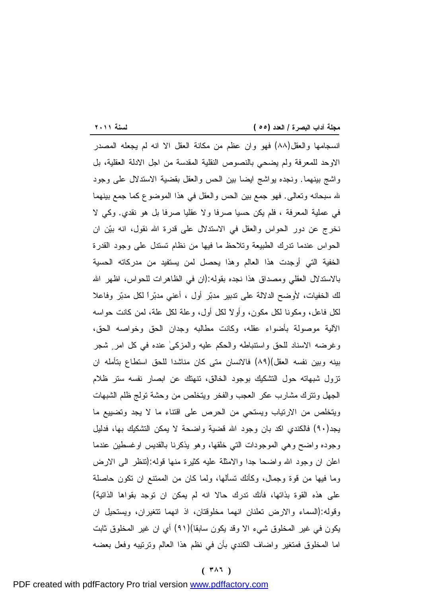<u> 1989 - Johann Barnett, mars eta idazlea (h. 1989).</u> انسجامها والعقل(٨٨) فهو وان عظم من مكانة العقل الا انه لم يجعله المصدر الاوحد للمعرفة ولم يضحي بالنصوص النقلية المقدسة من اجل الادلة العقلية، بل واشج بينهما. ونجده يواشج ايضا بين الحس والعقل بقضية الاستدلال على وجود الله سبحانه وتعالى. فهو جمع بين الحس والعقل في هذا الموضوع كما جمع بينهما في عملية المعرفة ، فلم يكن حسيا صرفا ولا عقليا صرفا بل هو نقدي. وكي لا نخرج عن دور الحواس والعقل في الاستدلال على قدرة االله نقول، انه بين ان الحواس عندما تدرك الطبيعة وتلاحظ ما فيها من نظام تستدل على وجود القدرة الخفية التي أوجدت هذا العالم وهذا يحصل لمن يستفيد من مدركاته الحسية بالاستدلال العقلي ومصداق هذا نجده بقوله:(ان في الظاهرات للحواس، اظهر االله لك الخفيات، لأوضح الدلالة على تدبير مدبر أول ، أعني مدبراً لكل مدبر وفاعلا لكل فاعل، ومكونا لكل مكون، وأولاً لكل أول، وعلة لكل علة، لمن كانت حواسه الآلية موصولة بأضواء عقله، وكانت مطالبه وجدان الحق وخواصه الحق، وغرضه الاسناد للحق واستنباطه والحكم عليه والمزكىٰ عنده في كل امر شجر بينه وبين نفسه العقل)(٨٩) فالانسان متى كان مناشدا للحق استطاع بتأمله ان تزول شبهاته حول التشكيك بوجود الخالق، تنهتك عن ابصار نفسه ستر ظلام الجهل وتترك مشارب عكر العجب والفخر ويتخلص من وحشة تولج ظلم الشبهات ويتخلص من الارتياب ويستحي من الحرص على اقتناء ما لا يجد وتضييع ما يجد(٩٠) فالكندي اكد بان وجود االله قضية واضحة لا يمكن التشكيك بها، فدليل وجوده واضح وهي الموجودات التي خلقها، وهو يذكرنا بالقديس اوغسطين عندما اعلن ان وجود الله واضحا جدا والامثلة عليه كثيرة منها قوله (تنظر الى الارض وما فيها من قوة وجمال، وكأنك تسألها، ولما كان من الممتنع ان تكون حاصلة على هذه القوة بذاتها، فأنك تدرك حالا انه لم يمكن ان توجد بقواها الذاتية) وقوله:(السماء والارض تعلنان انهما مخلوقتان، اذ انهما تتغيران، ويستحيل ان يكون في غير المخلوق شيء الا وقد يكون سابقا)(٩١) أي ان غير المخلوق ثابت اما المخلوق فمتغير واضاف الكندي بأن في نظم هذا العالم وترتيبه وفعل بعضه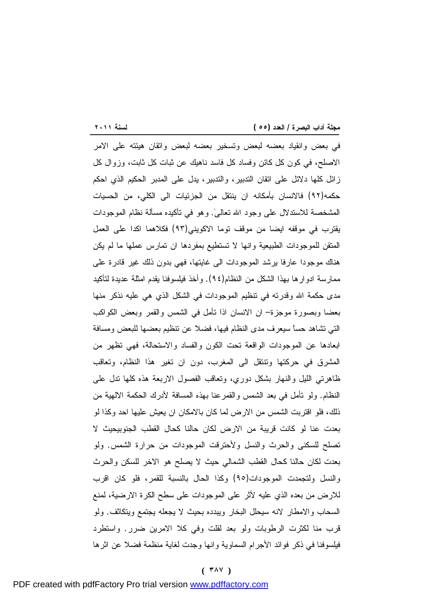<u> 1989 - Johann Barnett, mars eta industrial eta industrial eta industrial eta industrial eta industrial eta i</u> في بعض وانقياد بعضه لبعض وتسخير بعضه لبعض واتقان هيئته على الامر الاصلح، في كون كل كائن وفساد كل فاسد ناهيك عن ثبات كل ثابت، وزوال كل زائل كلها دلائل على اتقان التدبير، والتدبير، يدل على المدبر الحكيم الذي احكم حكمه(٩٢) فالانسان بأمكانه ان ينتقل من الجزئيات الى الكلي، من الحسيات المشخصة للاستدلال على وجود االله تعالى.ٰ وهو في تأكيده مسألة نظام الموجودات يقترب في موقفه ايضا من موقف توما الاكويني(٩٣) فكلاهما اكدا على العمل المتقن للموجودات الطبيعية وانها لا تستطيع بمفردها ان تمارس عملها ما لم يكن هناك موجودا عارفا يرشد الموجودات الى غايتها، فهي بدون ذلك غير قادرة على ممارسة ادوارها بهذا الشكل من النظام(٩٤). وأخذ فيلسوفنا يقدم امثلة عديدة لتأكيد مدى حكمة االله وقدرته في تنظيم الموجودات في الشكل الذي هي عليه نذكر منها بعضا وبصورة موجزة– ان الانسان اذا تأمل في الشمس والقمر وبعض الكواكب التي تشاهد حساً سيعرف مدى النظام فيها، فضلا عن تنظيم بعضها للبعض ومسافة ابعادها عن الموجودات الواقعة تحت الكون والفساد والاستحالة، فهي تظهر من المشرق في حركتها وتنتقل الى المغرب، دون ان تغير هذا النظام، وتعاقب ظاهرتي الليل والنهار بشكل دوري، وتعاقب الفصول الاربعة هذه كلها تدل على النظام. ولو تأمل في بعد الشمس والقمرعنا بهذه المسافة لأدرك الحكمة الالهية من ذلك، فلو اقتربت الشمس من الارض لما كان بالامكان ان يعيش عليها احد وكذا لو بعدت عنا لو كانت قريبة من الارض لكان حالنا كحال القطب الجنوبيحيث لا تصلح للسكنى والحرث والنسل ولأحترقت الموجودات من حرارة الشمس. ولو بعدت لكان حالنا كحال القطب الشمالي حيث لا يصلح هو الاخر للسكن والحرث والنسل ولتجمدت الموجودات(٩٥) وكذا الحال بالنسبة للقمر، فلو كان اقرب للارض من بعده الذي عليه لأثر على الموجودات على سطح الكرة الارضية، لمنع السحاب والامطار لانه سيحلل البخار ويبدده بحيث لا يجعله يجتمع ويتكاثف. ولو قرب منا لكثرت الرطوبات ولو بعد لقلت وفي كلا الامرين ضرر. واستطرد فيلسوفنا في ذكر فوائد الأجرام السماوية وانها وجدت لغاية منظمة فضلا عن اثرها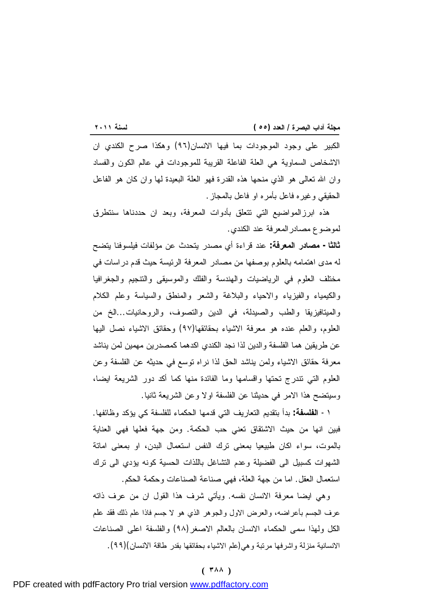<u> 1989 - Johann Barnett, mars eta industrial eta industrial eta industrial eta industrial eta industrial eta i</u> الكبير على وجود الموجودات بما فيها الانسان(٩٦) وهكذا صرح الكندي ان الاشخاص السماوية هي العلة الفاعلة القريبة للموجودات في عالم الكون والفساد وان االله تعالى هو الذي منحها هذه القدرة فهو العلة البعيدة لها وان كان هو الفاعل الحقيقي وغيره فاعل بأمره او فاعل بالمجاز.

هذه ابرزالمواضيع التي تتعلق بأدوات المعرفة، وبعد ان حددناها سنتطرق لموضوع مصادرالمعرفة عند الكندي.

**ثالثا- مصادر المعرفة:** عند قراءة أي مصدر يتحدث عن مؤلفات فيلسوفنا يتضح له مدى اهتمامه بالعلوم بوصفها من مصادر المعرفة الرئيسة حيث قدم دراسات في مختلف العلوم في الرياضيات والهندسة والفلك والموسيقى والتنجيم والجغرافيا والكيمياء والفيزياء والاحياء والبلاغة والشعر والمنطق والسياسة وعلم الكلام والميتافيزيقا والطب والصيدلة، في الدين والتصوف، والروحانيات...الخ من العلوم، والعلم عنده هو معرفة الاشياء بحقائقها(٩٧) وحقائق الاشياء نصل اليها عن طريقين هما الفلسفة والدين لذا نجد الكندي اكدهما كمصدرين مهمين لمن يناشد معرفة حقائق الاشياء ولمن يناشد الحق لذا نراه توسع في حديثه عن الفلسفة وعن العلوم التي تندرج تحتها واقسامها وما الفائدة منها كما أكد دور الشريعة ايضا، وسيتضح هذا الامر في حديثنا عن الفلسفة اولا وعن الشريعة ثانيا.

-١ **الفلسفة:** بدأ بتقديم التعاريف التي قدمها الحكماء للفلسفة كي يؤكد وظائفها. فبين انها من حيث الاشتقاق تعني حب الحكمة. ومن جهة فعلها فهي العناية بالموت، سواء اكان طبيعيا بمعنى ترك النفس استعمال البدن، او بمعنى اماتة الشهوات كسبيل الى الفضيلة وعدم التشاغل باللذات الحسية كونه يؤدي الى ترك استعمال العقل. اما من جهة العلة، فهي صناعة الصناعات وحكمة الحكم.

وهي ايضا معرفة الانسان نفسه. ويأتي شرف هذا القول ان من عرف ذاته عرف الجسم بأعراضه، والعرض الاول والجوهر الذي هو لا جسم فاذا علم ذلك فقد علم الكل ولهذا سمى الحكماء الانسان بالعالم الاصغر(٩٨) والفلسفة اعلى الصناعات الانسانية منزلة واشرفها مرتبة وهي(علم الاشياء بحقائقها بقدر طاقة الانسان)(٩٩).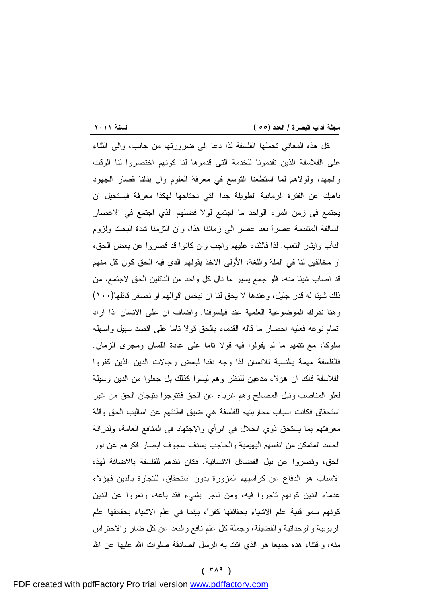<u> 1989 - Johann Barnett, mars eta industrial eta industrial eta industrial eta industrial eta industrial eta i</u> كل هذه المعاني تحملها الفلسفة لذا دعا الى ضرورتها من جانب، والى الثناء على الفلاسفة الذين تقدمونا للخدمة التي قدموها لنا كونهم اختصروا لنا الوقت والجهد، ولولاهم لما استطعنا التوسع في معرفة العلوم وان بذلنا قصار الجهود ناهيك عن الفترة الزمانية الطويلة جدا التي نحتاجها لهكذا معرفة فيستحيل ان يجتمع في زمن المرء الواحد ما اجتمع لولا فضلهم الذي اجتمع في الاعصار السالفة المتقدمة عصراً بعد عصر الى زماننا هذا، وان التزمنا شدة البحث ولزوم الدأب وايثار التعب. لذا فالثناء عليهم واجب وان كانوا قد قصروا عن بعض الحق، او مخالفين لنا في الملة واللغة، الأولى الاخذ بقولهم الذي فيه الحق كون كل منهم قد اصاب شيئا منه، فلو جمع يسير ما نال كل واحد من النائلين الحق لاجتمع، من ذلك شيئا له قدر جليل، وعندها لا يحق لنا ان نبخس اقوالهم او نصغر قائلها(١٠٠) وهنا ندرك الموضوعية العلمية عند فيلسوفنا. واضاف ان على الانسان اذا اراد اتمام نوعه فعليه احضار ما قاله القدماء بالحق قولا تاما على اقصد سبيل واسهله سلوكا، مع تتميم ما لم يقولوا فيه قولا تاما على عادة اللسان ومجرى الزمان. فالفلسفة مهمة بالنسبة للانسان لذا وجه نقدا لبعض رجالات الدين الذين كفروا الفلاسفة فأكد ان هؤلاء مدعين للنظر وهم ليسوا كذلك بل جعلوا من الدين وسيلة لعلو المناصب ونيل المصالح وهم غرباء عن الحق فتتوجوا بتيجان الحق من غير استحقاق فكانت اسباب محاربتهم للفلسفة هي ضيق فطنتهم عن اساليب الحق وقلة معرفتهم بما يستحق ذوي الجلال في الرأي والاجتهاد في المنافع العامة، ولدرانة الحسد المتمكن من انفسهم البهيمية والحاجب بسدف سجوف ابصار فكرهم عن نور الحق، وقصروا عن نيل الفضائل الانسانية. فكان نقدهم للفلسفة بالاضافة لهذه الاسباب هو الدفاع عن كراسيهم المزورة بدون استحقاق، للتجارة بالدين فهؤلاء عدماء الدين كونهم تاجروا فيه، ومن تاجر بشيء فقد باعه، وتعروا عن الدين كونهم سمو قنية علم الاشياء بحقائقها كفراً، بينما في علم الاشياء بحقائقها علم الربوبية والوحدانية والفضيلة، وجملة كل علم نافع والبعد عن كل ضار والاحتراس منه، واقتناء هذه جميعا هو الذي أتت به الرسل الصادقة صلوات الله عليها عن الله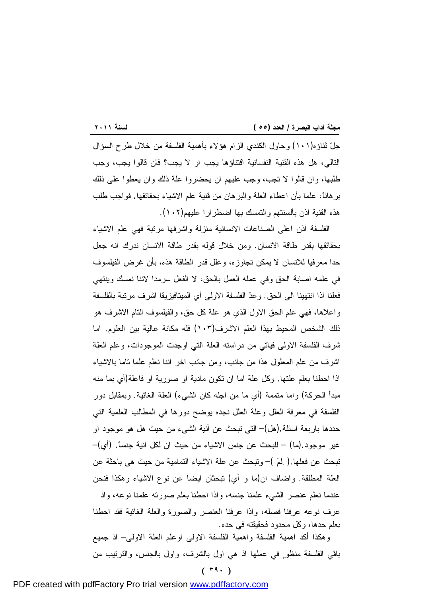<u> 1989 - Johann Barnett, mars et al. 1989 - Anna ann an t-</u> جلّ ثناؤه(١٠١) وحاول الكندي الزام هؤلاء بأهمية الفلسفة من خلال طرح السؤال التالي، هل هذه القنية النفسانية اقتناؤها يجب او لا يجب؟ فان قالوا يجب، وجب طلبها، وان قالوا لا تجب، وجب عليهم ان يحضروا علة ذلك وان يعطوا على ذلك برهاناً، علما بأن اعطاء العلة والبرهان من قنية علم الاشياء بحقائقها. فواجب طلب هذه القنية اذن بألسنتهم والتمسك بها اضطرارا عليهم(١٠٢).

الفلسفة اذن اعلى الصناعات الانسانية منزلة واشرفها مرتبة فهي علم الاشياء بحقائقها بقدر طاقة الانسان. ومن خلال قوله بقدر طاقة الانسان ندرك انه جعل حدا معرفيا للانسان لا يمكن تجاوزه، وعلل قدر الطاقة هذه، بأن غرض الفيلسوف في علمه اصابة الحق وفي عمله العمل بالحق، لا الفعل سرمدا لاننا نمسك وينتهي فعلنا اذا انتهينا الى الحق. وعد الفلسفة الاولى أي الميتافيزيقا اشرف مرتبة بالفلسفة واعلاها، فهي علم الحق الاول الذي هو علة كل حق، والفيلسوف التام الاشرف هو ذلك الشخص المحيط بهذا العلم الاشرف(١٠٣) فله مكانة عالية بين العلوم. اما شرف الفلسفة الاولى فياتي من دراسته العلة التي اوجدت الموجودات، وعلم العلة اشرف من علم المعلول هذا من جانب، ومن جانب اخر اننا نعلم علما تاما بالاشياء اذا احطنا بعلم علتها. وكل علة اما ان تكون مادية او صورية او فاعلة(أي بما منه مبدأ الحركة) واما متممة (أي ما من اجله كان الشيء) العلة الغائية. وبمقابل دور الفلسفة في معرفة العلل وعلة العلل نجده يوضح دورها في المطالب العلمية التي حددها باربعة اسئلة.(هل)– التي تبحث عن آنية الشيء من حيث هل هو موجود او غير موجود.(ما) – للبحث عن جنس الاشياء من حيث ان لكل انية جنساً. (أي)– تبحث عن فعلها.( لم –( وتبحث عن علة الاشياء التمامية من حيث هي باحثة عن العلة المطلقة. واضاف ان(ما و أي) تبحثان ايضا عن نوع الاشياء وهكذا فنحن عندما نعلم عنصر الشيء علمنا جنسه، واذا احطنا بعلم صورته علمنا نوعه، واذ عرف نوعه عرفنا فصله، واذا عرفنا العنصر والصورة والعلة الغائية فقد احطنا بعلم حدها، وكل محدود فحقيقته في حده.

وهكذا أكد اهمية الفلسفة واهمية الفلسفة الاولى اوعلم العلة الاولى– اذ جميع باقي الفلسفة منظو في عملها اذ هي اول بالشرف، واول بالجنس، والترتيب من

# **( ٣٩٠ )**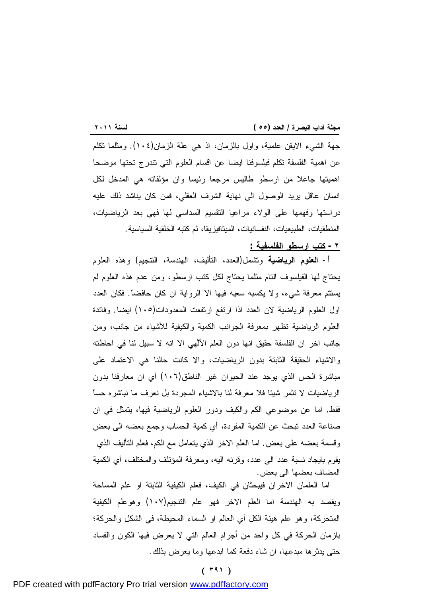<u> 1989 - Johann Barnett, mars eta industrial eta industrial eta industrial eta industrial eta industrial eta i</u> جهة الشيء الايقن علمية، واول بالزمان، اذ هي علة الزمان(١٠٤). ومثلما تكلم عن اهمية الفلسفة تكلم فيلسوفنا ايضا عن اقسام العلوم التي تندرج تحتها موضحا اهميتها جاعلا من ارسطو طاليس مرجعا رئيسا وان مؤلفاته هي المدخل لكل انسان عاقل يريد الوصول الى نهاية الشرف العقلي، فمن كان يناشد ذلك عليه دراستها وفهمها على الولاء مراعيا التقسيم السداسي لها فهي بعد الرياضيات، المنطقيات، الطبيعيات، النفسانيات، الميتافيزيقا، ثم كتبه الخلقية السياسية.

**-٢ كتب ارسطو الفلسفية :**

أ- **العلوم الرياضية** وتشمل(العدد، التأليف، الهندسة، التنجيم) وهذه العلوم يحتاج لها الفيلسوف التام مثلما يحتاج لكل كتب ارسطو، ومن عدم هذه العلوم لم يستتم معرفة شيء، ولا يكسبه سعيه فيها الا الرواية ان كان حافضاً. فكان العدد اول العلوم الرياضية لان العدد اذا ارتفع ارتفعت المعدودات(١٠٥) ايضا. وفائدة العلوم الرياضية تظهر بمعرفة الجوانب الكمية والكيفية للأشياء من جانب، ومن جانب اخر ان الفلسفة حقيق انها دون العلم الألٰهي الا انه لا سبيل لنا في احاطته والاشياء الحقيقة الثابتة بدون الرياضيات، والا كانت حالنا هي الاعتماد على مباشرة الحس الذي يوجد عند الحيوان غير الناطق(١٠٦) أي ان معارفنا بدون الرياضيات لا تثمر شيئا فلا معرفة لنا بالاشياء المجردة بل نعرف ما نباشره حساً فقط. اما عن موضوعي الكم والكيف ودور العلوم الرياضية فيها، يتمثل في ان صناعة العدد تبحث عن الكمية المفردة، أي كمية الحساب وجمع بعضه الى بعض وقسمة بعضه على بعض. اما العلم الاخر الذي يتعامل مع الكم، فعلم التأليف الذي يقوم بايجاد نسبة عدد الى عدد، وقرنه اليه، ومعرفة المؤتلف والمختلف، أي الكمية المضاف بعضها الى بعض.

اما العلمان الاخران فيبحثان في الكيف، فعلم الكيفية الثابتة او علم المساحة ويقصد به الهندسة اما العلم الاخر فهو علم التنجيم(١٠٧) وهوعلم الكيفية المتحركة، وهو علم هيئة الكل أي العالم او السماء المحيطة، في الشكل والحركة؛ بازمان الحركة في كل واحد من أجرام العالم التي لا يعرض فيها الكون والفساد حتى يدثرها مبدعها، ان شاء دفعة كما ابدعها وما يعرض بذلك.

## **( ٣٩١ )**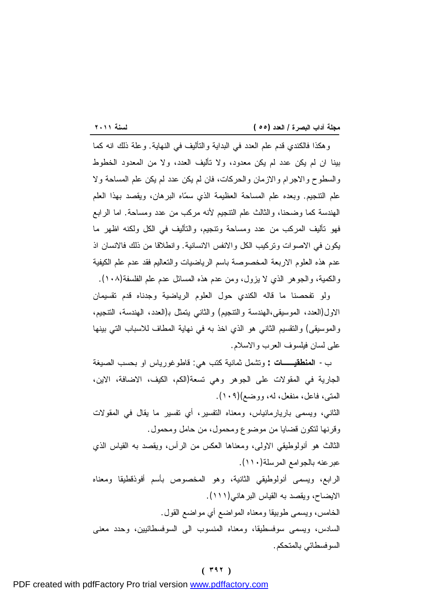<u> 1989 - Johann Barnett, mars eta industrial eta industrial eta industrial eta industrial eta industrial eta i</u> وهكذا فالكندي قدم علم العدد في البداية والتأليف في النهاية. وعلة ذلك انه كما بينا ان لم يكن عدد لم يكن معدود، ولا تأليف العدد، ولا من المعدود الخطوط والسطوح والاجرام والازمان والحركات، فان لم يكن عدد لم يكن علم المساحة ولا علم التنجيم. وبعده علم المساحة العظيمة الذي سماه البرهان، ويقصد بهذا العلم الهندسة كما وضحنا، والثالث علم التنجيم لأنه مركب من عدد ومساحة. اما الرابع فهو تأليف المركب من عدد ومساحة وتنجيم، والتأليف في الكل ولكنه اظهر ما يكون في الاصوات وتركيب الكل والانفس الانسانية. وانطلاقا من ذلك فالانسان اذ عدم هذه العلوم الاربعة المخصوصة باسم الرياضيات والتعاليم فقد عدم علم الكيفية والكمية، والجوهر الذي لا يزول، ومن عدم هذه المسائل عدم علم الفلسفة(١٠٨).

ولو تفحصنا ما قاله الكندي حول العلوم الرياضية وجدناه قدم تقسيمان الاول(العدد، الموسيقى،الهندسة والتنجيم) والثاني يتمثل ب(العدد، الهندسة، التنجيم، والموسيقى) والتقسيم الثاني هو الذي اخذ به في نهاية المطاف للاسباب التي بينها على لسان فيلسوف العرب والاسلام.

ب- **المنطقيــات :** وتشمل ثمانية كتب هي: قاطوغورياس او بحسب الصيغة الجارية في المقولات على الجوهر وهي تسعة(الكم، الكيف، الاضافة، الاين، المتى، فاعل، منفعل، له، ووضع)(١٠٩).

الثاني، ويسمى باريارمانياس، ومعناه التفسير، أي تفسير ما يقال في المقولات وقرنها لتكون قضايا من موضوع ومحمول، من حامل ومحمول.

الثالث هو أنولوطيقي الاولى، ومعناها العكس من الرأس، ويقصد به القياس الذي عبرعنه بالجوامع المرسلة(١١٠).

الرابع، ويسمى أنولوطيقي الثانية، وهو المخصوص بأسم أفوذقطيقا ومعناه الايضاح، ويقصد به القياس البرهاني(١١١). الخامس، ويسمى طوبيقا ومعناه المواضع أي مواضع القول.

السادس، ويسمى سوفسطيقا، ومعناه المنسوب الى السوفسطائيين، وحدد معنى السوفسطائي بالمتحكم.

#### **( ٣٩٢ )**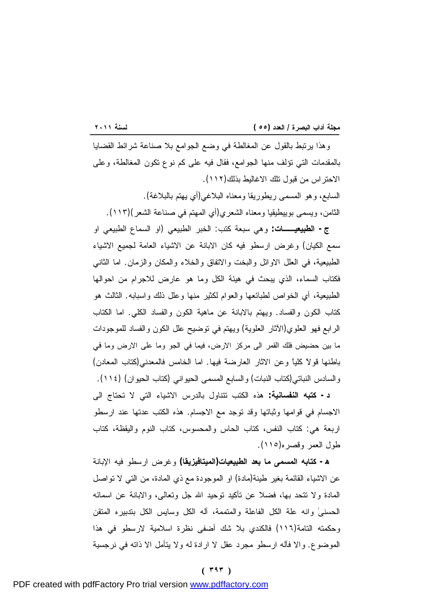<u> 1989 - Johann Barnett, mars eta industrial eta industrial eta industrial eta industrial eta industrial eta i</u> وهذا يرتبط بالقول عن المغالطة في وضع الجوامع بلا صناعة شرائط القضايا بالمقدمات التي تؤلف منها الجوامع، فقال فيه على كم نوع تكون المغالطة، وعلى الاحتراس من قبول تلك الاغاليط بذلك(١١٢). السابع، وهو المسمى ريطوريقا ومعناه البلاغي(أي يهتم بالبلاغة). الثامن، ويسمى بوييطيقيا ومعناه الشعري(أي المهتم في صناعة الشعر)(١١٣).

**ج- الطبيعيــات:** وهي سبعة كتب: الخبر الطبيعي (او السماع الطبيعي او سمع الكيان) وغرض ارسطو فيه كان الابانة عن الاشياء العامة لجميع الاشياء الطبيعية، في العلل الاوائل والبخت والاتفاق والخلاء والمكان والزمان. اما الثاني فكتاب السماء، الذي يبحث في هيئة الكل وما هو عارض للاجرام من احوالها الطبيعية، أي الخواص لطبائعها والعوام لكثير منها وعلل ذلك واسبابه. الثالث هو كتاب الكون والفساد. ويهتم بالابانة عن ماهية الكون والفساد الكلي. اما الكتاب الرابع فهو العلوي(الآثار العلوية) ويهتم في توضيح علل الكون والفساد للموجودات ما بين حضيض فلك القمر الى مركز الارض، فيما في الجو وما على الارض وما في باطنها قولاً كلياً وعن الاثار العارضة فيها. اما الخامس فالمعدني(كتاب المعادن) والسادس النباتي(كتاب النبات) والسابع المسمى الحيواني (كتاب الحيوان) (١١٤).

**د- كتبه النفسانية:** هذه الكتب تتناول بالدرس الاشياء التي لا تحتاج الى الاجسام في قوامها وثباتها وقد توجد مع الاجسام. هذه الكتب عدتها عند ارسطو اربعة هي: كتاب النفس، كتاب الحاس والمحسوس، كتاب النوم واليقظة، كتاب طول العمر وقصره(١١٥).

**ه- كتابه المسمى ما بعد الطبيعيات(الميتافيزيقا)** وغرض ارسطو فيه الإبانة عن الاشياء القائمة بغير طينة(مادة) او الموجودة مع ذي المادة، من التي لا تواصل المادة ولا تتحد بها، فضلا عن تأكيد توحيد االله جل وتعالى، والابانة عن اسمائه الحسنىٰ وانه علة الكل الفاعلة والمتممة، آله الكل وسايس الكل بتدبيره المتقن وحكمته التامة(١١٦) فالكندي بلا شك أضفى نظرة اسلامية لارسطو في هذا الموضوع. والا فآله ارسطو مجرد عقل لا ارادة له ولا يتأمل الا ذاته في نرجسية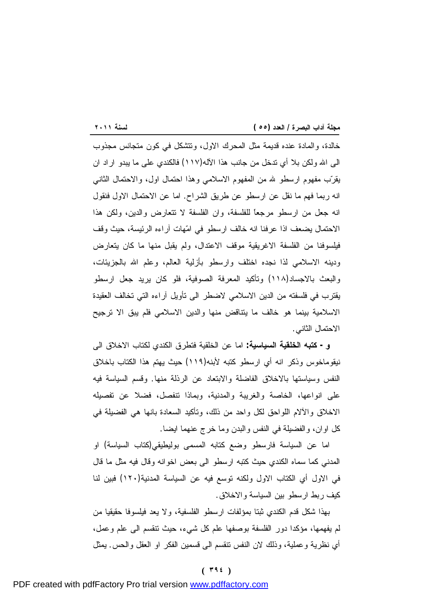<u> 1989 - Johann Barnett, mars eta industrial eta industrial eta industrial eta industrial eta industrial eta i</u> خالدة، والمادة عنده قديمة مثل المحرك الاول، وتتشكل في كون متجانس مجذوب الى االله ولكن بلا أي تدخل من جانب هذا الآله(١١٧) فالكندي على ما يبدو اراد ان يقرب مفهوم ارسطو الله من المفهوم الاسلامي وهذا احتمال اول، والاحتمال الثاني انه ربما فهم ما نقل عن ارسطو عن طريق الشراح. اما عن الاحتمال الاول فنقول انه جعل من ارسطو مرجعاً للفلسفة، وان الفلسفة لا تتعارض والدين، ولكن هذا الاحتمال يضعف اذا عرفنا انه خالف ارسطو في امهات آراءه الرئيسة، حيث وقف فيلسوفنا من الفلسفة الاغريقية موقف الاعتدال، ولم يقبل منها ما كان يتعارض ودينه الاسلامي لذا نجده اختلف وارسطو بأزلية العالم، وعلم االله بالجزيئات، والبعث بالاجساد(١١٨) وتأكيد المعرفة الصوفية، فلو كان يريد جعل ارسطو يقترب في فلسفته من الدين الاسلامي لاضطر الى تأويل آراءه التي تخالف العقيدة الاسلامية بينما هو خالف ما يتناقض منها والدين الاسلامي فلم يبق الا ترجيح الاحتمال الثاني.

**و- كتبه الخلقية السياسية:** اما عن الخلقية فتطرق الكندي لكتاب الاخلاق الى نيقوماخوس وذكر انه أي ارسطو كتبه لأبنه(١١٩) حيث يهتم هذا الكتاب باخلاق النفس وسياستها بالاخلاق الفاضلة والابتعاد عن الرذلة منها. وقسم السياسة فيه على انواعها، الخاصة والغريبة والمدنية، وبماذا تنفصل، فضلا عن تفصيله الاخلاق والآلام اللواحق لكل واحد من ذلك، وتأكيد السعادة بانها هي الفضيلة في كل اوان، والفضيلة في النفس والبدن وما خرج عنهما ايضا.

اما عن السياسة فارسطو وضع كتابه المسمى بوليطيقي(كتاب السياسة) او المدني كما سماه الكندي حيث كتبه ارسطو الى بعض اخوانه وقال فيه مثل ما قال في الاول أي الكتاب الاول ولكنه توسع فيه عن السياسة المدنية(١٢٠) فبين لنا كيف ربط ارسطو بين السياسة والاخلاق.

بهذا شكل قدم الكندي ثبتا بمؤلفات ارسطو الفلسفية، ولا يعد فيلسوفا حقيقيا من لم يفهمها، مؤكدا دور الفلسفة بوصفها علم كل شيء، حيث تنقسم الى علم وعمل، أي نظرية وعملية، وذلك لان النفس تنقسم الى قسمين الفكر او العقل والحس. يمثل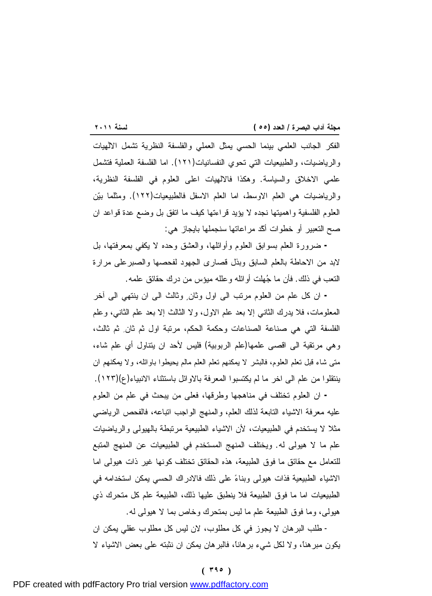<u> 1989 - Johann Barnett, mars eta industrial eta industrial eta industrial eta industrial eta industrial eta i</u> الفكر الجانب العلمي بينما الحسي يمثل العملي والفلسفة النظرية تشمل الالٰهيات والرياضيات، والطبيعيات التي تحوي النفسانيات(١٢١). اما الفلسفة العملية فتشمل علمي الاخلاق والسياسة. وهكذا فالالهيات اعلى العلوم في الفلسفة النظرية، والرياضيات هي العلم الاوسط، اما العلم الاسفل فالطبيعيات(١٢٢). ومثلما بين العلوم الفلسفية واهميتها نجده لا يؤيد قراءتها كيف ما اتفق بل وضع عدة قواعد ان صح التعبير أو خطوات أكّد مراعاتها سنجملها بايجاز هي:

**-** ضرورة العلم بسوابق العلوم وأوائلها، والعشق وحده لا يكفي بمعرفتها، بل لابد من الاحاطة بالعلم السابق وبذل قصارى الجهود لفحصها والصبرعلى مرارة التعب في ذلك. فأن ما جهلت أوائله وعلله ميؤس من درك حقائق علمه.

**-** ان كل علم من العلوم مرتب الى اول وثان وثالث الى ان ينتهي الى آخر المعلومات، فلا يدرك الثاني إلا بعد علم الاول، ولا الثالث إلا بعد علم الثاني، وعلم الفلسفة التي هي صناعة الصناعات وحكمة الحكم، مرتبة اول ثم ثان ثم ثالث، وهي مرتقية الى اقصى علمها(علم الربوبية) فليس لأحد ان يتناول أي علم شاء، متى شاء قبل تعلم العلوم، فالبشر لا يمكنهم تعلم العلم مالم يحيطوا باوائله، ولا يمكنهم ان ينتقلوا من علم الى اخر ما لم يكتسبوا المعرفة بالاوائل باستثناء الانبياء(ع)(١٢٣).

**-** ان العلوم تختلف في مناهجها وطرقها، فعلى من يبحث في علم من العلوم عليه معرفة الاشياء التابعة لذلك العلم، والمنهج الواجب اتباعه، فالفحص الرياضي مثلا لا يستخدم في الطبيعيات، لأن الاشياء الطبيعية مرتبطة بالهيولى والرياضيات علم ما لا هيولى له. ويختلف المنهج المستخدم في الطبيعيات عن المنهج المتبع للتعامل مع حقائق ما فوق الطبيعة، هذه الحقائق تختلف كونها غير ذات هيولى اما الاشياء الطبيعية فذات هيولى وبناء على ذلك فالادراك الحسي يمكن استخدامه في الطبيعيات اما ما فوق الطبيعة فلا ينطبق عليها ذلك، الطبيعة علم كل متحرك ذي هيولى، وما فوق الطبيعة علم ما ليس بمتحرك وخاص بما لا هيولى له.

- طلب البرهان لا يجوز في كل مطلوب، لان ليس كل مطلوب عقلي يمكن ان يكون مبرهناً، ولا لكل شيء برهاناً، فالبرهان يمكن ان نثبته على بعض الاشياء لا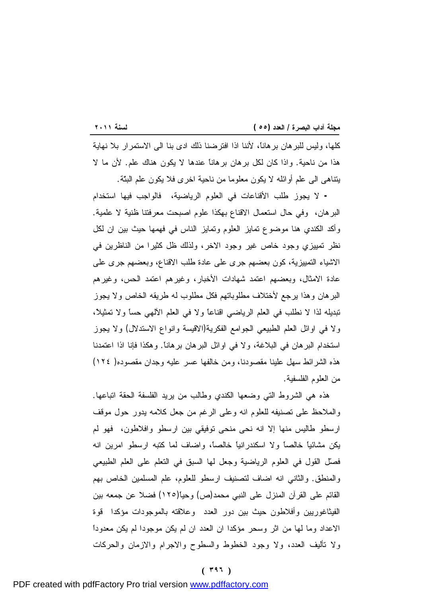$\frac{1}{\sqrt{2}}$  ,  $\frac{1}{\sqrt{2}}$  ,  $\frac{1}{\sqrt{2}}$  ,  $\frac{1}{\sqrt{2}}$  ,  $\frac{1}{\sqrt{2}}$  ,  $\frac{1}{\sqrt{2}}$  ,  $\frac{1}{\sqrt{2}}$  ,  $\frac{1}{\sqrt{2}}$  ,  $\frac{1}{\sqrt{2}}$  ,  $\frac{1}{\sqrt{2}}$  ,  $\frac{1}{\sqrt{2}}$  ,  $\frac{1}{\sqrt{2}}$  ,  $\frac{1}{\sqrt{2}}$  ,  $\frac{1}{\sqrt{2}}$  ,  $\frac{1}{\sqrt{2}}$ كلها، وليس للبرهان برهاناً، لأننا اذا افترضنا ذلك ادى بنا الى الاستمرار بلا نهاية هذا من ناحية. واذا كان لكل برهان برهاناً عندها لا يكون هناك علم. لأن ما لا يتناهى الى علم أوائله لا يكون معلوما من ناحية اخرى فلا يكون علم البتّة.

**-** لا يجوز طلب الأقناعات في العلوم الرياضية، فالواجب فيها استخدام البرهان، وفي حال استعمال الاقناع بهكذا علوم اصبحت معرفتنا ظنية لا علمية. وأكد الكندي هنا موضوع تمايز العلوم وتمايز الناس في فهمها حيث بين ان لكل نظر تمييزي وجود خاص غير وجود الاخر، ولذلك ظل كثيرا من الناظرين في الاشياء التمييزية، كون بعضهم جرى على عادة طلب الاقناع، وبعضهم جرى على عادة الامثال، وبعضهم اعتمد شهادات الأخبار، وغيرهم اعتمد الحس، وغيرهم البرهان وهذا يرجع لأختلاف مطلوباتهم فكل مطلوب له طريقه الخاص ولا يجوز تبديله لذا لا نطلب في العلم الرياضي اقناعاً ولا في العلم الآلهي حساً ولا تمثيلاً، ولا في اوائل العلم الطبيعي الجوامع الفكرية(الاقيسة وانواع الاستدلال) ولا يجوز استخدام البرهان في البلاغة، ولا في اوائل البرهان برهاناً. وهكذا فإنا اذا اعتمدنا هذه الشرائط سهل علينا مقصودنا، ومن خالفها عسر عليه وجدان مقصوده( ١٢٤) من العلوم الفلسفية.

هذه هي الشروط التي وضعها الكندي وطالب من يريد الفلسفة الحقة اتباعها. والملاحظ على تصنيفه للعلوم انه وعلى الرغم من جعل كلامه يدور حول موقف ارسطو طاليس منها إلا انه نحى منحى توفيقي بين ارسطو وافلاطون، فهو لم يكن مشائياً خالصاً ولا اسكندرانياً خالصاً، واضاف لما كتبه ارسطو امرين انه فصل القول في العلوم الرياضية وجعل لها السبق في التعلم على العلم الطبيعي والمنطق. والثاني انه اضاف لتصنيف ارسطو للعلوم، علم المسلمين الخاص بهم القائم على القرآن المنزل على النبي محمد(ص) وحياً(١٢٥) فضلا عن جمعه بين الفيثاغوريين وأفلاطون حيث بين دور العدد وعلاقته بالموجودات مؤكدا قوة الاعداد وما لها من اثر وسحر مؤكدا ان العدد ان لم يكن موجودا لم يكن معدوداً ولا تأليف العدد، ولا وجود الخطوط والسطوح والاجرام والازمان والحركات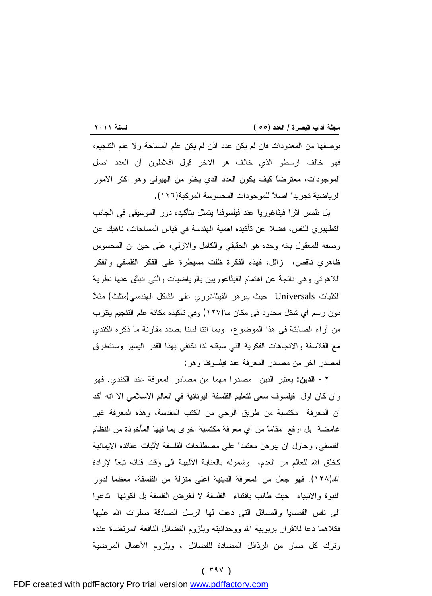<u> 1989 - Johann Barnett, mars eta industrial eta industrial eta industrial eta industrial eta industrial eta i</u> بوصفها من المعدودات فان لم يكن عدد اذن لم يكن علم المساحة ولا علم التنجيم، فهو خالف ارسطو الذي خالف هو الاخر قول افلاطون أن العدد اصل الموجودات، معترضاً كيف يكون العدد الذي يخلو من الهيولى وهو اكثر الامور الرياضية تجريداً اصلاً للموجودات المحسوسة المركبة(١٢٦).

بل نلمس اثراً فيثاغورياً عند فيلسوفنا يتمثل بتأكيده دور الموسيقى في الجانب التطهيري للنفس، فضلا عن تأكيده اهمية الهندسة في قياس المساحات، ناهيك عن وصفه للمعقول بانه وحده هو الحقيقي والكامل والازلي، على حين ان المحسوس ظاهري ناقص، زائل، فهذه الفكرة ظلت مسيطرة على الفكر الفلسفي والفكر اللاهوتي وهي ناتجة عن اهتمام الفيثاغوريين بالرياضيات والتي انبثق عنها نظرية الكليات Universals حيث يبرهن الفيثاغوري على الشكل الهندسي(مثلث) مثلاً دون رسم أي شكل محدود في مكان ما(١٢٧) وفي تأكيده مكانة علم التنجيم يقترب من آراء الصابئة في هذا الموضوع، وبما اننا لسنا بصدد مقارنة ما ذكره الكندي مع الفلاسفة والاتجاهات الفكرية التي سبقته لذا نكتفي بهذا القدر اليسير وسنتطرق لمصدر اخر من مصادر المعرفة عند فيلسوفنا وهو:

**-٢ الدين:** يعتبر الدين مصدرا مهما من مصادر المعرفة عند الكندي. فهو وان كان اول فيلسوف سعى لتعليم الفلسفة اليونانية في العالم الاسلامي الا انه أكد ان المعرفة مكتسبة من طريق الوحي من الكتب المقدسة، وهذه المعرفة غير غامضة بل ارفع مقاماً من أي معرفة مكتسبة اخرى بما فيها المأخوذة من النظام الفلسفي. وحاول ان يبرهن معتمداً على مصطلحات الفلسفة لأثبات عقائده الايمانية كخلق الله للعالم من العدم، وشموله بالعناية الألهية الى وقت فنائه تبعًا لإرادة االله(١٢٨). فهو جعل من المعرفة الدينية اعلى منزلة من الفلسفة، معظما لدور النبوة والانبياء حيث طالب باقتناء الفلسفة لا لغرض الفلسفة بل لكونها تدعوا الى نفس القضايا والمسائل التي دعت لها الرسل الصادقة صلوات االله عليها فكلاهما دعا للاقرار بربوبية االله ووحدانيته وبلزوم الفضائل النافعة المرتضاة عنده وترك كل ضار من الرذائل المضادة للفضائل ، وبلزوم الأعمال المرضية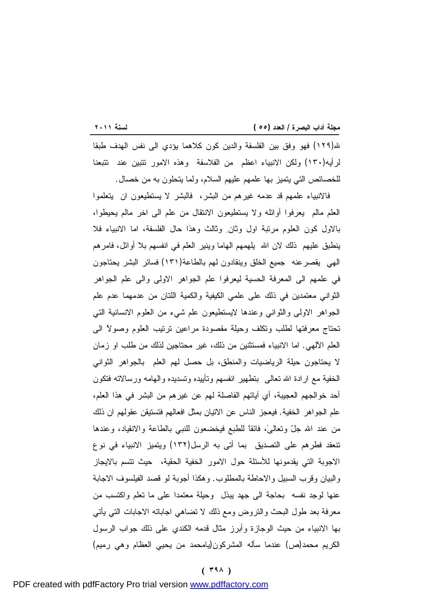<u> 1989 - Johann Stoff, deutscher Stoffen und der Stoffen und der Stoffen und der Stoffen und der Stoffen und der</u> الله(١٢٩) فهو وفق بين الفلسفة والدين كون كلاهما يؤدي الى نفس الهدف طبقا لرأيه(١٣٠) ولكن الانبياء اعظم من الفلاسفة وهذه الامور تتبين عند تتبعنا للخصائص التي يتميز بها علمهم عليهم السلام، ولما يتحلون به من خصال.

فالانبياء علمهم قد عدمه غيرهم من البشر، فالبشر لا يستطيعون ان يتعلموا العلم مالم يعرفوا أوائله ولا يستطيعون الانتقال من علم الى اخر مالم يحيطوا، بالاول كون العلوم مرتبة اول وثان وثالث وهذا حال الفلسفة، اما الانبياء فلا ينطبق عليهم ذلك لان االله يلهمهم الهاما وينير العلم في انفسهم بلا أوائل، فامرهم الهي يقصرعنه جميع الخلق وينقادون لهم بالطاعة(١٣١) فسائر البشر يحتاجون في علمهم الى المعرفة الحسية ليعرفوا علم الجواهر الاولى والى علم الجواهر الثواني معتمدين في ذلك على علمي الكيفية والكمية اللتان من عدمهما عدم علم الجواهر الاولى والثواني وعندها لايستطيعون علم شيء من العلوم الانسانية التي تحتاج معرفتها لطلب وتكلف وحيلة مقصودة مراعين ترتيب العلوم وصولاً الى العلم الآلهي. اما الانبياء فمستثنين من ذلك، غير محتاجين لذلك من طلب او زمان لا يحتاجون حيلة الرياضيات والمنطق، بل حصل لهم العلم بالجواهر الثواني الخفية مع ارادة االله تعالى بتطهير انفسهم وتأييده وتسديده والهامه ورسالاته فتكون أحد خوالجهم العجيبة، أي آياتهم الفاصلة لهم عن غيرهم من البشر في هذا العلم، علم الجواهر الخفية. فيعجز الناس عن الاتيان بمثل افعالهم فتستيقن عقولهم ان ذلك من عند االله جلّ وتعالى،ٰ فائقاً للطبع فيخضعون للنبي بالطاعة والانقياد، وعندها تنعقد فطرهم على التصديق بما أتى به الرسل(١٣٢) ويتميز الانبياء في نوع الاجوبة التي يقدمونها للأسئلة حول الامور الخفية الحقية، حيث تتسم بالايجاز والبيان وقرب السبيل والاحاطة بالمطلوب. وهكذا أجوبة لو قصد الفيلسوف الاجابة عنها لوجد نفسه بحاجة الى جهد يبذل وحيلة معتمدا على ما تعلم واكتسب من معرفة بعد طول البحث والتروض ومع ذلك لا تضاهي اجاباته الاجابات التي يأتي بها الانبياء من حيث الوجازة وأبرز مثال قدمه الكندي على ذلك جواب الرسول الكريم محمد(ص) عندما سأله المشركون(يامحمد من يحيي العظام وهي رميم)

#### **( ٣٩٨ )**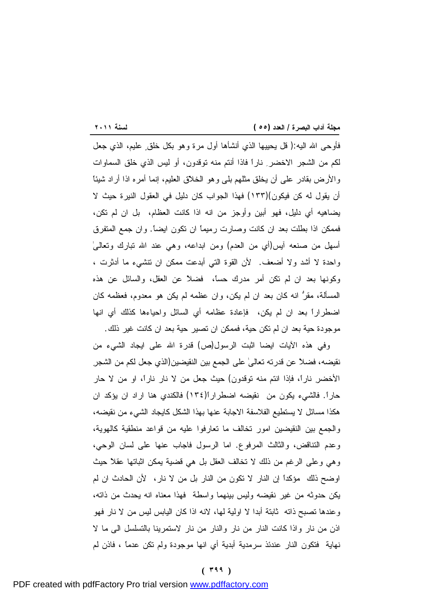<u> Tanzania (h. 1888).</u><br>1905 - Johann Barnett, frantziar frantziar eta idazlea (h. 1808). فأوحى االله اليه:( قل يحييها الذي أنشأها أول مرة وهو بكل خلق عليم، الذي جعل لكم من الشجر الاخضر ناراً فاذا أنتم منه توقدون، أو ليس الذي خلق السماوات والأرض بقادر على أن يخلق مثلهم بلى وهو الخلاّق العليم، إنما أمره اذا أراد شيئاً أن يقول له كن فيكون)(١٣٣) فهذا الجواب كان دليل في العقول النيرة حيث لا يضاهيه أي دليل، فهو أبين وأوجز من انه اذا كانت العظام، بل ان لم تكن، فممكن اذا بطلت بعد ان كانت وصارت رميماً ان تكون ايضاً. وان جمع المتفرق أسهل من صنعه آيس(أي من العدم) ومن ابداعه، وهي عند االله تبارك وتعالىٰ واحدة لا أشد ولا أضعف. لأن القوة التي أبدعت ممكن ان تنشيء ما أدثرت ، وكونها بعد ان لم تكن أمر مدرك حساً، فضلاً عن العقل، والسائل عن هذه المسألة، مقرُّ انه كان بعد ان لم يكن، وان عظمه لم يكن هو معدوم، فعظمه كان اضطراراً بعد ان لم يكن، فإعادة عظامه أي السائل واحياءها كذلك أي انها موجودة حية بعد ان لم تكن حية، فممكن ان تصير حية بعد ان كانت غير ذلك.

وفي هذه الآيات ايضا اثبت الرسول(ص) قدرة االله على ايجاد الشيء من نقيضه، فضلاً عن قدرته تعالىٰ على الجمع بين النقيضين(الذي جعل لكم من الشجرِ الأخضرِ ناراً، فإذا انتم منه توقدون) حيث جعل من لا نار ناراً، او من لا حار حاراً. فالشيء يكون من نقيضه اضطراراً(١٣٤) فالكندي هنا اراد ان يؤكد ان هكذا مسائل لا يستطيع الفلاسفة الاجابة عنها بهذا الشكل كايجاد الشيء من نقيضه، والجمع بين النقيضين امور تخالف ما تعارفوا عليه من قواعد منطقية كالهوية، وعدم التناقض، والثالث المرفوع. اما الرسول فاجاب عنها على لسان الوحي، وهي وعلى الرغم من ذلك لا تخالف العقل بل هي قضية يمكن اثباتها عقلاً حيث اوضح ذلك مؤكداً إن النار لا تكون من النار بل من لا نار، لأن الحادث ان لم يكن حدوثه من غير نقيضه وليس بينهما واسطة فهذا معناه انه يحدث من ذاته، وعندها تصبح ذاته ثابتة أبدا لا اولية لها، لانه اذا كان اليابس ليس من لا نار فهو اذن من نار واذا كانت النار من نار والنار من نار لاستمرينا بالتسلسل الى ما لا نهاية فتكون النار عندئذ سرمدية أبدية أي انها موجودة ولم تكن عدماً ، فاذن لم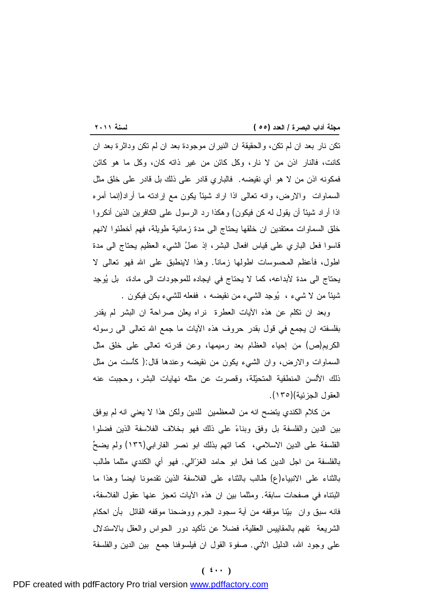<u> 1989 - Johann Barnett, mars eta industrial eta industrial eta industrial eta industrial eta industrial eta i</u> تكن نار بعد ان لم تكن، والحقيقة ان النيران موجودة بعد ان لم تكن وداثرة بعد ان كانت، فالنار اذن من لا نار، وكل كائن من غير ذاته كان، وكل ما هو كائن فمكونه اذن من لا هو أي نقيضه. فالباري قادر على ذلك بل قادر على خلق مثل السماوات والارض، وانه تعالى اذا اراد شيئاً يكون مع إرادته ما أراد(إنما أمره اذا أراد شيئاً أن يقول له كن فيكون) وهكذا رد الرسول على الكافرين الذين أنكروا خلق السماوات معتقدين ان خلقها يحتاج الى مدة زمانية طويلة، فهم أخطئوا لانهم قاسوا فعل الباري على قياس افعال البشر، إذ عملُ الشيء العظيم يحتاج الى مدة اطول، فأعظم المحسوسات اطولها زماناً. وهذا لاينطبق على االله فهو تعالى لا يحتاج الى مدة لأبداعه، كما لا يحتاج في ايجاده للموجودات الى مادة، بل يوجِد شيئاً من لا شيء ، يوجِد الشيء من نقيضه ، ففعله للشيء بكن فيكون .

وبعد ان تكلم عن هذه الآيات العطرة نراه يعلن صراحةً ان البشر لم يقدر بفلسفته ان يجمع في قول بقدر حروف هذه الآيات ما جمع االله تعالى الى رسوله الكريم(ص) من إحياء العظام بعد رميمها، وعن قدرته تعالى على خلق مثل السماوات والارض، وان الشيء يكون من نقيضه وعندها قال:( كاَّست من مثل ذلك الألسن المنطقية المتحيلة، وقصرت عن مثله نهايات البشر، وحجبت عنه العقول الجزئية)(١٣٥).

من كلام الكندي يتضح انه من المعظمين للدين ولكن هذا لا يعني انه لم يوفق بين الدين والفلسفة بل وفق وبناء على ذلك فهو بخلاف الفلاسفة الذين فضلوا الفلسفة على الدين الاسلامي، كما اتهم بذلك ابو نصر الفارابي(١٣٦) ولم يضح بالفلسفة من اجل الدين كما فعل ابو حامد الغزالي. فهو أي الكندي مثلما طالب بالثناء على الانبياء(ع) طالب بالثناء على الفلاسفة الذين تقدمونا ايضاً وهذا ما اثبتناه في صفحات سابقة. ومثلما بين ان هذه الآيات تعجز عنها عقول الفلاسفة، فانه سبق وان بينا موقفه من آية سجود الجرم ووضحنا موقفه القائل بأن احكام الشريعة تفهم بالمقاييس العقلية، فضلاً عن تأكيد دور الحواس والعقل بالاستدلال على وجود الله، الدليل الأنبي. صفوة القول ان فيلسوفنا جمع بين الدين والفلسفة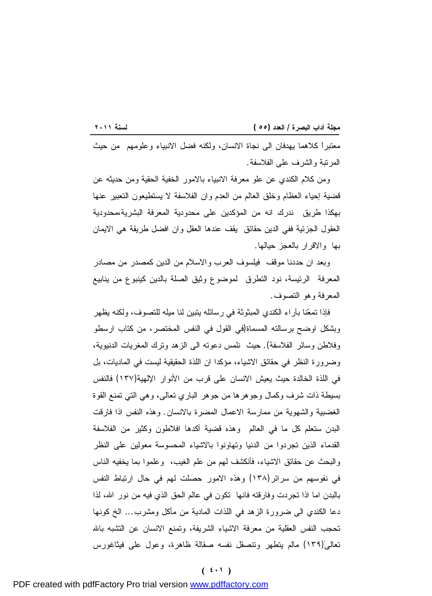<u> 1989 - Johann Barnett, mars eta industrial eta industrial eta industrial eta industrial eta industrial eta i</u> معتبراً كلاهما يهدفان الى نجاة الانسان، ولكنه فضل الانبياء وعلومهم من حيث المرتبة والشرف على الفلاسفة.

ومن كلام الكندي عن علو معرفة الانبياء بالامور الخفية الحقية ومن حديثه عن قضية إحياء العظام وخلق العالم من العدم وان الفلاسفة لا يستطيعون التعبير عنها بهكذا طريق ندرك انه من المؤكدين على محدودية المعرفة البشرية،محدودية العقول الجزئية ففي الدين حقائق يقف عندها العقل وان افضل طريقة هي الايمان بها والاقرار بالعجز حيالها.

وبعد ان حددنا موقف فيلسوف العرب والاسلام من الدين كمصدر من مصادر المعرفة الرئيسة، نود التطرق لموضوع وثيق الصلة بالدين كينبوع من ينابيع المعرفة وهو التصوف.

فإذا تمعنا بآراء الكندي المبثوثة في رسائله يتبين لنا ميله للتصوف، ولكنه يظهر وبشكل اوضح برسالته المسماة(في القول في النفس المختصر، من كتاب ارسطو وفلاطن وسائر الفلاسفة). حيث نلمس دعوته الى الزهد وترك المغريات الدنيوية، وضرورة النظر في حقائق الاشياء، مؤكدا ان اللذة الحقيقية ليست في الماديات، بل في اللذة الخالدة حيث يعيش الانسان على قرب من الأنوار الإلهية(١٣٧) فالنفس بسيطة ذات شرف وكمال وجوهرها من جوهر الباري تعالى، وهي التي تمنع القوة الغضبية والشهوية من ممارسة الاعمال المضرة بالانسان. وهذه النفس اذا فارقت البدن ستعلم كل ما في العالم وهذه قضية أكدها افلاطون وكثير من الفلاسفة القدماء الذين تجردوا من الدنيا وتهاونوا بالاشياء المحسوسة معولين على النظر والبحث عن حقائق الاشياء، فأنكشف لهم من علم الغيب، وعلموا بما يخفيه الناس في نفوسهم من سرائر(١٣٨) وهذه الامور حصلت لهم في حال ارتباط النفس بالبدن اما اذا تجردت وفارقته فانها تكون في عالم الحق الذي فيه من نور االله، لذا دعا الكندي الى ضرورة الزهد في اللذات المادية من مأكل ومشرب... الخ كونها تحجب النفس العقلية من معرفة الاشياء الشريفة، وتمنع الانسان عن التشبه بالله تعالىٰ(١٣٩) مالم يتطهر وتنصقل نفسه صقالة ظاهرة، وعول على فيثاغورس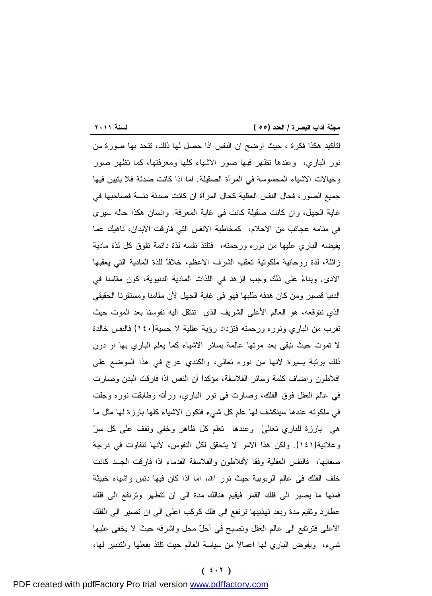لتأكيد هكذا فكرة ، حيث اوضح ان النفس اذا حصل لها ذلك، تتحد بها صورة من نور الباري، وعندها تظهر فيها صور الاشياء كلها ومعرفتها، كما تظهر صور وخيالات الاشياء المحسوسة في المرآة الصقيلة. اما اذا كانت صدئة فلا يتبين فيها جميع الصور، فحال النفس العقلية كحال المرآة ان كانت صدئة دنسة فصاحبها في غاية الجهل، وان كانت صقيلة كانت في غاية المعرفة. وانسان هكذا حاله سيرى في منامه عجائب من الاحلام، كمخاطبة الانفس التي فارقت الابدان، ناهيك عما يفيضه الباري عليها من نوره ورحمته، فتلتذ نفسه لذة دائمة تفوق كل لذة مادية زائلة، لذة روحانية ملكوتية تعقب الشرف الاعظم، خلافاً للذة المادية التي يعقبها الاذى. وبناء على ذلك وجب الزهد في اللذات المادية الدنيوية، كون مقامنا في الدنيا قصير ومن كان هدفه طلبها فهو في غاية الجهل لأن مقامنا ومستقرنا الحقيقي الذي نتوقعه، هو العالم الأعلى الشريف الذي تنتقل اليه نفوسنا بعد الموت حيث تقرب من الباري ونوره ورحمته فتزداد رؤية عقلية لا حسية(١٤٠) فالنفس خالدة لا تموت حيث تبقى بعد موتها عالمة بسائر الاشياء كما يعلم الباري بها او دون ذلك برتبة يسيرة لانها من نوره تعالى، والكندي عرج في هذا الموضع على افلاطون واضاف كلمة وسائر الفلاسفة، مؤكداً أن النفس اذا فارقت البدن وصارت في عالم العقل فوق الفلك، وصارت في نور الباري، ورأته وطابقت نوره وجلّت في ملكوته عندها سينكشف لها علم كل شيء فتكون الاشياء كلها بارزة لها مثل ما هي بارزة للباري تعالىٰ وعندها تعلم كل ظاهر وخفي وتقف على كل سر وعلانية(١٤١). ولكن هذا الامر لا يتحقق لكل النفوس، لأنها تتفاوت في درجة صفائها، فالنفس العقلية وفقا لأفلاطون والفلاسفة القدماء اذا فارقت الجسد كانت خلف الفلك في عالم الربوبية حيث نور االله، اما اذا كان فيها دنس واشياء خبيثة فمنها ما يصير الى فلك القمر فيقيم هنالك مدة الى ان تتطهر وترتفع الى فلك عطارد وتقيم مدة وبعد تهذيبها ترتفع الى فلك كوكب اعلى الى ان تصير الى الفلك الاعلى فترتفع الى عالم العقل وتصبح في أجلّ محل واشرفه حيث لا يخفى عليها شيء، ويفوض الباري لها اعمالاً من سياسة العالم حيث تلتذ بفعلها والتدبير لها،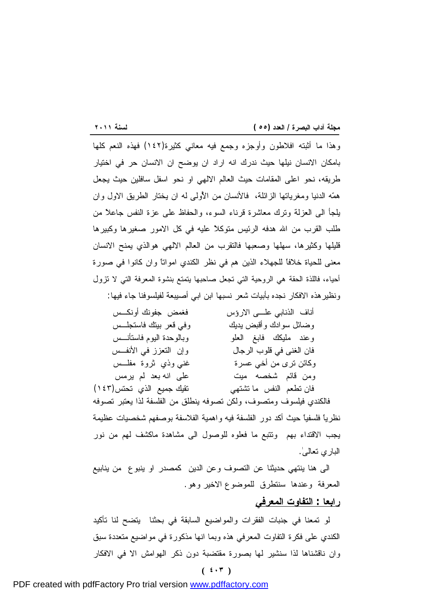وهذا ما أثبته افلاطون وأوجزه وجمع فيه معاني كثيرة(١٤٢) فهذه النعم كلها بامكان الانسان نيلها حيث ندرك انه اراد ان يوضح ان الانسان حر في اختيار طريقه، نحو اعلى المقامات حيث العالم الالهي او نحو اسفل سافلين حيث يجعل همه الدنيا ومغرياتها الزائلة، فالأنسان من الأَُولى له ان يختار الطريق الاول وان يلجأ الى العزلة وترك معاشرة قرناء السوء، والحفاظ على عزة النفس جاعلاً من طلب القرب من الله هدفه الرئيس متوكلاً عليه في كل الامور صغيرها وكبيرها قليلها وكثيرها، سهلها وصعبها فالتقرب من العالم الالهي هوالذي يمنح الانسان معنى للحياة خلافاً للجهلاء الذين هم في نظر الكندي امواتاً وان كانوا في صورة أحياء، فاللذة الحقة هي الروحية التي تجعل صاحبها يتمتع بنشوة المعرفة التي لا تزول ونظيرهذه الافكار نجده بأبيات شعر نسبها ابن ابي أصيبعة لفيلسوفنا جاء فيها:

| فغمض جفونك أونكــس        | أناف الذنابي علـــي الارؤس |
|---------------------------|----------------------------|
| وفي قعر بينك فاستجلس      | وضائل سوادك وأقبض يديك     |
| وبالوحدة البوم فاستأنـــس | وعند مليكك فابغ العلو      |
| وإن التعزز في الأنفس      | فان الغني في قلوب الرجال   |
| غنبي وذي ثروة مفلـــس     | وكائن نرى من أخى عسرة      |
| على انه بعد لم يرمس       | ومن قائم شخصه ميت          |
| نقيك جميع الذي تحتس(١٤٣)  | فان تطعم النفس ما تشتهي    |

فالكندي فيلسوف ومتصوف، ولكن تصوفه ينطلق من الفلسفة لذا يعتبر تصوفه نظرياً فلسفياً حيث أكد دور الفلسفة فيه واهمية الفلاسفة بوصفهم شخصيات عظيمة يجب الاقتداء بهم وتتبع ما فعلوه للوصول الى مشاهدة ماكشف لهم من نور الباري تعالى.ٰ

الى هنا ينتهي حديثنا عن التصوف وعن الدين كمصدر او ينبوع من ينابيع المعرفة وعندها سنتطرق للموضوع الاخير وهو.

# **رابعا : التفاوت المعرفي**

لو تمعنا في جنبات الفقرات والمواضيع السابقة في بحثنا يتضح لنا تأكيد الكندي على فكرة التفاوت المعرفي هذه وبما انها مذكورة في مواضيع متعددة سبق وان ناقشناها لذا سنشير لها بصورة مقتضبة دون ذكر الهوامش الا في الافكار

**( ٤٠٣ )**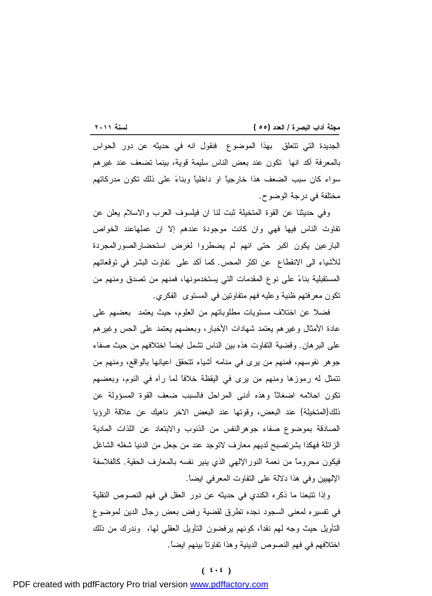<u> 1989 - Johann Barnett, mars eta industrial eta industrial eta industrial eta industrial eta industrial eta i</u> الجديدة التي تتعلق بهذا الموضوع فنقول انه في حديثه عن دور الحواس بالمعرفة أكد انها تكون عند بعض الناس سليمة قوية، بينما تضعف عند غيرهم سواء كان سبب الضعف هذا خارجياً او داخلياً وبناء على ذلك تكون مدركاتهم مختلفة في درجة الوضوح.

وفي حديثنا عن القوة المتخيلة ثبت لنا ان فيلسوف العرب والاسلام يعلن عن تفاوت الناس فيها فهي وان كانت موجودة عندهم إلا ان عملهاعند الخواص البارعين يكون اكبر حتى انهم لم يضطروا لغرض استحضارالصورالمجردة للأشياء الى الانقطاع عن اكثر المحس. كما أكد على تفاوت البشر في توقعاتهم المستقبلية بناء على نوع المقدمات التي يستخدمونها، فمنهم من تصدق ومنهم من تكون معرفتهم ظنية وعليه فهم متفاوتين في المستوى الفكري.

فضلا عن اختلاف مستويات مطلوباتهم من العلوم، حيث يعتمد بعضهم على عادة الأمثال وغيرهم يعتمد شهادات الأخبار، وبعضهم يعتمد على الحس وغيرهم على البرهان. وقضية التفاوت هذه بين الناس تشمل ايضاً اختلافهم من حيث صفاء جوهر نفوسهم، فمنهم من يرى في منامه أشياء تتحقق اعيانها بالواقع، ومنهم من تتمثل له رموزها ومنهم من يرى في اليقظة خلافاً لما رآه في النوم، وبعضهم تكون احلامه اضغاثاً وهذه أدنى المراحل فالسبب ضعف القوة المسؤولة عن ذلك(المتخيلة) عند البعض، وقوتها عند البعض الاخر ناهيك عن علاقة الرؤيا الصادقة بموضوع صفاء جوهرالنفس من الذنوب والابتعاد عن اللذات المادية الزائلة فهكذا بشرتصبح لديهم معارف لاتوجد عند من جعل من الدنيا شغله الشاغل فيكون محروماً من نعمة النورالإلهي الذي ينير نفسه بالمعارف الحقية. كالفلاسفة الإلهيين وفي هذا دلالة على التفاوت المعرفي ايضاً.

وإذا تتبعنا ما ذكره الكندي في حديثه عن دور العقل في فهم النصوص النقلية في تفسيره لمعنى السجود نجده تطرق لقضية رفض بعض رجال الدين لموضوع التأويل حيث وجه لهم نقداً، كونهم يرفضون التأويل العقلي لها، وندرك من ذلك اختلافهم في فهم النصوص الدينية وهذا تفاوتاً بينهم ايضاً.

### **( ٤٠٤ )**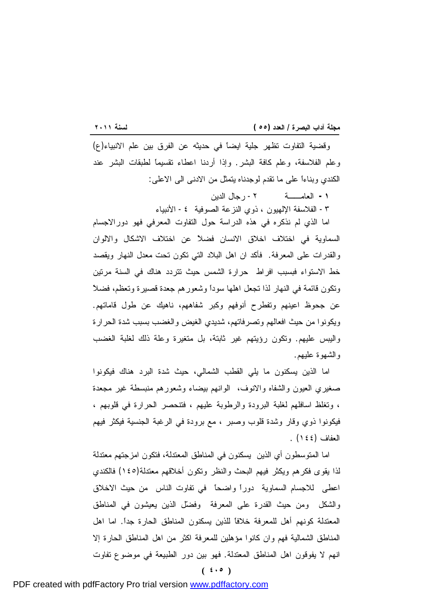<u> 1989 - Johann Barnett, mars eta industrial eta industrial eta industrial eta industrial eta industrial eta i</u> وقضية التفاوت تظهر جلية ايضاً في حديثه عن الفرق بين علم الانبياء(ع) وعلم الفلاسفة، وعلم كافة البشر. وإذا أردنا اعطاء تقسيماً لطبقات البشر عند الكندي وبناءاً على ما تقدم لوجدناه يتمثل من الادنى الى الاعلى:

**-١** العامــة -٢ رجال الدين

-٣ الفلاسفة الإلهيون ، ذوي النزعة الصوفية -٤ الأنبياء

اما الذي لم نذكره في هذه الدراسة حول التفاوت المعرفي فهو دورالاجسام السماوية في اختلاف اخلاق الانسان فضلاً عن اختلاف الاشكال والالوان والقدرات على المعرفة. فأكد ان اهل البلاد التي تكون تحت معدل النهار ويقصد خط الاستواء فبسبب افراط حرارة الشمس حيث تتردد هناك في السنة مرتين وتكون قائمة في النهار لذا تجعل اهلها سوداً وشعورهم جعدة قصيرة وتعظم، فضلاً عن جحوظ اعينهم وتفطرح أنوفهم وكبر شفاههم، ناهيك عن طول قاماتهم. ويكونوا من حيث افعالهم وتصرفاتهم، شديدي الغيض والغضب بسبب شدة الحرارة واليبس عليهم. وتكون رؤيتهم غير ثابتة، بل متغيرة وعلة ذلك لغلبة الغضب والشهوة عليهم.

اما الذين يسكنون ما يلي القطب الشمالي، حيث شدة البرد هناك فيكونوا صغيري العيون والشفاه والانوف، الوانهم بيضاء وشعورهم منبسطة غير مجعدة ، وتغلظ اسافلهم لغلبة البرودة والرطوبة عليهم ، فتنحصر الحرارة في قلوبهم ، فيكونوا ذوي وقار وشدة قلوب وصبر ، مع برودة في الرغبة الجنسية فيكثر فيهم العفاف (١٤٤) .

اما المتوسطون أي الذين يسكنون في المناطق المعتدلة، فتكون امزجتهم معتدلة لذا يقوى فكرهم ويكثر فيهم البحث والنظر وتكون أخلاقهم معتدلة(١٤٥) فالكندي اعطى للاجسام السماوية دوراً واضحاً في تفاوت الناس من حيث الاخلاق والشكل ومن حيث القدرة على المعرفة وفضل الذين يعيشون في المناطق المعتدلة كونهم أهل للمعرفة خلافاً للذين يسكنون المناطق الحارة جداً. اما اهل المناطق الشمالية فهم وان كانوا مؤهلين للمعرفة اكثر من اهل المناطق الحارة إلا انهم لا يفوقون اهل المناطق المعتدلة. فهو بين دور الطبيعة في موضوع تفاوت

**( ٤٠٥ )**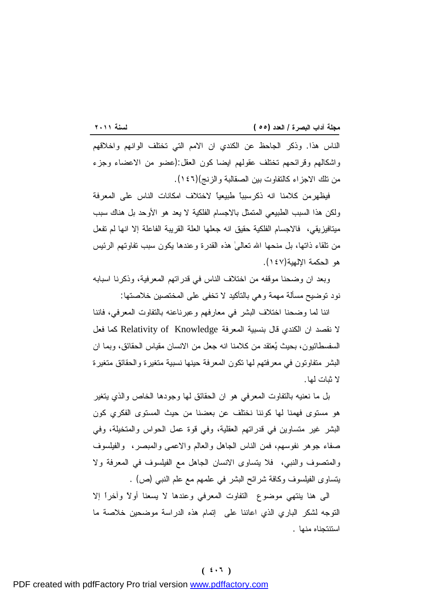<u> 1989 - Johann Barnett, mars eta industrial eta industrial eta industrial eta industrial eta industrial eta i</u> الناس هذا. وذكر الجاحظ عن الكندي ان الامم التي تختلف الوانهم واخلاقهم واشكالهم وقرائحهم تختلف عقولهم ايضا كون العقل:(عضو من الاعضاء وجزء من تلك الاجزاء كالتفاوت بين الصقالبة والزنج)(١٤٦).

فيظهرمن كلامنا انه ذكرسبباً طبيعياً لاختلاف امكانات الناس على المعرفة ولكن هذا السبب الطبيعي المتمثل بالاجسام الفلكية لا يعد هو الأوحد بل هناك سبب ميتافيزيقي، فالاجسام الفلكية حقيق انه جعلها العلة القريبة الفاعلة إلا انها لم تفعل من تلقاء ذاتها، بل منحها الله تعالىٰ هذه القدرة وعندها يكون سبب تفاوتهم الرئيس هو الحكمة الإلهية(١٤٧).

وبعد ان وضحنا موقفه من اختلاف الناس في قدراتهم المعرفية، وذكرنا اسبابه نود توضيح مسألة مهمة وهي بالتأكيد لا تخفى على المختصين خلاصتها:

اننا لما وضحنا اختلاف البشر في معارفهم وعبرناعنه بالتفاوت المعرفي، فاننا لا نقصد ان الكندي قال بنسبية المعرفة Knowledge of Relativity كما فعل السفسطائيون، بحيث يعتقد من كلامنا انه جعل من الانسان مقياس الحقائق، وبما ان البشر متفاوتون في معرفتهم لها تكون المعرفة حينها نسبية متغيرة والحقائق متغيرة لا ثبات لها.

بل ما نعنيه بالتفاوت المعرفي هو ان الحقائق لها وجودها الخاص والذي يتغير هو مستوى فهمنا لها كوننا نختلف عن بعضنا من حيث المستوى الفكري كون البشر غير متساوين في قدراتهم العقلية، وفي قوة عمل الحواس والمتخيلة، وفي صفاء جوهر نفوسهم، فمن الناس الجاهل والعالم والاعمى والمبصر، والفيلسوف والمتصوف والنبي، فلا يتساوى الانسان الجاهل مع الفيلسوف في المعرفة ولا يتساوى الفيلسوف وكافة شرائح البشر في علمهم مع علم النبي (ص) .

الى هنا ينتهي موضوع التفاوت المعرفي وعندها لا يسعنا أولاً وآخراً إلا التوجه لشكر الباري الذي اعاننا على إتمام هذه الدراسة موضحين خلاصة ما استنتجناه منها .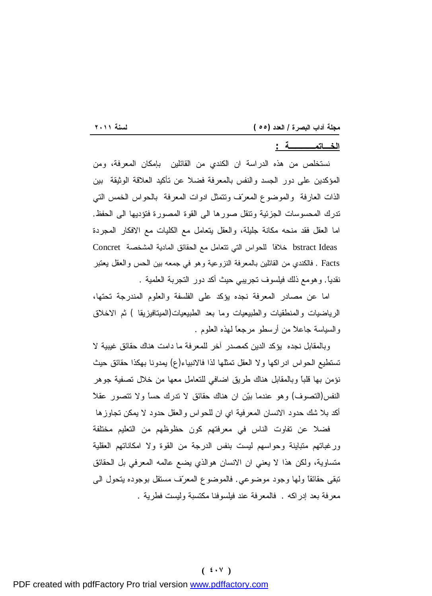# **الخـاتمــــة :**

نستخلص من هذه الدراسة ان الكندي من القائلين بإمكان المعرفة، ومن المؤكدين على دور الجسد والنفس بالمعرفة فضلا عن تأكيد العلاقة الوثيقة بين الذات العارفة والموضوع المعرف وتتمثل ادوات المعرفة بالحواس الخمس التي تدرك المحسوسات الجزئية وتنقل صورها الى القوة المصورة فتؤديها الى الحفظ. اما العقل فقد منحه مكانة جليلة، والعقل يتعامل مع الكليات مع الافكار المجردة Ideas bstract خلافاً للحواس التي تتعامل مع الحقائق المادية المشخصة Concret Facts . فالكندي من القائلين بالمعرفة النزوعية وهو في جمعه بين الحس والعقل يعتبر نقدياً. وهومع ذلك فيلسوف تجريبي حيث أكد دور التجربة العلمية .

اما عن مصادر المعرفة نجده يؤكد على الفلسفة والعلوم المندرجة تحتها، الرياضيات والمنطقيات والطبيعيات وما بعد الطبيعيات(الميتافيزيقا ) ثم الاخلاق والسياسة جاعلاً من أرسطو مرجعاً لهذه العلوم .

وبالمقابل نجده يؤكد الدين كمصدر آخر للمعرفة ما دامت هناك حقائق غيبية لا تستطيع الحواس ادراكها ولا العقل تمثلها لذا فالانبياء(ع) يمدونا بهكذا حقائق حيث نؤمن بها قلباً وبالمقابل هناك طريق اضافي للتعامل معها من خلال تصفية جوهر النفس(التصوف) وهو عندما بين ان هناك حقائق لا تدرك حساً ولا تتصور عقلاً أكد بلا شك حدود الانسان المعرفية اي ان للحواس والعقل حدود لا يمكن تجاوزها

فضلا عن تفاوت الناس في معرفتهم كون حظوظهم من التعليم مختلفة ورغباتهم متباينة وحواسهم ليست بنفس الدرجة من القوة ولا امكاناتهم العقلية متساوية، ولكن هذا لا يعني ان الانسان هوالذي يضع عالمه المعرفي بل الحقائق تبقى حقائقاً ولها وجود موضوعي. فالموضوع المعرف مستقل بوجوده يتحول الى معرفة بعد إدراكه . فالمعرفة عند فيلسوفنا مكتسبة وليست فطرية .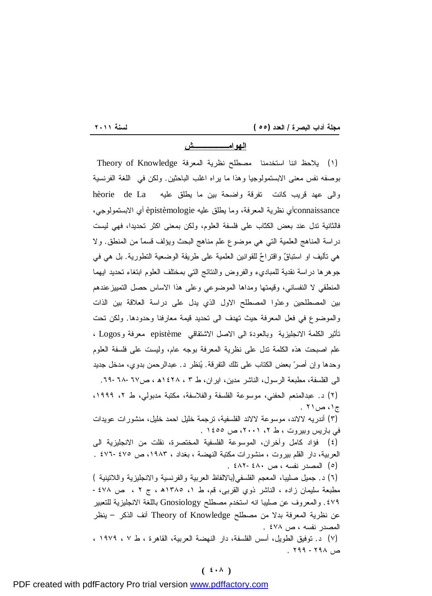<u> 1989 - Johann Barnett, mars eta industrial eta industrial eta industrial eta industrial eta industrial eta i</u>

**الهوامــــــش**

(١) يلاحظ اننا استخدمنا مصطلح نظرية المعرفة Knowledge of Theory بوصفه نفس معنى الابستمولوجيا وهذا ما يراه اغلب الباحثين. ولكن في اللغة الفرنسية والى عهد قريب كانت تفرقة واضحة بين ما يطلق عليه La de hèorie connaissanceأي نظرية المعرفة، وما يطلق عليه èpistèmologie أي الابستمولوجي، فالثانية تدل عند بعض الكتّاب على فلسفة العلوم، ولكن بمعنى اكثر تحديدا، فهي ليست دراسة المناهج العلمية التي هي موضوع علم مناهج البحث ويؤلف قسماً من المنطق. ولا هي تأليف او استباقٌ واقتراح للقوانين العلمية على طريقة الوضعية التطورية. بل هي في جوهرها دراسة نقدية للمباديء والفروض والنتائج التي بمختلف العلوم ابتغاء تحديد ايهما المنطقي لا النفساني، وقيمتها ومداها الموضوعي وعلى هذا الاساس حصل التمييزعندهم بين المصطلحين وعدوا المصطلح الاول الذي يدل على دراسة العلاقة بين الذات والموضوع في فعل المعرفة حيث تهدف الى تحديد قيمة معارفنا وحدودها. ولكن تحت تأثير الكلمة الانجليزية وبالعودة الى الاصل الاشتقاقي epistème معرفة وLogos ، علم اصبحت هذه الكلمة تدل على نظرية المعرفة بوجه عام، وليست على فلسفة العلوم وحدها وإن أصر بعض الكتاب على تلك التفرقة. ينظر د. عبدالرحمن بدوي، مدخل جديد الى الفلسفة، مطبعة الرسول، الناشر مدين، ايران، ط ٣ ، ١٤٢٨ه ، ص.٦٩-٦٨-٦٧ (٢) د. عبدالمنعم الحفني، موسوعة الفلسفة والفلاسفة، مكتبة مدبولي، ط ،٢ ،١٩٩٩ ج۱، ص۲۱ (٣) أندريه لالاند، موسوعة لالاند الفلسفية، ترجمة خليل احمد خليل، منشورات عويدات في باريس وبيروت ، ط ،٢ ،٢٠٠١ ص ١٤٥٥ . (٤) فؤاد كامل وآخران، الموسوعة الفلسفية المختصرة، نقلت من الانجليزية الى العربية، دار القلم بيروت ، منشورات مكتبة النهضة ، بغداد ، ،١٩٨٣ ص -٤٧٥ ٤٧٦ . (٥) المصدر نفسه ، ص ٤٨٢-٤٨٠ . (٦) د. جميل صليبا، المعجم الفلسفي(بالالفاظ العربية والفرنسية والانجليزية واللاتينية ) مطبعة سليمان زاده ، الناشر ذوي القربى، قم، ط ،١ ١٣٨٥ھ ، ج ٢ ، ص -٤٧٨ .٤٧٩ والمعروف عن صليبا انه استخدم مصطلح Gnosiology باللغة الانجليزية للتعبير عن نظرية المعرفة بدلا من مصطلح Knowledge of Theory آنف الذكر – ينظر المصدر نفسه ، ص ٤٧٨ . (٧) د. توفيق الطويل، أسس الفلسفة، دار النهضة العربية، القاهرة ، ط ٧ ، ١٩٧٩ ، ص ٢٩٨ - ٢٩٩ .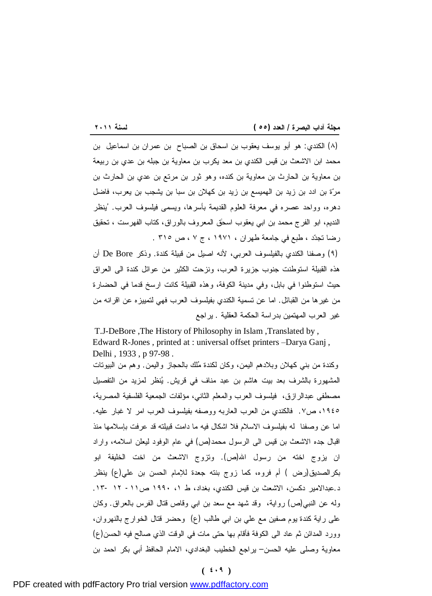(٨) الكندي: هو أبو يوسف يعقوب بن اسحاق بن الصباح بن عمران بن اسماعيل بن محمد ابن الاشعث بن قيس الكندي بن معد يكرب بن معاوية بن جبله بن عدي بن ربيعة بن معاوية بن الحارث بن معاوية بن كنده، وهو ثور بن مرتع بن عدي بن الحارث بن مرة بن ادد بن زيد بن الهميسع بن زيد بن كهلان بن سبا بن يشجب بن يعرب، فاضل دهره، وواحد عصره في معرفة العلوم القديمة بأسرها، ويسمى فيلسوف العرب. ُينظر النديم، ابو الفرج محمد بن ابي يعقوب اسحٰق المعروف بالوراق، كتاب الفهرست ، تحقيق رضا تجدد ، طبع في جامعة طهران ، ١٩٧١ ، ج ٧ ، ص ٣١٥ .

(٩) وصفنا الكندي بالفيلسوف العربي، لأنه اصيل من قبيلة كندة. وذكر Bore De أن هذه القبيلة استوطنت جنوب جزيرة العرب، ونزحت الكثير من عوائل كندة الى العراق حيث استوطنوا في بابل، وفي مدينة الكوفة، وهذه القبيلة كانت ارسخ قدما في الحضارة من غيرها من القبائل. اما عن تسمية الكندي بفيلسوف العرب فهي لتمييزه عن اقرانه من غير العرب المهتمين بدراسة الحكمة العقلية . يراجع

T.J-DeBore ,The History of Philosophy in Islam ,Translated by , Edward R-Jones , printed at : universal offset printers –Darya Ganj , Delhi , 1933 , p 97-98 . وكندة من بني كهلان وبلادهم اليمن، وكان لكندة ملك بالحجاز واليمن. وهم من البيوتات

المشهورة بالشرف بعد بيت هاشم بن عبد مناف في قريش. ينظر لمزيد من التفصيل مصطفى عبدالرازق، فيلسوف العرب والمعلم الثاني، مؤلفات الجمعية الفلسفية المصرية، ،١٩٤٥ ص.٧ فالكندي من العرب العاربه ووصفه بفيلسوف العرب امر لا غبار عليه. اما عن وصفنا له بفيلسوف الاسلام فلا اشكال فيه ما دامت قبيلته قد عرفت بإسلامها منذ اقبال جده الاشعث بن قيس الى الرسول محمد(ص) في عام الوفود ليعلن اسلامه، واراد ان يزوج اخته من رسول االله(ص). وتزوج الاشعث من اخت الخليفة ابو بكرالصديق(رض ) أم فروه، كما زوج بنته جعدة للإمام الحسن بن علي(ع) ينظر د.عبدالامير دكسن، الاشعث بن قيس الكندي، بغداد، ط ،١ ١٩٩٠ ص-١١ ١٢ .١٣- وله عن النبي(ص) رواية، وقد شهد مع سعد بن ابي وقاص قتال الفرس بالعراق. وكان على راية كندة يوم صفين مع علي بن ابي طالب (ع) وحضر قتال الخوارج بالنهروان، وورد المدائن ثم عاد الى الكوفة فأقام بها حتى مات في الوقت الذي صالح فيه الحسن(ع) معاوية وصلى عليه الحسن– يراجع الخطيب البغدادي، الامام الحافظ أبي بكر احمد بن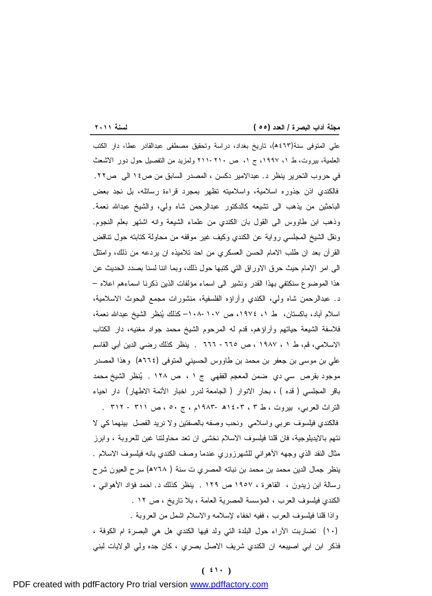<u> 1989 - Johann Stoff, deutscher Stoffen und der Stoffen und der Stoffen und der Stoffen und der Stoffen und der</u> علي المتوفى سنة(٤٦٣ھ)، تاريخ بغداد، دراسة وتحقيق مصطفى عبدالقادر عطا، دار الكتب العلمية، بيروت، ط ،١ ،١٩٩٧ ج ،١ ص ٢١١-٢١٠ ولمزيد من التفصيل حول دور الاشعث في حروب التحرير ينظر د. عبدالامير دكسن ، المصدر السابق من ص١٤ الى ص.٢٢ فالكندي اذن جذوره اسلامية، واسلاميته تظهر بمجرد قراءة رسائله، بل نجد بعض الباحثين من يذهب الى تشيعه كالدكتور عبدالرحمن شاه ولي، والشيخ عبداالله نعمة. وذهب ابن طاووس الى القول بان الكندي من علماء الشيعة وانه اشتهر بعلم النجوم. ونقل الشيخ المجلسي رواية عن الكندي وكيف غير موقفه من محاولة كتابته حول تناقض القرآن بعد ان طلب الامام الحسن العسكري من احد تلاميذه ان يردعه من ذلك، وامتثل الى امر الإمام حيث حرق الاوراق التي كتبها حول ذلك، وبما اننا لسنا بصدد الحديث عن هذا الموضوع سنكتفي بهذا القدر ونشير الى اسماء مؤلفات الذين ذكرنا اسماءهم اعلاه – د. عبدالرحمن شاه ولي، الكندي وآراؤه الفلسفية، منشورات مجمع البحوث الاسلامية، اسلام آباد، باكستان، ط ،١ ،١٩٧٤ ص ١٠٨-١٠٧– كذلك ينظر الشيخ عبداالله نعمة، فلاسفة الشيعة حياتهم وآراؤهم، قدم له المرحوم الشيخ محمد جواد مغنيه، دار الكتاب الاسلامي، قم، ط ١ ، ١٩٨٧ ، ص -٦٦٥ ٦٦٦ . ينظر كذلك رضي الدين أبي القاسم علي بن موسى بن جعفر بن محمد بن طاووس الحسيني المتوفى (٦٦٤ھ) وهذا المصدر موجود بقرص سي دي ضمن المعجم الفقهي ج ١ ، ص ١٢٨ . ينظر الشيخ محمد باقر المجلسي ( قده ) ، بحار الانوار ( الجامعة لدرر اخبار الأئمة الاطهار) دار احياء التراث العربي، بيروت ، ط ٣ ، ١٤٠٣ھ ١٩٨٣-م ، ج ٥٠ ، ص ٣١١ - ٣١٢ . فالكندي فيلسوف عربي واسلامي ونحب وصفه بالصفتين ولا نريد الفصل بينهما كي لا نتهم بالايديلوجية، فان قلنا فيلسوف الاسلام نخشى ان تعد محاولتنا غبن للعروبة ، وابرز مثال النقد الذي وجهه الأهواني للشهرزوري عندما وصف الكندي بانه فيلسوف الاسلام . ينظر جمال الدين محمد بن محمد بن نباته المصري ت سنة ( ٧٦٨ھ) سرح العيون شرح رسالة ابن زيدون ، القاهرة ، ١٩٥٧ ص ١٢٩ . ينظر كذلك د. احمد فؤاد الأهواني ، الكندي فيلسوف العرب ، المؤسسة المصرية العامة ، بلا تاريخ ، ص ١٢ . واذا قلنا فيلسوف العرب ، ففيه اخفاء لإسلامه والاسلام اشمل من العروبة . (١٠) تضاربت الآراء حول البلدة التي ولد فيها الكندي هل هي البصرة ام الكوفة ،

فذكر ابن ابي اصيبعه ان الكندي شريف الاصل بصري ، كان جده ولي الولايات لبني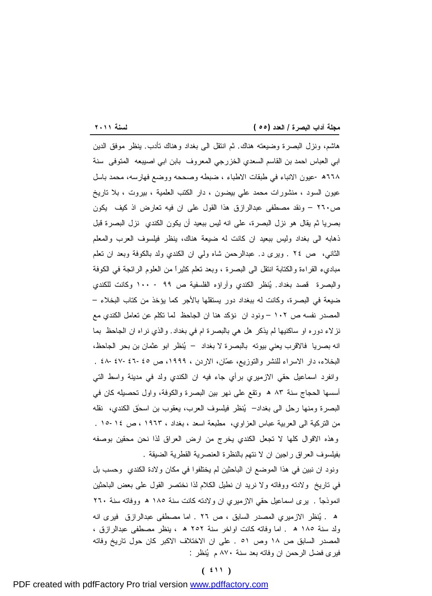<u> 1989 - Johann Stoff, deutscher Stoffen und der Stoffen und der Stoffen und der Stoffen und der Stoffen und der</u> هاشم، ونزل البصرة وضيعته هناك. ثم انتقل الى بغداد وهناك تأدب. ينظر موفق الدين ابي العباس احمد بن القاسم السعدي الخزرجي المعروف بابن ابي اصيبعه المتوفى سنة ٦٦٨ھ - عيون الانباء في طبقات الاطباء ، ضبطه وصححه ووضع فهارسه، محمد باسل عيون السود ، منشورات محمد علي بيضون ، دار الكتب العلمية ، بيروت ، بلا تاريخ ص٢٦٠ – ونقد مصطفى عبدالرازق هذا القول على ان فيه تعارض اذ كيف يكون بصريا ثم يقال هو نزل البصرة، على انه ليس ببعيد أن يكون الكندي نزل البصرة قبل ذهابه الى بغداد وليس ببعيد ان كانت له ضيعة هناك، ينظر فيلسوف العرب والمعلم الثاني، ص ٢٤ . ويرى د. عبدالرحمن شاه ولي ان الكندي ولد بالكوفة وبعد ان تعلم مباديء القراءة والكتابة انتقل الى البصرة ، وبعد تعلم كثيراً من العلوم الرائجة في الكوفة والبصرة قصد بغداد. ينظر الكندي وآراؤه الفلسفية ص ٩٩ - ١٠٠ وكانت للكندي ضيعة في البصرة، وكانت له ببغداد دور يستقلها بالأجر كما يؤخذ من كتاب البخلاء – المصدر نفسه ص ١٠٢ – ونود ان نؤكد هنا ان الجاحظ لما تكلم عن تعامل الكندي مع نزلاء دوره او ساكنيها لم يذكر هل هي بالبصرة ام في بغداد. والذي نراه ان الجاحظ بما انه بصريا فالاقرب يعني بيوته بالبصرة لا بغداد – ينظر ابو عثمان بن بحر الجاحظ، البخلاء، دار الاسراء للنشر والتوزيع، عمان، الاردن ، ،١٩٩٩ ص -٤٥ -٤٦ ٤٨-٤٧ . وانفرد اسماعيل حقي الازميري برأي جاء فيه ان الكندي ولد في مدينة واسط التي أسسها الحجاج سنة ٨٣ ھ وتقع على نهر بين البصرة والكوفة، واول تحصيله كان في البصرة ومنها رحل الى بغداد– ينظر فيلسوف العرب، يعقوب بن اسحٰق الكندي، نقله من التركية الى العربية عباس العزاوي، مطبعة اسعد ، بغداد ، ١٩٦٣ ، ص ١٥-١٤ . وهذه الاقوال كلها لا تجعل الكندي يخرج من ارض العراق لذا نحن محقين بوصفه بفيلسوف العراق راجين ان لا نتهم بالنظرة العنصرية القطرية الضيقة .

ونود ان نبين في هذا الموضع ان الباحثين لم يختلفوا في مكان ولادة الكندي وحسب بل في تاريخ ولادته ووفاته ولا نريد ان نطيل الكلام لذا نختصر القول على بعض الباحثين انموذجاً . يرى اسماعيل حقي الازميري ان ولادته كانت سنة ١٨٥ ھ ووفاته سنة ٢٦٠ ھ . ينظر الازميري المصدر السابق ، ص ٢٦ . اما مصطفى عبدالرازق فيرى انه ولد سنة ١٨٥ ھ . اما وفاته كانت اواخر سنة ٢٥٢ ھ ، ينظر مصطفى عبدالرازق ، المصدر السابق ص ١٨ وص ٥١ . على ان الاختلاف الاكبر كان حول تاريخ وفاته فيرى فضل الرحمن ان وفاته بعد سنة ٨٧٠ م ينظر :

# **( ٤١١ )**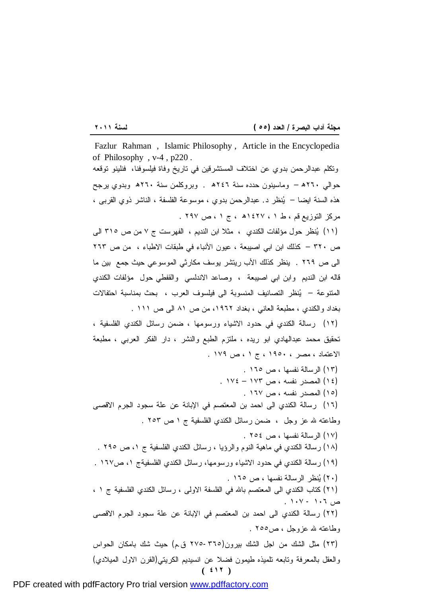<u> 1989 - Johann Stoff, deutscher Stoffen und der Stoffen und der Stoffen und der Stoffen und der Stoffen und der</u> **( ٤١٢ )** Fazlur Rahman , Islamic Philosophy , Article in the Encyclopedia of Philosophy , v-4 , p220 . وتكلم عبدالرحمن بدوي عن اختلاف المستشرقين في تاريخ وفاة فيلسوفنا، فنلينو توقعه حوالي ٢٦٠ھ – وماسينون حدده سنة ٢٤٦ھ . وبروكلمن سنة ٢٦٠ھ وبدوي يرجح هذه السنة ايضا – ينظر د. عبدالرحمن بدوي ، موسوعة الفلسفة ، الناشر ذوي القربى ، مركز التوزيع قم ، ط ١ ، ١٤٢٧ھ ، ج ١ ، ص ٢٩٧ . (١١) ينظر حول مؤلفات الكندي ، مثلا ابن النديم ، الفهرست ج ٧ من ص ٣١٥ الى ص ٣٢٠ – كذلك ابن ابي اصيبعة ، عيون الأنباء في طبقات الاطباء ، من ص ٢٦٣ الى ص ٢٦٩ . ينظر كذلك الأب ريتشر يوسف مكارثي الموسوعي حيث جمع بين ما قاله ابن النديم وابن ابي اصيبعة ، وصاعد الاندلسي والقفطي حول مؤلفات الكندي المتنوعة – ينظر التصانيف المنسوبة الى فيلسوف العرب ، بحث بمناسبة احتفالات بغداد والكندي ، مطبعة العاني ، بغداد ،١٩٦٢ من ص ٨١ الى ص ١١١ . (١٢) رسالة الكندي في حدود الاشياء ورسومها ، ضمن رسائل الكندي الفلسفية ، تحقيق محمد عبدالهادي ابو ريده ، ملتزم الطبع والنشر ، دار الفكر العربي ، مطبعة الاعتماد ، مصر ، ١٩٥٠ ، ج ١ ، ص ١٧٩ . (١٣) الرسالة نفسها ، ص ١٦٥ . (١٤) المصدر نفسه ، ص ١٧٣ – ١٧٤ . (١٥) المصدر نفسه ، ص ١٦٧ . (١٦) رسالة الكندي الى احمد بن المعتصم في الإبانة عن علة سجود الجرم الاقصى وطاعته الله عز وجل ، ضمن رسائل الكندي الفلسفية ج ١ ص ٢٥٣ . (١٧) الرسالة نفسها ، ص ٢٥٤ . (١٨) رسالة الكندي في ماهية النوم والرؤيا ، رسائل الكندي الفلسفية ج ،١ ص ٢٩٥ . (١٩) رسالة الكندي في حدود الاشياء ورسومها، رسائل الكندي الفلسفيةج ،١ ص١٦٧ . (٢٠) ينظر الرسالة نفسها ، ص ١٦٥ . (٢١) كتاب الكندي الى المعتصم باالله في الفلسفة الاولى ، رسائل الكندي الفلسفية ج ١ ، ص ١٠٦ - ١٠٧ . (٢٢) رسالة الكندي الى احمد بن المعتصم في الإبانة عن علة سجود الجرم الاقصى وطاعته الله عزوجل ، ص٢٥٥ . (٢٣) مثل الشك من اجل الشك بيرون(٢٧٥-٣٦٥ ق.م) حيث شك بامكان الحواس والعقل بالمعرفة وتابعه تلميذه طيمون فضلا عن انسيديم الكريتي(القرن الاول الميلادي)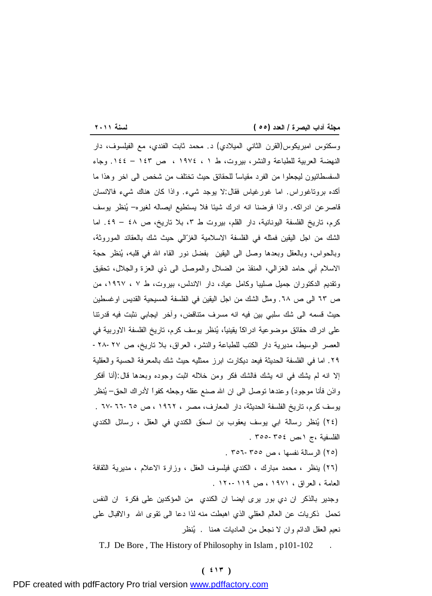<u> 1989 - Johann Stoff, deutscher Stoffen und der Stoffen und der Stoffen und der Stoffen und der Stoffen und der</u> وسكتوس امبريكوس(القرن الثاني الميلادي) د. محمد ثابت الفندي، مع الفيلسوف، دار النهضة العربية للطباعة والنشر، بيروت، ط ١ ، ١٩٧٤ ، ص ١٤٣ – .١٤٤ وجاء السفسطائيون ليجعلوا من الفرد مقياساً للحقائق حيث تختلف من شخص الى اخر وهذا ما أكده بروتاغوراس. اما غورغياس فقال:لا يوجد شيء. واذا كان هناك شيء فالانسان قاصرعن ادراكه. واذا فرضنا انه ادرك شيئا فلا يستطيع ايصاله لغيره– ينظر يوسف كرم، تاريخ الفلسفة اليونانية، دار القلم، بيروت ط ٣، بلا تاريخ، ص ٤٨ – ٤٩ اما الشك من اجل اليقين فمثله في الفلسفة الاسلامية الغزالي حيث شك بالعقائد الموروثة، وبالحواس، وبالعقل وبعدها وصل الى اليقين بفضل نور القاه االله في قلبه، ينظر حجة الاسلام أبي حامد الغزالي، المنقذ من الضلال والموصل الى ذي العزة والجلال، تحقيق وتقديم الدكتوران جميل صليبا وكامل عياد، دار الاندلس، بيروت، ط ٧ ، ،١٩٦٧ من ص ٦٣ الى ص .٦٨ ومثل الشك من اجل اليقين في الفلسفة المسيحية القديس اوغسطين حيث قسمه الى شك سلبي بين فيه انه مسرف متناقض، وآخر ايجابي نثبت فيه قدرتنا على ادراك حقائق موضوعية ادراكاً يقينياً، ينظر يوسف كرم، تاريخ الفلسفة الاوربية في العصر الوسيط، مديرية دار الكتب للطباعة والنشر، العراق، بلا تاريخ، ص -٢٨-٢٧ .٢٩ اما في الفلسفة الحديثة فيعد ديكارت ابرز ممثليه حيث شك بالمعرفة الحسية والعقلية إلا انه لم يشك في انه يشك فالشك فكر ومن خلاله اثبت وجوده وبعدها قال:(أنا أفكر واذن فأنا موجود) وعندها توصل الى ان االله صنع عقله وجعله كفواً لأدراك الحق– ينظر يوسف كرم، تاريخ الفلسفة الحديثة، دار المعارف، مصر ، ١٩٦٢ ، ص -٦٥ ٦٧-٦٦ . (٢٤) ينظر رسالة ابي يوسف يعقوب بن اسحٰق الكندي في العقل ، رسائل الكندي الفلسفية ،ج ،١ص -٣٥٤ ٣٥٥ .

(٢٥) الرسالة نفسها ، ص ٣٥٦-٣٥٥ .

(٢٦) ينظر ، محمد مبارك ، الكندي فيلسوف العقل ، وزارة الاعلام ، مديرية الثقافة العامة ، العراق ، ١٩٧١ ، ص -١١٩ ١٢٠ .

وجدير بالذكر ان دي بور يرى ايضا ان الكندي من المؤكدين على فكرة ان النفس تحمل ذكريات عن العالم العقلي الذي اهبطت منه لذا دعا الى تقوى االله والاقبال على نعيم العقل الدائم وان لا نجعل من الماديات همنا . ينظر

T.J De Bore , The History of Philosophy in Islam , p101-102 .

### **( ٤١٣ )**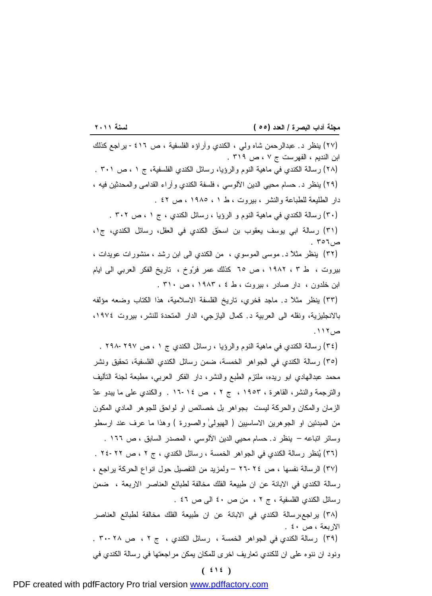<u> 1989 - Johann Barbara, martxa a shekara 1989 - André a Santa A</u>

(٢٧) ينظر د. عبدالرحمن شاه ولي ، الكندي وآراؤه الفلسفية ، ص -٤١٦ يراجع كذلك ابن النديم ، الفهرست ج ٧ ، ص ٣١٩ . (٢٨) رسالة الكندي في ماهية النوم والرؤيا، رسائل الكندي الفلسفية، ج ١ ، ص ٣٠١ . (٢٩) ينظر د. حسام محيي الدين الآلوسي ، فلسفة الكندي وآراء القدامى والمحدثين فيه ، دار الطليعة للطباعة والنشر ، بيروت ، ط ١ ، ١٩٨٥ ، ص ٤٢ . (٣٠) رسالة الكندي في ماهية النوم و الرؤيا ، رسائل الكندي ، ج ١ ، ص ٣٠٢ . (٣١) رسالة ابي يوسف يعقوب بن اسحٰق الكندي في العقل، رسائل الكندي، ج،١ ص٣٥٦ . (٣٢) ينظر مثلاً د. موسى الموسوي ، من الكندي الى ابن رشد ، منشورات عويدات ، بيروت ، ط ٣ ، ١٩٨٢ ، ص ٦٥ كذلك عمر فروخ ، تاريخ الفكر العربي الى ايام ابن خلدون ، دار صادر ، بيروت ، ط ٤ ، ١٩٨٣ ، ص ٣١٠ .

(٣٣) ينظر مثلاً د. ماجد فخري، تاريخ الفلسفة الاسلامية، هذا الكتاب وضعه مؤلفه بالانجليزية، ونقله الى العربية د. كمال اليازجي، الدار المتحدة للنشر، بيروت ،١٩٧٤ ص.١١٢

(٣٤) رسالة الكندي في ماهية النوم والرؤيا ، رسائل الكندي ج ١ ، ص ٢٩٨-٢٩٧ .

(٣٥) رسالة الكندي في الجواهر الخمسة، ضمن رسائل الكندي الفلسفية، تحقيق ونشر محمد عبدالهادي ابو ريده، ملتزم الطبع والنشر، دار الفكر العربي، مطبعة لجنة التأليف والترجمة والنشر، القاهرة ، ١٩٥٣ ، ج ٢ ، ص ١٦-١٤ . والكندي على ما يبدو عد الزمان والمكان والحركة ليست بجواهر بل خصائص او لواحق للجوهر المادي المكون من المبدئين او الجوهرين الاساسيين ( الهيولىٰ والصورة ) وهذا ما عرف عند ارسطو وسائر اتباعه – ينظر د. حسام محيي الدين الآلوسي ، المصدر السابق ، ص ١٦٦ . (٣٦) ينظر رسالة الكندي في الجواهر الخمسة ، رسائل الكندي ، ج ٢ ، ص ٢٤-٢٢ . (٣٧) الرسالة نفسها ، ص ٢٦-٢٤ – ولمزيد من التفصيل حول انواع الحركة يراجع ، رسالة الكندي في الابانة عن ان طبيعة الفلك مخالفة لطبائع العناصر الاربعة ، ضمن رسائل الكندي الفلسفية ، ج ٢ ، من ص ٤٠ الى ص ٤٦ . (٣٨) يراجع،رسالة الكندي في الابانة عن ان طبيعة الفلك مخالفة لطبائع العناصر الاربعة ، ص ٤٠ .

(٣٩) رسالة الكندي في الجواهر الخمسة ، رسائل الكندي ، ج ٢ ، ص ٣٠-٢٨ . ونود ان ننوه على ان للكندي تعاريف اخرى للمكان يمكن مراجعتها في رسالة الكندي في

**( ٤١٤ )**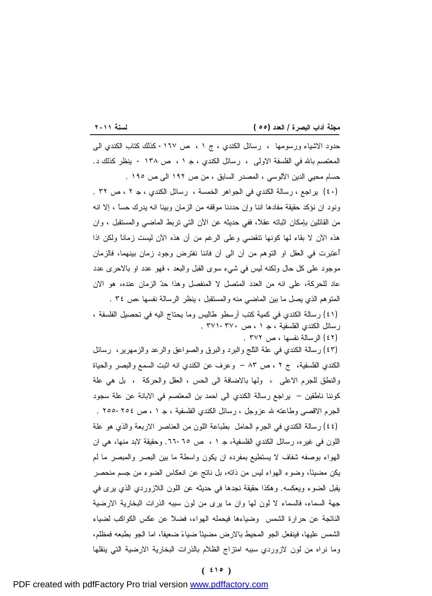<u> 1989 - Johann Stoff, deutscher Stoffen und der Stoffen und der Stoffen und der Stoffen und der Stoffen und der</u>

حدود الاشياء ورسومها ، رسائل الكندي ، ج ١ ، ص -١٦٧ كذلك كتاب الكندي الى المعتصم باالله في الفلسفة الاولى ، رسائل الكندي ، ج ١ ، ص ١٣٨ - ينظر كذلك د. حسام محيي الدين الآلوسي ، المصدر السابق ، من ص ١٩٢ الى ص ١٩٥ . (٤٠) يراجع ، رسالة الكندي في الجواهر الخمسة ، رسائل الكندي ، ج ٢ ، ص ٣٢ . ونود ان نؤكد حقيقة مفادها اننا وإن حددنا موقفه من الزمان وبينا انه يدرك حساً ، إلا انه من القائلين بإمكان اثباته عقلاً، ففي حديثه عن الآن التي تربط الماضي والمستقبل ، وان هذه الآن لا بقاء لها كونها تنقضي وعلى الرغم من أن هذه الآن ليست زماناً ولكن اذا أُعتبرت في العقل او التوهم من آن الى آن فاننا نفترض وجود زمان بينهما، فالزمان موجود على كل حال ولكنه ليس في شيء سوى القبل والبعد ، فهو عدد او بالاحرى عدد عاد للحركة، على انه من العدد المتصل لا المنفصل وهذا حد الزمان عنده، هو الان المتوهم الذي يصل ما بين الماضي منه والمستقبل ، ينظر الرسالة نفسها ،ص ٣٤ .

(٤١) رسالة الكندي في كمية كتب أرسطو طاليس وما يحتاج اليه في تحصيل الفلسفة ، رسائل الكندي الفلسفية ، ج ١ ، ص -٣٧٠ ٣٧١ .

(٤٢) الرسالة نفسها ، ص ٣٧٢ .

(٤٣) رسالة الكندي في علة الثلج والبرد والبرق والصواعق والرعد والزمهرير، رسائل الكندي الفلسفية، ج ٢ ، ص ٨٣ – وعرف عن الكندي انه اثبت السمع والبصر والحياة والنطق للجرم الاعلى ، ولها بالاضافة الى الحس ، العقل والحركة ، بل هي علة كوننا ناطقين – يراجع رسالة الكندي الى احمد بن المعتصم في الابانة عن علة سجود الجرم الاقصى وطاعته الله عزوجل ، رسائل الكندي الفلسفية ، ج ١ ، ص -٢٥٤ ٢٥٥ . (٤٤) رسالة الكندي في الجرم الحامل بطباعة اللون من العناصر الاربعة والذي هو علة اللون في غيره، رسائل الكندي الفلسفية، ج ١ ، ص .٦٦-٦٥ وحقيقة لابد منها، هي ان الهواء بوصفه شفاف لا يستطيع بمفرده ان يكون واسطةً ما بين البصر والمبصر ما لم يكن مضيئاً، وضوء الهواء ليس من ذاته، بل ناتج عن انعكاس الضوء من جسم منحصر يقبل الضوء ويعكسه. وهكذا حقيقة نجدها في حديثه عن اللون اللازوردي الذي يرى في جهة السماء، فالسماء لا لون لها وان ما يرى من لون سببه الذرات البخارية الارضية الناتجة عن حرارة الشمس وضياءها فيحمله الهواء، فضلاً عن عكس الكواكب لضياء الشمس عليها، فينفعل الجو المحيط بالارض مضيئاً ضياء ضعيفاً، اما الجو بطبعه فمظلم، وما نراه من لون لازوردي سببه امتزاج الظلام بالذرات البخارية الارضية التي ينقلها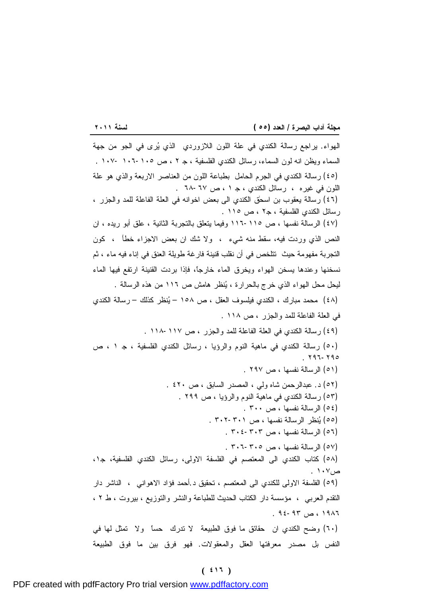<u> 1989 - Johann Stoff, deutscher Stoffen und der Stoffen und der Stoffen und der Stoffen und der Stoffen und der</u> الهواء. يراجع رسالة الكندي في علة اللون اللازوردي الذي يرى في الجو من جهة السماء ويظن انه لون السماء، رسائل الكندي الفلسفية ، ج ٢ ، ص ١٠٦-١٠٥ ١٠٧- . (٤٥) رسالة الكندي في الجرم الحامل بطباعة اللون من العناصر الاربعة والذي هو علة اللون في غيره ، رسائل الكندي ، ج ١ ، ص -٦٧ ٦٨ . (٤٦) رسالة يعقوب بن اسحٰق الكندي الى بعض اخوانه في العلة الفاعلة للمد والجزر ، رسائل الكندي الفلسفية ، ج٢ ، ص ١١٥ . (٤٧) الرسالة نفسها ، ص ١١٦-١١٥ وفيما يتعلق بالتجربة الثانية ، علق أبو ريده ، ان النص الذي وردت فيه، سقط منه شيء ، ولا شك ان بعض الاجزاء خطأ ، كون التجربة مفهومة حيث تتلخص في أن نقلب قنينة فارغة طويلة العنق في إناء فيه ماء ، ثم نسخنها وعندها يسخن الهواء ويخرق الماء خارجاً، فإذا بردت القنينة ارتفع فيها الماء ليحل محل الهواء الذي خرج بالحرارة ، ينظر هامش ص ١١٦ من هذه الرسالة . (٤٨) محمد مبارك ، الكندي فيلسوف العقل ، ص ١٥٨ – ينظر كذلك – رسالة الكندي في العلة الفاعلة للمد والجزر ، ص ١١٨ . (٤٩) رسالة الكندي في العلة الفاعلة للمد والجزر ، ص ١١٨-١١٧ . (٥٠) رسالة الكندي في ماهية النوم والرؤيا ، رسائل الكندي الفلسفية ، ج ١ ، ص . ٢٩٦-٢٩٥ (٥١) الرسالة نفسها ، ص ٢٩٧ . (٥٢) د. عبدالرحمن شاه ولي ، المصدر السابق ، ص ٤٢٠ . (٥٣) رسالة الكندي في ماهية النوم والرؤيا ، ص ٢٩٩ . (٥٤) الرسالة نفسها ، ص ٣٠٠ . (٥٥) ينظر الرسالة نفسها ، ص ٣٠٢-٣٠١ . (٥٦) الرسالة نفسها ، ص ٣٠٤-٣٠٣ . (٥٧) الرسالة نفسها ، ص ٣٠٦-٣٠٥ . (٥٨) كتاب الكندي الى المعتصم في الفلسفة الاولى، رسائل الكندي الفلسفية، ج،١ ص١٠٧ . (٥٩) الفلسفة الاولى للكندي الى المعتصم ، تحقيق د.أحمد فؤاد الاهواني ، الناشر دار التقدم العربي ، مؤسسة دار الكتاب الحديث للطباعة والنشر والتوزيع ، بيروت ، ط ٢ ، ١٩٨٦ ، ص ٩٤-٩٣ . (٦٠) وضح الكندي ان حقائق ما فوق الطبيعة لا تدرك حساً ولا تمثل لها في النفس بل مصدر معرفتها العقل والمعقولات. فهو فرق بين ما فوق الطبيعة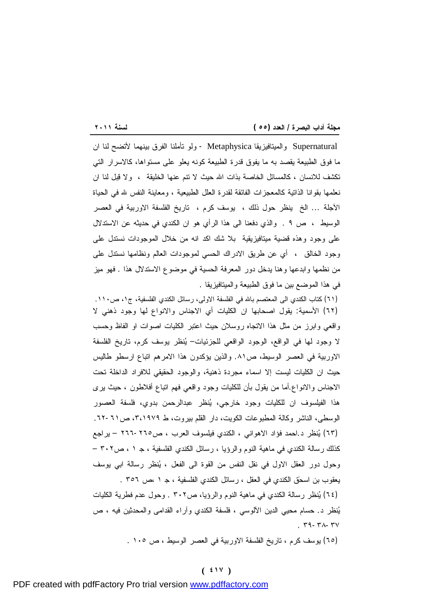<u> 1989 - Johann Stoff, deutscher Stoffen und der Stoffen und der Stoffen und der Stoffen und der Stoffen und der</u> Supernatural والميتافيزيقا Metaphysica - ولو تأملنا الفرق بينهما لأتضح لنا ان ما فوق الطبيعة يقصد به ما يفوق قدرة الطبيعة كونه يعلو على مستواها، كالاسرار التي تكشف للانسان ، كالمسائل الخاصة بذات االله حيث لا تنم عنها الخليقة ، ولا قبل لنا ان نعلمها بقوانا الذاتية كالمعجزات الفائقة لقدرة العلل الطبيعية ، ومعاينة النفس لله في الحياة الآجلة ... الخ ينظر حول ذلك ، يوسف كرم ، تاريخ الفلسفة الاوربية في العصر الوسيط ، ص ٩ . والذي دفعنا الى هذا الرأي هو ان الكندي في حديثه عن الاستدلال على وجود وهذه قضية ميتافيزيقية بلا شك اكد انه من خلال الموجودات نستدل على وجود الخالق ، أي عن طريق الادراك الحسي لموجودات العالم ونظامها نستدل على من نظمها وابدعها وهنا يدخل دور المعرفة الحسية في موضوع الاستدلال هذا . فهو ميز في هذا الموضع بين ما فوق الطبيعة والميتافيزيقا .

(٦١) كتاب الكندي الى المعتصم باالله في الفلسفة الاولى، رسائل الكندي الفلسفية، ج،١ ص.١١٠ (٦٢) الأسمية: يقول اصحابها ان الكليات أي الاجناس والانواع لها وجود ذهني لا واقعي وابرز من مثل هذا الاتجاه روسلان حيث اعتبر الكليات اصوات او الفاظ وحسب لا وجود لها في الواقع، الوجود الواقعي للجزئيات– ينظر يوسف كرم، تاريخ الفلسفة الاوربية في العصر الوسيط، ص.٨١ والذين يؤكدون هذا الامرهم اتباع ارسطو طاليس حيث ان الكليات ليست إلا اسماء مجردة ذهنية، والوجود الحقيقي للافراد الداخلة تحت الاجناس والانواع.أما من يقول بأن للكليات وجود واقعي فهم اتباع أفلاطون ، حيث يرى هذا الفيلسوف ان للكليات وجود خارجي، ينظر عبدالرحمن بدوي، فلسفة العصور الوسطى، الناشر وكالة المطبوعات الكويت، دار القلم بيروت، ط ،٣،١٩٧٩ ص.٦٢-٦١ (٦٣) ينظر د.احمد فؤاد الاهواني ، الكندي فيلسوف العرب ، ص٢٦٦-٢٦٥ – يراجع كذلك رسالة الكندي في ماهية النوم والرؤيا ، رسائل الكندي الفلسفية ، ج ١ ، ص٣٠٢ – وحول دور العقل الاول في نقل النفس من القوة الى الفعل ، ينظر رسالة ابي يوسف يعقوب بن اسحٰق الكندي في العقل ، رسائل الكندي الفلسفية ، ج ١ ،ص ٣٥٦ .

(٦٤) ينظر رسالة الكندي في ماهية النوم والرؤيا، ص٣٠٢ . وحول عدم فطرية الكليات ينظر د. حسام محيي الدين الآلوسي ، فلسفة الكندي وآراء القدامى والمحدثين فيه ، ص  $. r - r - r + r$ 

(٦٥) يوسف كرم ، تاريخ الفلسفة الاوربية في العصر الوسيط ، ص ١٠٥ .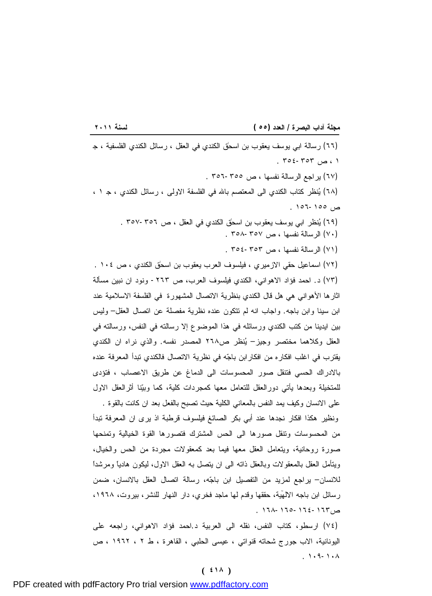<u> 1989 - Johann Stoff, deutscher Stoffen und der Stoffen und der Stoffen und der Stoffen und der Stoffen und der</u> (٦٦) رسالة ابي يوسف يعقوب بن اسحٰق الكندي في العقل ، رسائل الكندي الفلسفية ، ج  $. 702 - 707$  ، ص (٦٧) يراجع الرسالة نفسها ، ص ٣٥٦-٣٥٥ . (٦٨) ينظر كتاب الكندي الى المعتصم باالله في الفلسفة الاولى ، رسائل الكندي ، ج ١ ، ص ١٥٦-١٥٥ .

(٦٩) ينظر ابي يوسف يعقوب بن اسحٰق الكندي في العقل ، ص ٣٥٧-٣٥٦ .

(٧٠) الرسالة نفسها ، ص ٣٥٨-٣٥٧ .

(٧١) الرسالة نفسها ، ص ٣٥٤-٣٥٣ .

(٧٢) اسماعيل حقي الازميري ، فيلسوف العرب يعقوب بن اسحٰق الكندي ، ص ١٠٤ . (٧٣) د. احمد فؤاد الاهواني، الكندي فيلسوف العرب، ص -٢٦٣ ونود ان نبين مسألة اثارها الأهواني هي هل قال الكندي بنظرية الاتصال المشهورة في الفلسفة الاسلامية عند ابن سينا وابن باجه. واجاب انه لم تتكون عنده نظرية مفصلة عن اتصال العقل– وليس بين ايدينا من كتب الكندي ورسائله في هذا الموضوع إلا رسالته في النفس، ورسالته في العقل وكلاهما مختصر وجيز– ينظر ص٢٦٨ المصدر نفسه. والذي نراه ان الكندي يقترب في اغلب افكاره من افكارابن باجه في نظرية الاتصال فالكندي تبدأ المعرفة عنده بالادراك الحسي فتنقل صور المحسوسات الى الدماغ عن طريق الاعصاب ، فتؤدى للمتخيلة وبعدها يأتي دورالعقل للتعامل معها كمجردات كلية، كما وبينا أثرالعقل الاول على الانسان وكيف يمد النفس بالمعاني الكلية حيث تصبح بالفعل بعد ان كانت بالقوة .

ونظير هكذا افكار نجدها عند أبي بكر الصائغ فيلسوف قرطبة اذ يرى ان المعرفة تبدأ من المحسوسات وتنقل صورها الى الحس المشترك فتصورها القوة الخيالية وتمنحها صورة روحانية، ويتعامل العقل معها فيما بعد كمعقولات مجردة من الحس والخيال، ويتأمل العقل بالمعقولات وبالعقل ذاته الى ان يتصل به العقل الاول، ليكون هادياً ومرشداً للانسان– يراجع لمزيد من التفصيل ابن باجه، رسالة اتصال العقل بالانسان، ضمن رسائل ابن باجه الالهّية، حققها وقدم لها ماجد فخري، دار النهار للنشر، بيروت، ١٩٦٨، ص١٦٨-١٦٥-١٦٤-١٦٣ .

(٧٤) ارسطو، كتاب النفس، نقله الى العربية د.احمد فؤاد الاهواني، راجعه على اليونانية، الاب جورج شحاته قنواتي ، عيسى الحلبي ، القاهرة ، ط ٢ ، ١٩٦٢ ، ص . ١٠٩-١٠٨

### **( ٤١٨ )**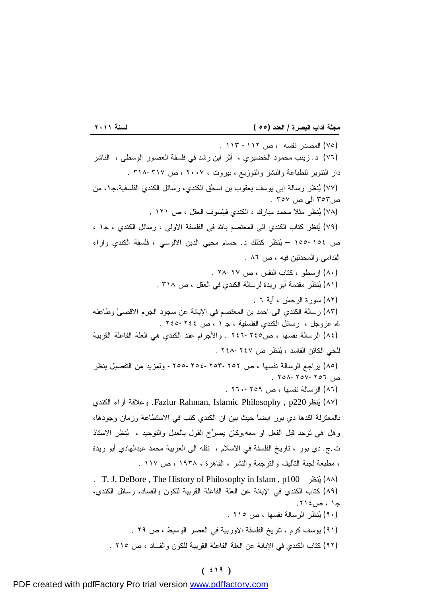<u> 1989 - Johann Barbara, martxa a shekara 1989 - André a Santa A</u> (٧٥) المصدر نفسه ، ص -١١٢ ١١٣ . (٧٦) د. زينب محمود الخضيري ، أثر ابن رشد في فلسفة العصور الوسطى ، الناشر دار التنوير للطباعة والنشر والتوزيع ، بيروت ، ٢٠٠٧ ، ص ٣١٨-٣١٧ . (٧٧) ينظر رسالة ابي يوسف يعقوب بن اسحٰق الكندي، رسائل الكندي الفلسفية،ج،١ من ص٣٥٣ الى ص ٣٥٧ . (٧٨) ينظر مثلاً محمد مبارك ، الكندي فيلسوف العقل ، ص ١٢١ . (٧٩) ينظر كتاب الكندي الى المعتصم باالله في الفلسفة الاولى ، رسائل الكندي ، ج١ ، ص -١٥٤ ١٥٥ – ينظر كذلك د. حسام محيي الدين الآلوسي ، فلسفة الكندي وآراء القدامى والمحدثين فيه ، ص ٨٦ . (٨٠) ارسطو ، كتاب النفس ، ص ٢٨-٢٧ . (٨١) ينظر مقدمة أبو ريدة لرسالة الكندي في العقل ، ص ٣١٨ . (٨٢) سورة الرحمٰن ، آية ٦ . (٨٣) رسالة الكندي الى احمد بن المعتصم في الإبانة عن سجود الجرم الاقصىٰ وطاعته الله عزوجل ، رسائل الكندي الفلسفية ، ج ١ ، ص ٢٤٥-٢٤٤ . (٨٤) الرسالة نفسها ، ص٢٤٦-٢٤٥ . والأجرام عند الكندي هي العلة الفاعلة القريبة للحي الكائن الفاسد ، ينظر ص -٢٤٧ ٢٤٨ . (٨٥) يراجع الرسالة نفسها ، ص -٢٥٥-٢٥٤-٢٥٣-٢٥٢ ولمزيد من التفصيل ينظر ص ٢٥٨-٢٥٧-٢٥٦ . (٨٦) الرسالة نفسها ، ص ٢٦٠-٢٥٩ . الكندي آراء وعلاقة .Fazlur Rahman, Islamic Philosophy , p220نظري) ٨٧( بالمعتزلة اكدها دي بور ايضاً حيث بين ان الكندي كتب في الاستطاعة وزمان وجودها، وهل هي توجد قبل الفعل او معه.وكان يصرح القول بالعدل والتوحيد ، ينظر الاستاذ ت.ج. دي بور ، تاريخ الفلسفة في الاسلام ، نقله الى العربية محمد عبدالهادي أبو ريدة ، مطبعة لجنة التأليف والترجمة والنشر ، القاهرة ، ١٩٣٨ ، ص ١١٧ . . T. J. DeBore , The History of Philosophy in Islam , p100 نظري) ٨٨( (٨٩) كتاب الكندي في الإبانة عن العلة الفاعلة القريبة للكون والفساد، رسائل الكندي، ج١ ، ص.٢١٤ (٩٠) ينظر الرسالة نفسها ، ص ٢١٥ . (٩١) يوسف كرم ، تاريخ الفلسفة الاوربية في العصر الوسيط ، ص ٢٩ .

(٩٢) كتاب الكندي في الإبانة عن العلة الفاعلة القريبة للكون والفساد ، ص ٢١٥ .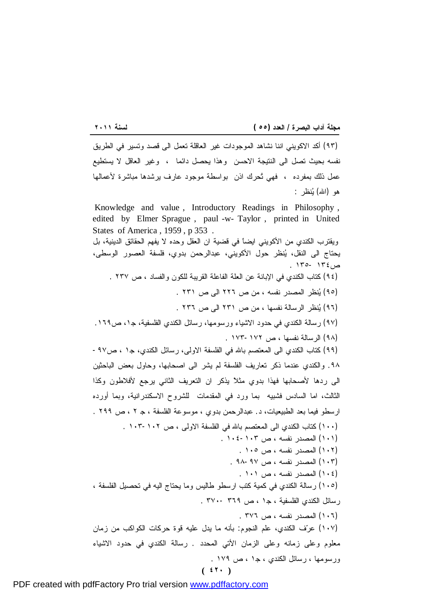(٩٣) أكد الاكويني اننا نشاهد الموجودات غير العاقلة تعمل الى قصد وتسير في الطريق نفسه بحيث تصل الى النتيجة الاحسن وهذا يحصل دائما ، وغير العاقل لا يستطيع عمل ذلك بمفرده ، فهي تُحرك اذن بواسطة موجود عارف يرشدها مباشرة لأعمالها هو (االله) ينظر : Knowledge and value , Introductory Readings in Philosophy , edited by Elmer Sprague , paul -w- Taylor , printed in United States of America , 1959 , p 353 . ويقترب الكندي من الأكويني ايضاً في قضية ان العقل وحده لا يفهم الحقائق الدينية، بل يحتاج الى النقل، ينظر حول الأكويني، عبدالرحمن بدوي، فلسفة العصور الوسطى، ص١٣٤ ١٣٥- . (٩٤) كتاب الكندي في الإبانة عن العلة الفاعلة القريبة للكون والفساد ، ص ٢٣٧ . (٩٥) ينظر المصدر نفسه ، من ص ٢٢٦ الى ص ٢٣١ . (٩٦) ينظر الرسالة نفسها ، من ص ٢٣١ الى ص ٢٣٦ . (٩٧) رسالة الكندي في حدود الاشياء ورسومها، رسائل الكندي الفلسفية، ج،١ ص.١٦٩ (٩٨) الرسالة نفسها ، ص ١٧٣-١٧٢ . (٩٩) كتاب الكندي الى المعتصم باالله في الفلسفة الاولى، رسائل الكندي، ج١ ، ص-٩٧ .٩٨ والكندي عندما ذكر تعاريف الفلسفة لم يشر الى اصحابها، وحاول بعض الباحثين الى ردها لأصحابها فهذا بدوي مثلاً يذكر ان التعريف الثاني يرجع لأفلاطون وكذا الثالث، اما السادس فشبيه بما ورد في المقدمات للشروح الاسكندرانية، وبما أورده ارسطو فيما بعد الطبيعيات، د. عبدالرحمن بدوي ، موسوعة الفلسفة ، ج ٢ ، ص ٢٩٩ . (١٠٠) كتاب الكندي الى المعتصم باالله في الفلسفة الاولى ، ص ١٠٣-١٠٢ . (١٠١) المصدر نفسه ، ص -١٠٣ ١٠٤ . (١٠٢) المصدر نفسه ، ص ١٠٥ . (١٠٣) المصدر نفسه ، ص ٩٨-٩٧ . (١٠٤) المصدر نفسه ، ص ١٠١ . (١٠٥) رسالة الكندي في كمية كتب ارسطو طاليس وما يحتاج اليه في تحصيل الفلسفة ، رسائل الكندي الفلسفية ، ج١ ، ص ٣٦٩ - ٣٧٠ . (١٠٦) المصدر نفسه ، ص ٣٧٦ . (١٠٧) عرف الكندي، علم النجوم: بأنه ما يدل عليه قوة حركات الكواكب من زمان معلوم وعلى زمانه وعلى الزمان الأتي المحدد . رسالة الكندي في حدود الاشياء

ورسومها ، رسائل الكندي ، ج١ ، ص ١٧٩ .

$$
(\mathbf{t}^{\mathsf{T}})
$$

**( ٤٢٠ )**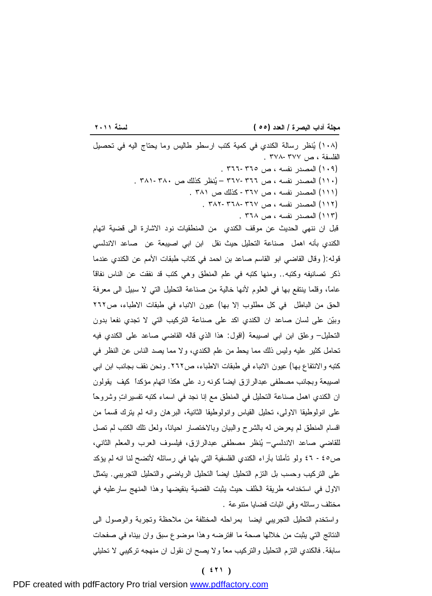<u> 1989 - Johann Barbara, martxa a shekara 1989 - A</u> (١٠٨) ينظر رسالة الكندي في كمية كتب ارسطو طاليس وما يحتاج اليه في تحصيل الفلسفة ، ص ٣٧٨-٣٧٧ . (١٠٩) المصدر نفسه ، ص -٣٦٥ ٣٦٦ . (١١٠) المصدر نفسه ، ص -٣٦٦ ٣٦٧ – ينظر كذلك ص -٣٨٠ ٣٨١ . (١١١) المصدر نفسه ، ص -٣٦٧ كذلك ص ٣٨١ . (١١٢) المصدر نفسه ، ص -٣٦٧ ٣٨٢-٣٦٨ . (١١٣) المصدر نفسه ، ص ٣٦٨ . قبل ان ننهي الحديث عن موقف الكندي من المنطقيات نود الاشارة الى قضية اتهام الكندي بأنه اهمل صناعة التحليل حيث نقل ابن ابي اصيبعة عن صاعد الاندلسي قوله:( وقال القاضي ابو القاسم صاعد بن احمد في كتاب طبقات الأمم عن الكندي عندما ذكر تصانيفه وكتبه.. ومنها كتبه في علم المنطق وهي كتب قد نفقت عن الناس نفاقاً عاماً، وقلما ينتفع بها في العلوم لأنها خالية من صناعة التحليل التي لا سبيل الى معرفة الحق من الباطل في كل مطلوب إلا بها) عيون الانباء في طبقات الاطباء، ص٢٦٢ وبين على لسان صاعد ان الكندي اكد على صناعة التركيب التي لا تجدي نفعا بدون التحليل– وعلق ابن ابي اصيبعة (اقول: هذا الذي قاله القاضي صاعد على الكندي فيه تحامل كثير عليه وليس ذلك مما يحط من علم الكندي، ولا مما يصد الناس عن النظر في كتبه والانتفاع بها) عيون الانباء في طبقات الاطباء، ص.٢٦٢ ونحن نقف بجانب ابن ابي اصيبعة وبجانب مصطفى عبدالرازق ايضاً كونه رد على هكذا اتهام مؤكداً كيف يقولون ان الكندي اهمل صناعة التحليل في المنطق مع إنا نجد في اسماء كتبه تفسيرات وشروحاً على انولوطيقا الاولى، تحليل القياس وانولوطيقا الثانية، البرهان وانه لم يترك قسماً من اقسام المنطق لم يعرض له بالشرح والبيان وبالاختصار احياناً، ولعل تلك الكتب لم تصل للقاضي صاعد الاندلسي– ينظر مصطفى عبدالرازق، فيلسوف العرب والمعلم الثاني، ص-٤٥ ٤٦ ولو تأملنا بآراء الكندي الفلسفية التي بثها في رسائله لأتضح لنا انه لم يؤكد على التركيب وحسب بل التزم التحليل ايضاً التحليل الرياضي والتحليل التجريبي. يتمثل الاول في استخدامه طريقة الخُلف حيث يثبت القضية بنقيضها وهذا المنهج سارعليه في مختلف رسائله وفي اثبات قضايا متنوعة .

واستخدم التحليل التجريبي ايضا بمراحله المختلفة من ملاحظة وتجربة والوصول الى النتائج التي يثبت من خلالها صحة ما افترضه وهذا موضوع سبق وان بيناه في صفحات سابقة. فالكندي التزم التحليل والتركيب معاً ولا يصح ان نقول ان منهجه تركيبي لا تحليلي

**( ٤٢١ )**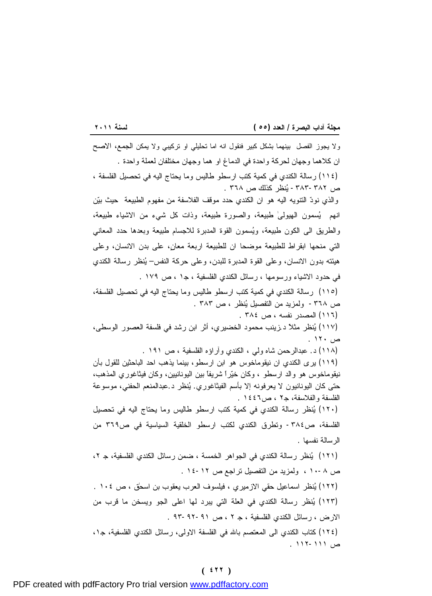<u> 1989 - Johann Stoff, deutscher Stoffen und der Stoffen und der Stoffen und der Stoffen und der Stoffen und der</u> ولا يجوز الفصل بينهما بشكل كبير فنقول انه اما تحليلي او تركيبي ولا يمكن الجمع، الاصح ان كلاهما وجهان لحركة واحدة في الدماغ او هما وجهان مختلفان لعملة واحدة . (١١٤) رسالة الكندي في كمية كتب ارسطو طاليس وما يحتاج اليه في تحصيل الفلسفة ، ص -٣٨٣-٣٨٢ ينظر كذلك ص ٣٦٨ . والذي نود التنويه اليه هو ان الكندي حدد موقف الفلاسفة من مفهوم الطبيعة حيث بين انهم يسمون الهيولىٰ طبيعة، والصورة طبيعة، وذات كل شيء من الاشياء طبيعة، والطريق الى الكون طبيعة، ويسمون القوة المدبرة للاجسام طبيعة وبعدها حدد المعاني التي منحها ابقراط للطبيعة موضحا ان للطبيعة اربعة معانٍ، على بدن الانسان، وعلى هيئته بدون الانسان، وعلى القوة المدبرة للبدن، وعلى حركة النفس– ينظر رسالة الكندي في حدود الاشياء ورسومها ، رسائل الكندي الفلسفية ، ج١ ، ص ١٧٩ . (١١٥) رسالة الكندي في كمية كتب ارسطو طاليس وما يحتاج اليه في تحصيل الفلسفة، ص -٣٦٨ ولمزيد من التفصيل ينظر ، ص ٣٨٣ . (١١٦) المصدر نفسه ، ص ٣٨٤ . (١١٧) ينظر مثلاً د.زينب محمود الخضيري، أثر ابن رشد في فلسفة العصور الوسطى، ص ١٢٠ . (١١٨) د. عبدالرحمن شاه ولي ، الكندي وآراؤه الفلسفية ، ص ١٩١ . (١١٩) يرى الكندي ان نيقوماخوس هو ابن ارسطو، بينما يذهب احد الباحثين للقول بأن نيقوماخوس هو والد ارسطو ، وكان خيراً شريفاً بين اليونانيين، وكان فيثاغوري المذهب، حتى كان اليونانيون لا يعرفونه إلا بأسم الفيثاغوري. ينظر د.عبدالمنعم الحفني، موسوعة الفلسفة والفلاسفة، ج٢ ، ص١٤٤٦ . (١٢٠) ينظر رسالة الكندي في كمية كتب ارسطو طاليس وما يحتاج اليه في تحصيل الفلسفة، ص-٣٨٤ وتطرق الكندي لكتب ارسطو الخلقية السياسية في ص٣٦٩ من الر سالة نفسها (١٢١) ينظر رسالة الكندي في الجواهر الخمسة ، ضمن رسائل الكندي الفلسفية، ج ،٢ ص ١٠-٨ ، ولمزيد من التفصيل تراجع ص -١٢ ١٤ . (١٢٢) ينظر اسماعيل حقي الازميري ، فيلسوف العرب يعقوب بن اسحٰق ، ص ١٠٤ . (١٢٣) ينظر رسالة الكندي في العلة التي يبرد لها اعلى الجو ويسخن ما قرب من الارض ، رسائل الكندي الفلسفية ، ج ٢ ، ص ٩٣-٩٢-٩١ . (١٢٤) كتاب الكندي الى المعتصم باالله في الفلسفة الاولى، رسائل الكندي الفلسفية، ج،١ ص ١١٢-١١١ .

#### **( ٤٢٢ )**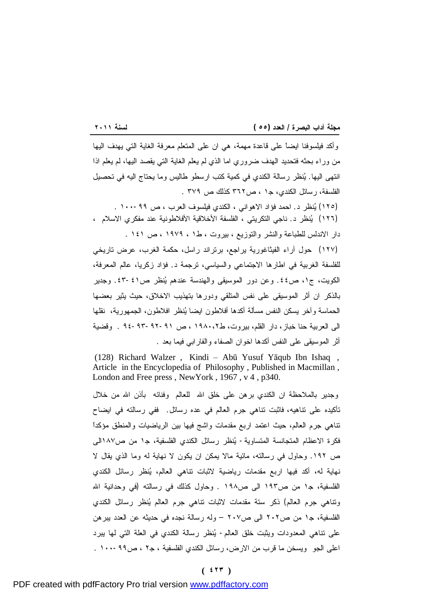وأكد فيلسوفنا ايضاً على قاعدة مهمة، هي ان على المتعلم معرفة الغاية التي يهدف اليها من وراء بحثه فتحديد الهدف ضروري اما الذي لم يعلم الغاية التي يقصد اليها، لم يعلم اذا انتهى اليها. ينظر رسالة الكندي في كمية كتب ارسطو طاليس وما يحتاج اليه في تحصيل الفلسفة، رسائل الكندي، ج١ ، ص٣٦٢ كذلك ص ٣٧٩ .

(١٢٥) ينظر د. احمد فؤاد الاهواني ، الكندي فيلسوف العرب ، ص -٩٩ ١٠٠ . (١٢٦) ينظر د. ناجي التكريتي ، الفلسفة الأخلاقية الأفلاطونية عند مفكري الاسلام ، دار الاندلس للطباعة والنشر والتوزيع ، بيروت ، ط١ ، ١٩٧٩ ، ص ١٤١ .

(١٢٧) حول آراء الفيثاغورية يراجع، برتراند راسل، حكمة الغرب، عرض تاريخي للفلسفة الغربية في اطارها الاجتماعي والسياسي، ترجمة د. فؤاد زكريا، عالم المعرفة، الكويت، ج،١ ص.٤٤ وعن دور الموسيقى والهندسة عندهم ينظر ص-٤١ .٤٣ وجدير بالذكر ان أثر الموسيقى على نفس المتلقي ودورها بتهذيب الاخلاق، حيث يثير بعضها الحماسة وآخر يسكن النفس مسألة أكدها أفلاطون ايضا ينظر افلاطون، الجمهورية، نقلها الى العربية حنا خباز، دار القلم، بيروت، ط١٩٨٠،٢ ، ص ٩٤-٩٣-٩٢-٩١ . وقضية أثر الموسيقى على النفس أكدها اخوان الصفاء والفارابي فيما بعد .

(128) Richard Walzer , Kindi – Abū Yusuf Yāqub Ibn Ishaq , Article in the Encyclopedia of Philosophy , Published in Macmillan , London and Free press , NewYork , 1967 , v 4 , p340.

وجدير بالملاحظة ان الكندي برهن على خلق االله للعالم وفنائه بأذن االله من خلال تأكيده على تناهيه، فاثبت تناهي جرم العالم في عده رسائل. ففي رسالته في ايضاح تناهي جرم العالم، حيث اعتمد اربع مقدمات واشج فيها بين الرياضيات والمنطق مؤكداً فكرة الاعظام المتجانسة المتساوية- ينظر رسائل الكندي الفلسفية، ج١ من ص١٨٧الى ص .١٩٢ وحاول في رسالته، مائية مالا يمكن ان يكون لا نهاية له وما الذي يقال لا نهاية له، أكد فيها اربع مقدمات رياضية لاثبات تناهي العالم، ينظر رسائل الكندي الفلسفية، ج١ من ص١٩٣ الى ص١٩٨ . وحاول كذلك في رسالته (في وحدانية االله وتناهي جرم العالم) ذكر ستة مقدمات لاثبات تناهي جرم العالم ينظر رسائل الكندي الفلسفية، ج١ من ص٢٠٢ الى ص٢٠٧ – وله رسالة نجده في حديثه عن العدد يبرهن على تناهي المعدودات ويثبت خلق العالم- ينظر رسالة الكندي في العلة التي لها يبرد اعلى الجو ويسخن ما قرب من الارض، رسائل الكندي الفلسفية ، ج٢ ، ص١٠٠-٩٩ .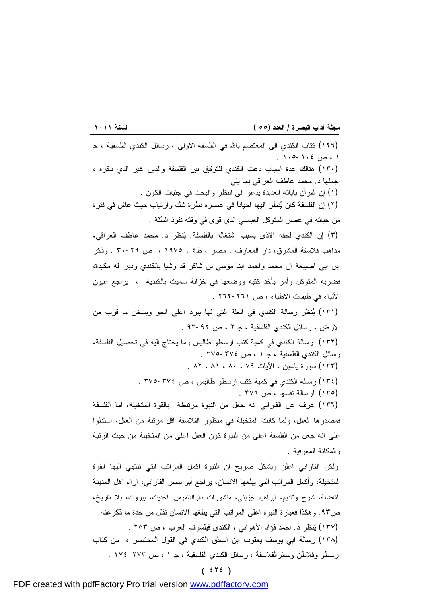<u> 1989 - Johann Barbara, martxa a shekara 1989 - A</u> (١٢٩) كتاب الكندي الى المعتصم باالله في الفلسفة الاولى ، رسائل الكندي الفلسفية ، ج ١ ، ص ١٠٥-١٠٤ . (١٣٠) هنالك عدة اسباب دعت الكندي للتوفيق بين الفلسفة والدين غير الذي ذكره ، اجملها د. محمد عاطف العراقي بما يلي : (١) إن القرآن بآياته العديدة يدعو الى النظر والبحث في جنبات الكون . (٢) إن الفلسفة كان ينظر اليها احياناً في عصره نظرة شك وارتياب حيث عاش في فترة من حياته في عصر المتوكل العباسي الذي قوى في وقته نفوذ السنّة . (٣) إن الكندي لحقه الاذى بسبب اشتغاله بالفلسفة. ينظر د. محمد عاطف العراقي، مذاهب فلاسفة المشرق، دار المعارف ، مصر ، ط٤ ، ١٩٧٥ ، ص -٢٩ ٣٠ . وذكر ابن ابي اصيبعة ان محمد واحمد ابنا موسى بن شاكر قد وشيا بالكندي ودبرا له مكيدة، فضربه المتوكل وأمر بأخذ كتبه ووضعها في خزانة سميت بالكندية ، يراجع عيون الأنباء في طبقات الاطباء ، ص -٢٦١ ٢٦٢ . (١٣١) ينظر رسالة الكندي في العلة التي لها يبرد اعلى الجو ويسخن ما قرب من الارض ، رسائل الكندي الفلسفية ، ج ٢ ، ص ٩٣-٩٢ . (١٣٢) رسالة الكندي في كمية كتب ارسطو طاليس وما يحتاج اليه في تحصيل الفلسفة، رسائل الكندي الفلسفية ، ج ١ ، ص -٣٧٤ ٣٧٥ . (١٣٣) سورة ياسين ، الآيات ٧٩ ، ٨٠ ، ٨١ ، ٨٢ . (١٣٤) رسالة الكندي في كمية كتب ارسطو طاليس ، ص ٣٧٥-٣٧٤ . (١٣٥) الرسالة نفسها ، ص ٣٧٦ . (١٣٦) عرف عن الفارابي انه جعل من النبوة مرتبطة بالقوة المتخيلة، اما الفلسفة فمصدرها العقل، ولما كانت المتخيلة في منظور الفلاسفة اقل مرتبة من العقل، استدلوا على انه جعل من الفلسفة اعلى من النبوة كون العقل اعلى من المتخيلة من حيث الرتبة والمكانة المعرفية . ولكن الفارابي اعلن وبشكل صريح ان النبوة اكمل المراتب التي تنتهي اليها القوة المتخيلة، وأكمل المراتب التي يبلغها الانسان، يراجع أبو نصر الفارابي، آراء اهل المدينة الفاضلة، شرح وتقديم، ابراهيم جزيني، منشورات دارالقاموس الحديث، بيروت، بلا تاريخ، ص.٩٣ وهكذا فعبارة النبوة اعلى المراتب التي يبلغها الانسان تقلل من حدة ما ذُكرعنه. (١٣٧) ينظر د. احمد فؤاد الأهواني ، الكندي فيلسوف العرب ، ص ٢٥٣ . (١٣٨) رسالة ابي يوسف يعقوب ابن اسحٰق الكندي في القول المختصر ، من كتاب ارسطو وفلاطن وسائرالفلاسفة ، رسائل الكندي الفلسفية ، ج ١ ، ص -٢٧٣ ٢٧٤ .

**( ٤٢٤ )**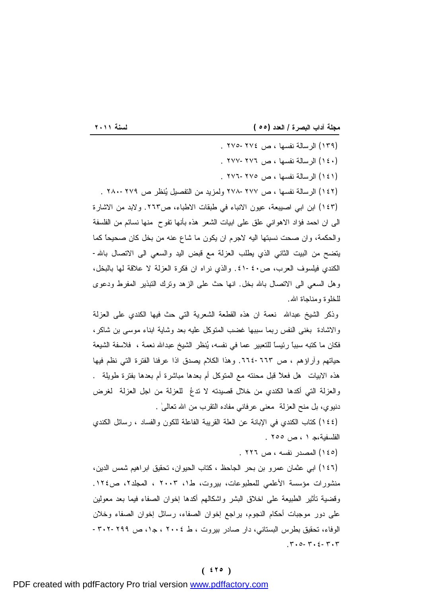<u> 1989 - Johann Stoff, deutscher Stoffen und der Stoffen und der Stoffen und der Stoffen und der Stoffen und der</u> (١٣٩) الرسالة نفسها ، ص ٢٧٥-٢٧٤ . (١٤٠) الرسالة نفسها ، ص ٢٧٧-٢٧٦ . (١٤١) الرسالة نفسها ، ص ٢٧٦-٢٧٥ . (١٤٢) الرسالة نفسها ، ص ٢٧٨-٢٧٧ ولمزيد من التفصيل ينظر ص ٢٨٠-٢٧٩ . (١٤٣) ابن ابي اصيبعة، عيون الانباء في طبقات الاطباء، ص.٢٦٣ ولابد من الاشارة الى ان احمد فؤاد الاهواني علق على ابيات الشعر هذه بأنها تفوح منها نسائم من الفلسفة والحكمة، وان صحت نسبتها اليه لاجرم ان يكون ما شاع عنه من بخل كان صحيحاً كما يتضح من البيت الثاني الذي يطلب العزلة مع قبض اليد والسعي الى الاتصال باالله- الكندي فيلسوف العرب، ص.٤١-٤٠ والذي نراه ان فكرة العزلة لا علاقة لها بالبخل، وهل السعي الى الاتصال باالله بخل. انها حث على الزهد وترك التبذير المفرط ودعوى للخلوة ومناجاة االله.

وذكر الشيخ عبداالله نعمة ان هذه القطعة الشعرية التي حث فيها الكندي على العزلة والاشادة بغنى النفس ربما سببها غضب المتوكل عليه بعد وشاية ابناء موسى بن شاكر، فكان ما كتبه سبباً رئيساً للتعبير عما في نفسه، ينظر الشيخ عبداالله نعمة ، فلاسفة الشيعة حياتهم وآراؤهم ، ص .٦٦٤-٦٦٣ وهذا الكلام يصدق اذا عرفنا الفترة التي نظم فيها هذه الابيات هل فعلاً قبل محنته مع المتوكل أم بعدها مباشرة أم بعدها بفترة طويلة . والعزلة التي أكدها الكندي من خلال قصيدته لا تدعُ للعزلة من اجل العزلة لغرض دنيوي، بل منح العزلة معنى عرفاني مفاده التقرب من االله تعالىٰ .

(١٤٤) كتاب الكندي في الإبانة عن العلة القريبة الفاعلة للكون والفساد ، رسائل الكندي الفلسفية،ج ١ ، ص ٢٥٥ .

(١٤٥) المصدر نفسه ، ص ٢٢٦ .

(١٤٦) ابي عثمان عمرو بن بحر الجاحظ ، كتاب الحيوان، تحقيق ابراهيم شمس الدين، منشورات مؤسسة الأعلمي للمطبوعات، بيروت، ط،١ ٢٠٠٣ ، المجلد،٢ ص.١٢٤ وقضية تأثير الطبيعة على اخلاق البشر واشكالهم أكدها إخوان الصفاء فيما بعد معولين على دور موجبات أحكام النجوم، يراجع إخوان الصفاء، رسائل إخوان الصفاء وخلان الوفاء، تحقيق بطرس البستاني، دار صادر بيروت ، ط ٢٠٠٤ ، ج،١ ص -٢٩٩ -٣٠٢ .٣٠٥-٣٠٤-٣٠٣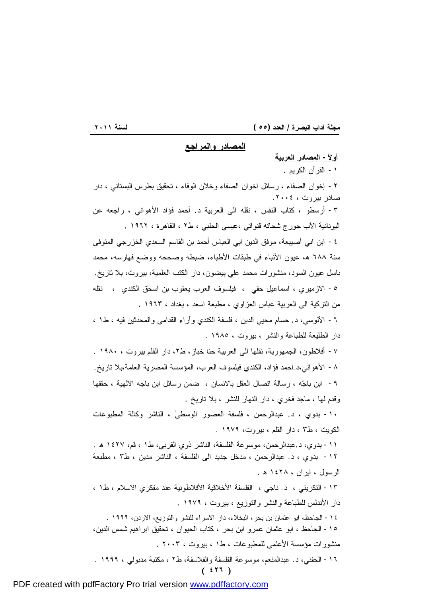<u> 1989 - Johann Stoff, deutscher Stoffen und der Stoffen und der Stoffen und der Stoffen und der Stoffen und der</u>

**المصادر والمراجع** 

**( ٤٢٦ ) أولاً- المصادر العربية**  -١ القرآن الكريم . -٢ إخوان الصفاء ، رسائل اخوان الصفاء وخلان الوفاء ، تحقيق بطرس البستاني ، دار صادر بيروت ، .٢٠٠٤ -٣ أرسطو ، كتاب النفس ، نقله الى العربية د. أحمد فؤاد الأهواني ، راجعه عن اليونانية الآب جورج شحاته قنواتي ،عيسى الحلبي ، ط٢ ، القاهرة ، ١٩٦٢ . -٤ ابن ابي أصيبعة، موفق الدين ابي العباس أحمد بن القاسم السعدي الخزرجي المتوفى سنة ٦٨٨ ه، عيون الأنباء في طبقات الأطباء، ضبطه وصححه ووضع فهارسه، محمد باسل عيون السود، منشورات محمد علي بيضون، دار الكتب العلمية، بيروت، بلا تاريخ. -٥ الازميري ، اسماعيل حقي ، فيلسوف العرب يعقوب بن اسحٰق الكندي ، نقله من التركية الى العربية عباس العزاوي ، مطبعة اسعد ، بغداد ، ١٩٦٣ . -٦ الآلوسي، د. حسام محيي الدين ، فلسفة الكندي وآراء القدامى والمحدثين فيه ، ط١ ، دار الطليعة للطباعة والنشر ، بيروت ، ١٩٨٥ . -٧ أفلاطون، الجمهورية، نقلها الى العربية حنا خباز، ط،٢ دار القلم بيروت ، ١٩٨٠ . -٨ الأهواني،د.احمد فؤاد، الكندي فيلسوف العرب، المؤسسة المصرية العامة،بلا تاريخ. -٩ ابن باجه ، رسالة اتصال العقل بالانسان ، ضمن رسائل ابن باجه الآلهية ، حققها وقدم لها ، ماجد فخري ، دار النهار للنشر ، بلا تاريخ . -١٠ بدوي ، د. عبدالرحمن ، فلسفة العصور الوسطىٰ ، الناشر وكالة المطبوعات الكويت ، ط٣ ، دار القلم ، بيروت، ١٩٧٩ . -١١ بدوي، د.عبدالرحمن، موسوعة الفلسفة، الناشر ذوي القربى، ط١ ، قم، ١٤٢٧ ه . -١٢ بدوي ، د. عبدالرحمن ، مدخل جديد الى الفلسفة ، الناشر مدين ، ط٣ ، مطبعة الرسول ، ايران ، ١٤٢٨ ه . -١٣ التكريتي ، د. ناجي ، الفلسفة الأخلاقية الأفلاطونية عند مفكري الاسلام ، ط١ ، دار الأندلس للطباعة والنشر والتوزيع ، بيروت ، ١٩٧٩ . -١٤ الجاحظ، ابو عثمان بن بحر، البخلاء، دار الاسراء للنشر والتوزيع، الاردن، ١٩٩٩ . -١٥ الجاحظ ، ابو عثمان عمرو ابن بحر ، كتاب الحيوان ، تحقيق ابراهيم شمس الدين، منشورات مؤسسة الأعلمي للمطبوعات ، ط١ ، بيروت ، ٢٠٠٣ . -١٦ الحفني، د. عبدالمنعم، موسوعة الفلسفة والفلاسفة، ط٢ ، مكتبة مدبولي ، ١٩٩٩ .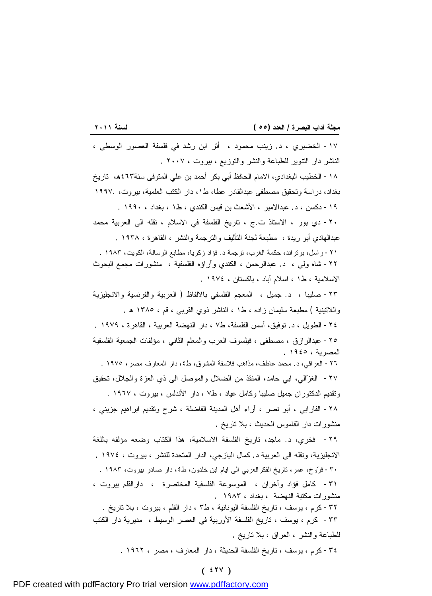|  | مجلة آداب البصرة / العدد (٥٥ ) |  |  |
|--|--------------------------------|--|--|
|  |                                |  |  |

<u> 1989 - Johann Stoff, deutscher Stoffen und der Stoffen und der Stoffen und der Stoffen und der Stoffen und der</u> -١٧ الخضيري ، د. زينب محمود ، أثر ابن رشد في فلسفة العصور الوسطى ، الناشر دار التنوير للطباعة والنشر والتوزيع ، بيروت ، ٢٠٠٧ . -١٨ الخطيب البغدادي، الامام الحافظ أبي بكر أحمد بن علي المتوفى سنة٤٦٣ه، تاريخ بغداد، دراسة وتحقيق مصطفى عبدالقادر عطا، ط،١ دار الكتب العلمية، بيروت، ١٩٩٧. -١٩ دكسن ، د. عبدالامير ، الأشعث بن قيس الكندي ، ط١ ، بغداد ، ١٩٩٠ . -٢٠ دي بور ، الاستاذ ت.ج ، تاريخ الفلسفة في الاسلام ، نقله الى العربية محمد عبدالهادي أبو ريدة ، مطبعة لجنة التأليف والترجمة والنشر ، القاهرة ، ١٩٣٨ . -٢١ راسل، برتراند، حكمة الغرب، ترجمة د. فؤاد زكريا، مطابع الرسالة، الكويت، ١٩٨٣ . -٢٢ شاه ولي ، د. عبدالرحمن ، الكندي وآراؤه الفلسفية ، منشورات مجمع البحوث الاسلامية ، ط١ ، اسلام آباد ، باكستان ، ١٩٧٤ . -٢٣ صليبا ، د. جميل ، المعجم الفلسفي بالالفاظ ( العربية والفرنسية والانجليزية واللاتينية ) مطبعة سليمان زاده ، ط١ ، الناشر ذوي القربى ، قم ، ١٣٨٥ ه . -٢٤ الطويل ، د. توفيق، أسس الفلسفة، ط٧ ، دار النهضة العربية ، القاهرة ، ١٩٧٩ . -٢٥ عبدالرازق ، مصطفى ، فيلسوف العرب والمعلم الثاني ، مؤلفات الجمعية الفلسفية المصرية ، ١٩٤٥ . -٢٦ العراقي، د. محمد عاطف، مذاهب فلاسفة المشرق، ط،٤ دار المعارف مصر، ١٩٧٥ . -٢٧ الغزالي، ابي حامد، المنقذ من الضلال والموصل الى ذي العزة والجلال، تحقيق وتقديم الدكتوران جميل صليبا وكامل عياد ، ط٧ ، دار الأندلس ، بيروت ، ١٩٦٧ . -٢٨ الفارابي ، أبو نصر ، آراء أهل المدينة الفاضلة ، شرح وتقديم ابراهيم جزيني ، منشورات دار القاموس الحديث ، بلا تاريخ . -٢٩ فخري، د. ماجد، تاريخ الفلسفة الاسلامية، هذا الكتاب وضعه مؤلفه باللغة الانجليزية، ونقله الى العربية د. كمال اليازجي، الدار المتحدة للنشر ، بيروت ، ١٩٧٤ . -٣٠ فروخ، عمر، تاريخ الفكرالعربي الى ايام ابن خلدون، ط،٤ دار صادر بيروت، ١٩٨٣ . -٣١ كامل فؤاد وآخران ، الموسوعة الفلسفية المختصرة ، دارالقلم بيروت ، منشورات مكتبة النهضة ، بغداد ، ١٩٨٣ . -٣٢ كرم ، يوسف ، تاريخ الفلسفة اليونانية ، ط٣ ، دار القلم ، بيروت ، بلا تاريخ . -٣٣ كرم ، يوسف ، تاريخ الفلسفة الأوربية في العصر الوسيط ، مديرية دار الكتب للطباعة والنشر ، العراق ، بلا تاريخ . -٣٤ كرم ، يوسف ، تاريخ الفلسفة الحديثة ، دار المعارف ، مصر ، ١٩٦٢ .